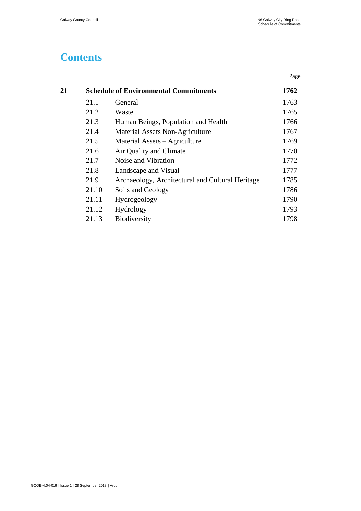#### **Contents**

|    |       |                                                  | Page |
|----|-------|--------------------------------------------------|------|
| 21 |       | <b>Schedule of Environmental Commitments</b>     | 1762 |
|    | 21.1  | General                                          | 1763 |
|    | 21.2  | Waste                                            | 1765 |
|    | 21.3  | Human Beings, Population and Health              | 1766 |
|    | 21.4  | Material Assets Non-Agriculture                  | 1767 |
|    | 21.5  | Material Assets – Agriculture                    | 1769 |
|    | 21.6  | Air Quality and Climate                          | 1770 |
|    | 21.7  | Noise and Vibration                              | 1772 |
|    | 21.8  | Landscape and Visual                             | 1777 |
|    | 21.9  | Archaeology, Architectural and Cultural Heritage | 1785 |
|    | 21.10 | Soils and Geology                                | 1786 |
|    | 21.11 | Hydrogeology                                     | 1790 |
|    | 21.12 | Hydrology                                        | 1793 |
|    | 21.13 | Biodiversity                                     | 1798 |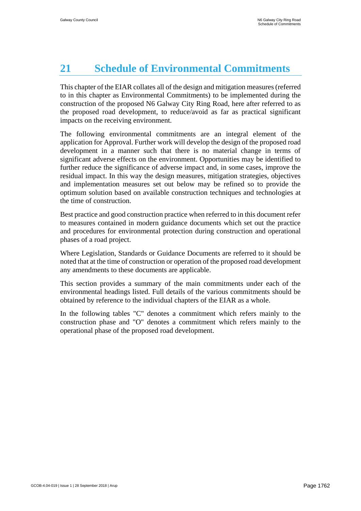# <span id="page-1-0"></span>**21 Schedule of Environmental Commitments**

This chapter of the EIAR collates all of the design and mitigation measures(referred to in this chapter as Environmental Commitments) to be implemented during the construction of the proposed N6 Galway City Ring Road, here after referred to as the proposed road development, to reduce/avoid as far as practical significant impacts on the receiving environment.

The following environmental commitments are an integral element of the application for Approval. Further work will develop the design of the proposed road development in a manner such that there is no material change in terms of significant adverse effects on the environment. Opportunities may be identified to further reduce the significance of adverse impact and, in some cases, improve the residual impact. In this way the design measures, mitigation strategies, objectives and implementation measures set out below may be refined so to provide the optimum solution based on available construction techniques and technologies at the time of construction.

Best practice and good construction practice when referred to in this document refer to measures contained in modern guidance documents which set out the practice and procedures for environmental protection during construction and operational phases of a road project.

Where Legislation, Standards or Guidance Documents are referred to it should be noted that at the time of construction or operation of the proposed road development any amendments to these documents are applicable.

This section provides a summary of the main commitments under each of the environmental headings listed. Full details of the various commitments should be obtained by reference to the individual chapters of the EIAR as a whole.

In the following tables "C" denotes a commitment which refers mainly to the construction phase and "O" denotes a commitment which refers mainly to the operational phase of the proposed road development.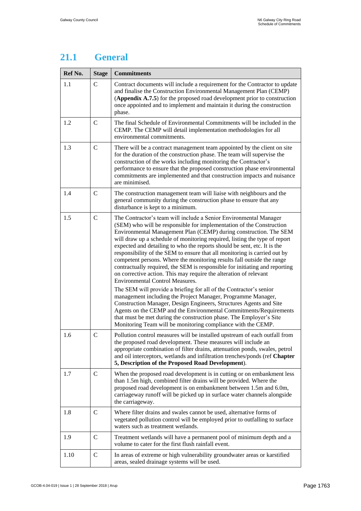#### <span id="page-2-0"></span>**21.1 General**

| Ref No. | <b>Stage</b>  | <b>Commitments</b>                                                                                                                                                                                                                                                                                                                                                                                                                                                                                                                                                                                                                                                                                                                                                                                                                                                                                                                                                                                                                                                                                                                                    |  |
|---------|---------------|-------------------------------------------------------------------------------------------------------------------------------------------------------------------------------------------------------------------------------------------------------------------------------------------------------------------------------------------------------------------------------------------------------------------------------------------------------------------------------------------------------------------------------------------------------------------------------------------------------------------------------------------------------------------------------------------------------------------------------------------------------------------------------------------------------------------------------------------------------------------------------------------------------------------------------------------------------------------------------------------------------------------------------------------------------------------------------------------------------------------------------------------------------|--|
| 1.1     | $\mathcal{C}$ | Contract documents will include a requirement for the Contractor to update<br>and finalise the Construction Environmental Management Plan (CEMP)<br>(Appendix A.7.5) for the proposed road development prior to construction<br>once appointed and to implement and maintain it during the construction<br>phase.                                                                                                                                                                                                                                                                                                                                                                                                                                                                                                                                                                                                                                                                                                                                                                                                                                     |  |
| 1.2     | $\mathbf C$   | The final Schedule of Environmental Commitments will be included in the<br>CEMP. The CEMP will detail implementation methodologies for all<br>environmental commitments.                                                                                                                                                                                                                                                                                                                                                                                                                                                                                                                                                                                                                                                                                                                                                                                                                                                                                                                                                                              |  |
| 1.3     | $\mathbf C$   | There will be a contract management team appointed by the client on site<br>for the duration of the construction phase. The team will supervise the<br>construction of the works including monitoring the Contractor's<br>performance to ensure that the proposed construction phase environmental<br>commitments are implemented and that construction impacts and nuisance<br>are minimised.                                                                                                                                                                                                                                                                                                                                                                                                                                                                                                                                                                                                                                                                                                                                                        |  |
| 1.4     | $\mathcal{C}$ | The construction management team will liaise with neighbours and the<br>general community during the construction phase to ensure that any<br>disturbance is kept to a minimum.                                                                                                                                                                                                                                                                                                                                                                                                                                                                                                                                                                                                                                                                                                                                                                                                                                                                                                                                                                       |  |
| 1.5     | $\mathcal{C}$ | The Contractor's team will include a Senior Environmental Manager<br>(SEM) who will be responsible for implementation of the Construction<br>Environmental Management Plan (CEMP) during construction. The SEM<br>will draw up a schedule of monitoring required, listing the type of report<br>expected and detailing to who the reports should be sent, etc. It is the<br>responsibility of the SEM to ensure that all monitoring is carried out by<br>competent persons. Where the monitoring results fall outside the range<br>contractually required, the SEM is responsible for initiating and reporting<br>on corrective action. This may require the alteration of relevant<br><b>Environmental Control Measures.</b><br>The SEM will provide a briefing for all of the Contractor's senior<br>management including the Project Manager, Programme Manager,<br>Construction Manager, Design Engineers, Structures Agents and Site<br>Agents on the CEMP and the Environmental Commitments/Requirements<br>that must be met during the construction phase. The Employer's Site<br>Monitoring Team will be monitoring compliance with the CEMP. |  |
| 1.6     | $\mathsf{C}$  | Pollution control measures will be installed upstream of each outfall from<br>the proposed road development. These measures will include an<br>appropriate combination of filter drains, attenuation ponds, swales, petrol<br>and oil interceptors, wetlands and infiltration trenches/ponds (ref Chapter<br>5, Description of the Proposed Road Development).                                                                                                                                                                                                                                                                                                                                                                                                                                                                                                                                                                                                                                                                                                                                                                                        |  |
| 1.7     | $\mathbf C$   | When the proposed road development is in cutting or on embankment less<br>than 1.5m high, combined filter drains will be provided. Where the<br>proposed road development is on embankment between 1.5m and 6.0m,<br>carriageway runoff will be picked up in surface water channels alongside<br>the carriageway.                                                                                                                                                                                                                                                                                                                                                                                                                                                                                                                                                                                                                                                                                                                                                                                                                                     |  |
| 1.8     | $\mathcal{C}$ | Where filter drains and swales cannot be used, alternative forms of<br>vegetated pollution control will be employed prior to outfalling to surface<br>waters such as treatment wetlands.                                                                                                                                                                                                                                                                                                                                                                                                                                                                                                                                                                                                                                                                                                                                                                                                                                                                                                                                                              |  |
| 1.9     | $\mathsf{C}$  | Treatment wetlands will have a permanent pool of minimum depth and a<br>volume to cater for the first flush rainfall event.                                                                                                                                                                                                                                                                                                                                                                                                                                                                                                                                                                                                                                                                                                                                                                                                                                                                                                                                                                                                                           |  |
| 1.10    | $\mathsf{C}$  | In areas of extreme or high vulnerability groundwater areas or karstified<br>areas, sealed drainage systems will be used.                                                                                                                                                                                                                                                                                                                                                                                                                                                                                                                                                                                                                                                                                                                                                                                                                                                                                                                                                                                                                             |  |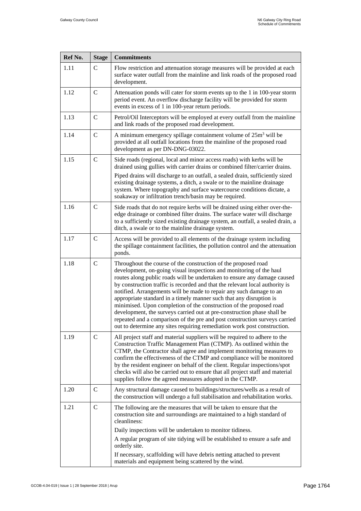| Ref No. | <b>Stage</b>  | <b>Commitments</b>                                                                                                                                                                                                                                                                                                                                                                                                                                                                                                                                                                                                                                                                                                                                          |
|---------|---------------|-------------------------------------------------------------------------------------------------------------------------------------------------------------------------------------------------------------------------------------------------------------------------------------------------------------------------------------------------------------------------------------------------------------------------------------------------------------------------------------------------------------------------------------------------------------------------------------------------------------------------------------------------------------------------------------------------------------------------------------------------------------|
| 1.11    | $\mathsf{C}$  | Flow restriction and attenuation storage measures will be provided at each<br>surface water outfall from the mainline and link roads of the proposed road<br>development.                                                                                                                                                                                                                                                                                                                                                                                                                                                                                                                                                                                   |
| 1.12    | $\mathsf{C}$  | Attenuation ponds will cater for storm events up to the 1 in 100-year storm<br>period event. An overflow discharge facility will be provided for storm<br>events in excess of 1 in 100-year return periods.                                                                                                                                                                                                                                                                                                                                                                                                                                                                                                                                                 |
| 1.13    | $\mathcal{C}$ | Petrol/Oil Interceptors will be employed at every outfall from the mainline<br>and link roads of the proposed road development.                                                                                                                                                                                                                                                                                                                                                                                                                                                                                                                                                                                                                             |
| 1.14    | $\mathsf{C}$  | A minimum emergency spillage containment volume of $25m3$ will be<br>provided at all outfall locations from the mainline of the proposed road<br>development as per DN-DNG-03022.                                                                                                                                                                                                                                                                                                                                                                                                                                                                                                                                                                           |
| 1.15    | $\mathsf{C}$  | Side roads (regional, local and minor access roads) with kerbs will be<br>drained using gullies with carrier drains or combined filter/carrier drains.<br>Piped drains will discharge to an outfall, a sealed drain, sufficiently sized<br>existing drainage systems, a ditch, a swale or to the mainline drainage<br>system. Where topography and surface watercourse conditions dictate, a<br>soakaway or infiltration trench/basin may be required.                                                                                                                                                                                                                                                                                                      |
| 1.16    | $\mathsf{C}$  | Side roads that do not require kerbs will be drained using either over-the-<br>edge drainage or combined filter drains. The surface water will discharge<br>to a sufficiently sized existing drainage system, an outfall, a sealed drain, a<br>ditch, a swale or to the mainline drainage system.                                                                                                                                                                                                                                                                                                                                                                                                                                                           |
| 1.17    | $\mathsf{C}$  | Access will be provided to all elements of the drainage system including<br>the spillage containment facilities, the pollution control and the attenuation<br>ponds.                                                                                                                                                                                                                                                                                                                                                                                                                                                                                                                                                                                        |
| 1.18    | $\mathsf{C}$  | Throughout the course of the construction of the proposed road<br>development, on-going visual inspections and monitoring of the haul<br>routes along public roads will be undertaken to ensure any damage caused<br>by construction traffic is recorded and that the relevant local authority is<br>notified. Arrangements will be made to repair any such damage to an<br>appropriate standard in a timely manner such that any disruption is<br>minimised. Upon completion of the construction of the proposed road<br>development, the surveys carried out at pre-construction phase shall be<br>repeated and a comparison of the pre and post construction surveys carried<br>out to determine any sites requiring remediation work post construction. |
| 1.19    | $\mathcal{C}$ | All project staff and material suppliers will be required to adhere to the<br>Construction Traffic Management Plan (CTMP). As outlined within the<br>CTMP, the Contractor shall agree and implement monitoring measures to<br>confirm the effectiveness of the CTMP and compliance will be monitored<br>by the resident engineer on behalf of the client. Regular inspections/spot<br>checks will also be carried out to ensure that all project staff and material<br>supplies follow the agreed measures adopted in the CTMP.                                                                                                                                                                                                                             |
| 1.20    | $\mathcal{C}$ | Any structural damage caused to buildings/structures/wells as a result of<br>the construction will undergo a full stabilisation and rehabilitation works.                                                                                                                                                                                                                                                                                                                                                                                                                                                                                                                                                                                                   |
| 1.21    | $\mathbf C$   | The following are the measures that will be taken to ensure that the<br>construction site and surroundings are maintained to a high standard of<br>cleanliness:                                                                                                                                                                                                                                                                                                                                                                                                                                                                                                                                                                                             |
|         |               | Daily inspections will be undertaken to monitor tidiness.<br>A regular program of site tidying will be established to ensure a safe and<br>orderly site.                                                                                                                                                                                                                                                                                                                                                                                                                                                                                                                                                                                                    |
|         |               | If necessary, scaffolding will have debris netting attached to prevent<br>materials and equipment being scattered by the wind.                                                                                                                                                                                                                                                                                                                                                                                                                                                                                                                                                                                                                              |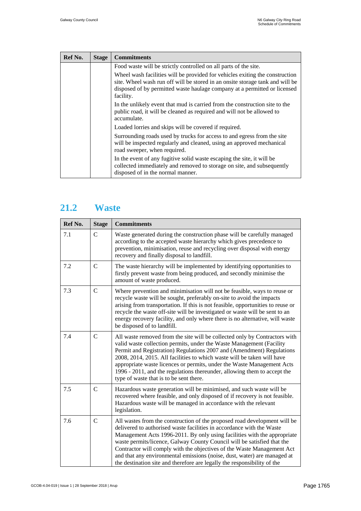| Ref No. | <b>Stage</b> | <b>Commitments</b>                                                                                                                                                                                                                                      |
|---------|--------------|---------------------------------------------------------------------------------------------------------------------------------------------------------------------------------------------------------------------------------------------------------|
|         |              | Food waste will be strictly controlled on all parts of the site.                                                                                                                                                                                        |
|         |              | Wheel wash facilities will be provided for vehicles exiting the construction<br>site. Wheel wash run off will be stored in an onsite storage tank and will be<br>disposed of by permitted waste haulage company at a permitted or licensed<br>facility. |
|         |              | In the unlikely event that mud is carried from the construction site to the<br>public road, it will be cleaned as required and will not be allowed to<br>accumulate.                                                                                    |
|         |              | Loaded lorries and skips will be covered if required.                                                                                                                                                                                                   |
|         |              | Surrounding roads used by trucks for access to and egress from the site<br>will be inspected regularly and cleaned, using an approved mechanical<br>road sweeper, when required.                                                                        |
|         |              | In the event of any fugitive solid waste escaping the site, it will be<br>collected immediately and removed to storage on site, and subsequently<br>disposed of in the normal manner.                                                                   |

#### <span id="page-4-0"></span>**21.2 Waste**

| Ref No. | <b>Stage</b>   | <b>Commitments</b>                                                                                                                                                                                                                                                                                                                                                                                                                                                                                                                          |
|---------|----------------|---------------------------------------------------------------------------------------------------------------------------------------------------------------------------------------------------------------------------------------------------------------------------------------------------------------------------------------------------------------------------------------------------------------------------------------------------------------------------------------------------------------------------------------------|
| 7.1     | $\mathsf{C}$   | Waste generated during the construction phase will be carefully managed<br>according to the accepted waste hierarchy which gives precedence to<br>prevention, minimisation, reuse and recycling over disposal with energy<br>recovery and finally disposal to landfill.                                                                                                                                                                                                                                                                     |
| 7.2     | $\mathbf C$    | The waste hierarchy will be implemented by identifying opportunities to<br>firstly prevent waste from being produced, and secondly minimise the<br>amount of waste produced.                                                                                                                                                                                                                                                                                                                                                                |
| 7.3     | $\mathcal{C}$  | Where prevention and minimisation will not be feasible, ways to reuse or<br>recycle waste will be sought, preferably on-site to avoid the impacts<br>arising from transportation. If this is not feasible, opportunities to reuse or<br>recycle the waste off-site will be investigated or waste will be sent to an<br>energy recovery facility, and only where there is no alternative, will waste<br>be disposed of to landfill.                                                                                                          |
| 7.4     | $\overline{C}$ | All waste removed from the site will be collected only by Contractors with<br>valid waste collection permits, under the Waste Management (Facility<br>Permit and Registration) Regulations 2007 and (Amendment) Regulations<br>2008, 2014, 2015. All facilities to which waste will be taken will have<br>appropriate waste licences or permits, under the Waste Management Acts<br>1996 - 2011, and the regulations thereunder, allowing them to accept the<br>type of waste that is to be sent there.                                     |
| 7.5     | $\mathcal{C}$  | Hazardous waste generation will be minimised, and such waste will be<br>recovered where feasible, and only disposed of if recovery is not feasible.<br>Hazardous waste will be managed in accordance with the relevant<br>legislation.                                                                                                                                                                                                                                                                                                      |
| 7.6     | $\mathcal{C}$  | All wastes from the construction of the proposed road development will be<br>delivered to authorised waste facilities in accordance with the Waste<br>Management Acts 1996-2011. By only using facilities with the appropriate<br>waste permits/licence, Galway County Council will be satisfied that the<br>Contractor will comply with the objectives of the Waste Management Act<br>and that any environmental emissions (noise, dust, water) are managed at<br>the destination site and therefore are legally the responsibility of the |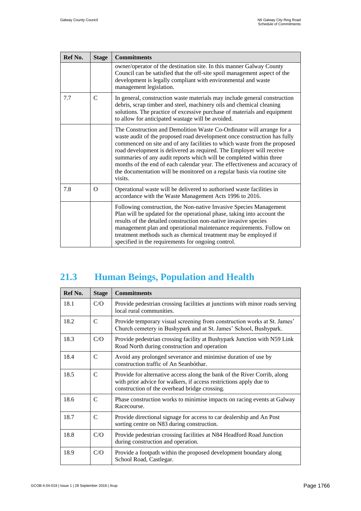| Ref No. | <b>Stage</b>  | <b>Commitments</b>                                                                                                                                                                                                                                                                                                                                                                                                                                                                                                                               |
|---------|---------------|--------------------------------------------------------------------------------------------------------------------------------------------------------------------------------------------------------------------------------------------------------------------------------------------------------------------------------------------------------------------------------------------------------------------------------------------------------------------------------------------------------------------------------------------------|
|         |               | owner/operator of the destination site. In this manner Galway County<br>Council can be satisfied that the off-site spoil management aspect of the<br>development is legally compliant with environmental and waste<br>management legislation.                                                                                                                                                                                                                                                                                                    |
| 7.7     | $\mathcal{C}$ | In general, construction waste materials may include general construction<br>debris, scrap timber and steel, machinery oils and chemical cleaning<br>solutions. The practice of excessive purchase of materials and equipment<br>to allow for anticipated wastage will be avoided.                                                                                                                                                                                                                                                               |
|         |               | The Construction and Demolition Waste Co-Ordinator will arrange for a<br>waste audit of the proposed road development once construction has fully<br>commenced on site and of any facilities to which waste from the proposed<br>road development is delivered as required. The Employer will receive<br>summaries of any audit reports which will be completed within three<br>months of the end of each calendar year. The effectiveness and accuracy of<br>the documentation will be monitored on a regular basis via routine site<br>visits. |
| 7.8     | $\Omega$      | Operational waste will be delivered to authorised waste facilities in<br>accordance with the Waste Management Acts 1996 to 2016.                                                                                                                                                                                                                                                                                                                                                                                                                 |
|         |               | Following construction, the Non-native Invasive Species Management<br>Plan will be updated for the operational phase, taking into account the<br>results of the detailed construction non-native invasive species<br>management plan and operational maintenance requirements. Follow on<br>treatment methods such as chemical treatment may be employed if<br>specified in the requirements for ongoing control.                                                                                                                                |

#### <span id="page-5-0"></span>**21.3 Human Beings, Population and Health**

| Ref No. | <b>Stage</b>  | <b>Commitments</b>                                                                                                                                                                              |
|---------|---------------|-------------------------------------------------------------------------------------------------------------------------------------------------------------------------------------------------|
| 18.1    | C/O           | Provide pedestrian crossing facilities at junctions with minor roads serving<br>local rural communities.                                                                                        |
| 18.2    | $\mathcal{C}$ | Provide temporary visual screening from construction works at St. James'<br>Church cemetery in Bushypark and at St. James' School, Bushypark.                                                   |
| 18.3    | C/O           | Provide pedestrian crossing facility at Bushypark Junction with N59 Link<br>Road North during construction and operation                                                                        |
| 18.4    | C             | Avoid any prolonged severance and minimise duration of use by<br>construction traffic of An Seanbóthar.                                                                                         |
| 18.5    | C             | Provide for alternative access along the bank of the River Corrib, along<br>with prior advice for walkers, if access restrictions apply due to<br>construction of the overhead bridge crossing. |
| 18.6    | $\mathcal{C}$ | Phase construction works to minimise impacts on racing events at Galway<br>Racecourse.                                                                                                          |
| 18.7    | $\mathcal{C}$ | Provide directional signage for access to car dealership and An Post<br>sorting centre on N83 during construction.                                                                              |
| 18.8    | C/O           | Provide pedestrian crossing facilities at N84 Headford Road Junction<br>during construction and operation.                                                                                      |
| 18.9    | C/O           | Provide a footpath within the proposed development boundary along<br>School Road, Castlegar.                                                                                                    |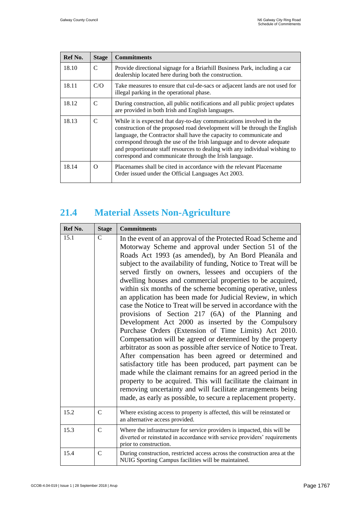| Ref No. | <b>Stage</b>  | <b>Commitments</b>                                                                                                                                                                                                                                                                                                                                                                                                                          |
|---------|---------------|---------------------------------------------------------------------------------------------------------------------------------------------------------------------------------------------------------------------------------------------------------------------------------------------------------------------------------------------------------------------------------------------------------------------------------------------|
| 18.10   | $\mathcal{C}$ | Provide directional signage for a Briarhill Business Park, including a car<br>dealership located here during both the construction.                                                                                                                                                                                                                                                                                                         |
| 18.11   | C/O           | Take measures to ensure that cul-de-sacs or adjacent lands are not used for<br>illegal parking in the operational phase.                                                                                                                                                                                                                                                                                                                    |
| 18.12   | $\mathcal{C}$ | During construction, all public notifications and all public project updates<br>are provided in both Irish and English languages.                                                                                                                                                                                                                                                                                                           |
| 18.13   | $\mathcal{C}$ | While it is expected that day-to-day communications involved in the<br>construction of the proposed road development will be through the English<br>language, the Contractor shall have the capacity to communicate and<br>correspond through the use of the Irish language and to devote adequate<br>and proportionate staff resources to dealing with any individual wishing to<br>correspond and communicate through the Irish language. |
| 18.14   | $\Omega$      | Placenames shall be cited in accordance with the relevant Placename<br>Order issued under the Official Languages Act 2003.                                                                                                                                                                                                                                                                                                                  |

# <span id="page-6-0"></span>**21.4 Material Assets Non-Agriculture**

| Ref No. | <b>Stage</b>  | <b>Commitments</b>                                                                                                                                                                                                                                                                                                                                                                                                                                                                                                                                                                                                                                                                                                                                                                                                                                                                                                                                                                                                                                                                                                                                                                                                                                             |
|---------|---------------|----------------------------------------------------------------------------------------------------------------------------------------------------------------------------------------------------------------------------------------------------------------------------------------------------------------------------------------------------------------------------------------------------------------------------------------------------------------------------------------------------------------------------------------------------------------------------------------------------------------------------------------------------------------------------------------------------------------------------------------------------------------------------------------------------------------------------------------------------------------------------------------------------------------------------------------------------------------------------------------------------------------------------------------------------------------------------------------------------------------------------------------------------------------------------------------------------------------------------------------------------------------|
| 15.1    | C             | In the event of an approval of the Protected Road Scheme and<br>Motorway Scheme and approval under Section 51 of the<br>Roads Act 1993 (as amended), by An Bord Pleanála and<br>subject to the availability of funding, Notice to Treat will be<br>served firstly on owners, lessees and occupiers of the<br>dwelling houses and commercial properties to be acquired,<br>within six months of the scheme becoming operative, unless<br>an application has been made for Judicial Review, in which<br>case the Notice to Treat will be served in accordance with the<br>provisions of Section 217 (6A) of the Planning and<br>Development Act 2000 as inserted by the Compulsory<br>Purchase Orders (Extension of Time Limits) Act 2010.<br>Compensation will be agreed or determined by the property<br>arbitrator as soon as possible after service of Notice to Treat.<br>After compensation has been agreed or determined and<br>satisfactory title has been produced, part payment can be<br>made while the claimant remains for an agreed period in the<br>property to be acquired. This will facilitate the claimant in<br>removing uncertainty and will facilitate arrangements being<br>made, as early as possible, to secure a replacement property. |
| 15.2    | $\mathcal{C}$ | Where existing access to property is affected, this will be reinstated or<br>an alternative access provided.                                                                                                                                                                                                                                                                                                                                                                                                                                                                                                                                                                                                                                                                                                                                                                                                                                                                                                                                                                                                                                                                                                                                                   |
| 15.3    | C             | Where the infrastructure for service providers is impacted, this will be<br>diverted or reinstated in accordance with service providers' requirements<br>prior to construction.                                                                                                                                                                                                                                                                                                                                                                                                                                                                                                                                                                                                                                                                                                                                                                                                                                                                                                                                                                                                                                                                                |
| 15.4    | $\mathsf{C}$  | During construction, restricted access across the construction area at the<br>NUIG Sporting Campus facilities will be maintained.                                                                                                                                                                                                                                                                                                                                                                                                                                                                                                                                                                                                                                                                                                                                                                                                                                                                                                                                                                                                                                                                                                                              |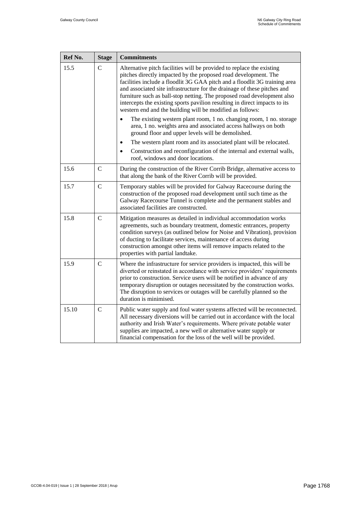<span id="page-7-0"></span>

| Ref No. | <b>Stage</b>  | <b>Commitments</b>                                                                                                                                                                                                                                                                                                                                                                                                                                                                                                       |
|---------|---------------|--------------------------------------------------------------------------------------------------------------------------------------------------------------------------------------------------------------------------------------------------------------------------------------------------------------------------------------------------------------------------------------------------------------------------------------------------------------------------------------------------------------------------|
| 15.5    | $\mathcal{C}$ | Alternative pitch facilities will be provided to replace the existing<br>pitches directly impacted by the proposed road development. The<br>facilities include a floodlit 3G GAA pitch and a floodlit 3G training area<br>and associated site infrastructure for the drainage of these pitches and<br>furniture such as ball-stop netting. The proposed road development also<br>intercepts the existing sports pavilion resulting in direct impacts to its<br>western end and the building will be modified as follows: |
|         |               | The existing western plant room, 1 no. changing room, 1 no. storage<br>area, 1 no. weights area and associated access hallways on both<br>ground floor and upper levels will be demolished.                                                                                                                                                                                                                                                                                                                              |
|         |               | The western plant room and its associated plant will be relocated.<br>$\bullet$                                                                                                                                                                                                                                                                                                                                                                                                                                          |
|         |               | Construction and reconfiguration of the internal and external walls,<br>$\bullet$<br>roof, windows and door locations.                                                                                                                                                                                                                                                                                                                                                                                                   |
| 15.6    | $\mathbf C$   | During the construction of the River Corrib Bridge, alternative access to<br>that along the bank of the River Corrib will be provided.                                                                                                                                                                                                                                                                                                                                                                                   |
| 15.7    | $\mathbf C$   | Temporary stables will be provided for Galway Racecourse during the<br>construction of the proposed road development until such time as the<br>Galway Racecourse Tunnel is complete and the permanent stables and<br>associated facilities are constructed.                                                                                                                                                                                                                                                              |
| 15.8    | $\mathcal{C}$ | Mitigation measures as detailed in individual accommodation works<br>agreements, such as boundary treatment, domestic entrances, property<br>condition surveys (as outlined below for Noise and Vibration), provision<br>of ducting to facilitate services, maintenance of access during<br>construction amongst other items will remove impacts related to the<br>properties with partial landtake.                                                                                                                     |
| 15.9    | $\mathbf C$   | Where the infrastructure for service providers is impacted, this will be<br>diverted or reinstated in accordance with service providers' requirements<br>prior to construction. Service users will be notified in advance of any<br>temporary disruption or outages necessitated by the construction works.<br>The disruption to services or outages will be carefully planned so the<br>duration is minimised.                                                                                                          |
| 15.10   | $\mathbf C$   | Public water supply and foul water systems affected will be reconnected.<br>All necessary diversions will be carried out in accordance with the local<br>authority and Irish Water's requirements. Where private potable water<br>supplies are impacted, a new well or alternative water supply or<br>financial compensation for the loss of the well will be provided.                                                                                                                                                  |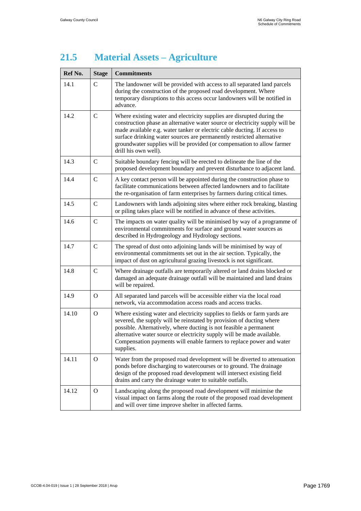#### **21.5 Material Assets – Agriculture**

<span id="page-8-0"></span>

| Ref No. | <b>Stage</b>   | <b>Commitments</b>                                                                                                                                                                                                                                                                                                                                                                                            |
|---------|----------------|---------------------------------------------------------------------------------------------------------------------------------------------------------------------------------------------------------------------------------------------------------------------------------------------------------------------------------------------------------------------------------------------------------------|
| 14.1    | $\mathsf{C}$   | The landowner will be provided with access to all separated land parcels<br>during the construction of the proposed road development. Where<br>temporary disruptions to this access occur landowners will be notified in<br>advance.                                                                                                                                                                          |
| 14.2    | $\mathsf{C}$   | Where existing water and electricity supplies are disrupted during the<br>construction phase an alternative water source or electricity supply will be<br>made available e.g. water tanker or electric cable ducting. If access to<br>surface drinking water sources are permanently restricted alternative<br>groundwater supplies will be provided (or compensation to allow farmer<br>drill his own well). |
| 14.3    | $\mathsf{C}$   | Suitable boundary fencing will be erected to delineate the line of the<br>proposed development boundary and prevent disturbance to adjacent land.                                                                                                                                                                                                                                                             |
| 14.4    | $\mathsf{C}$   | A key contact person will be appointed during the construction phase to<br>facilitate communications between affected landowners and to facilitate<br>the re-organisation of farm enterprises by farmers during critical times.                                                                                                                                                                               |
| 14.5    | $\mathsf{C}$   | Landowners with lands adjoining sites where either rock breaking, blasting<br>or piling takes place will be notified in advance of these activities.                                                                                                                                                                                                                                                          |
| 14.6    | $\mathsf{C}$   | The impacts on water quality will be minimised by way of a programme of<br>environmental commitments for surface and ground water sources as<br>described in Hydrogeology and Hydrology sections.                                                                                                                                                                                                             |
| 14.7    | $\mathcal{C}$  | The spread of dust onto adjoining lands will be minimised by way of<br>environmental commitments set out in the air section. Typically, the<br>impact of dust on agricultural grazing livestock is not significant.                                                                                                                                                                                           |
| 14.8    | $\mathbf C$    | Where drainage outfalls are temporarily altered or land drains blocked or<br>damaged an adequate drainage outfall will be maintained and land drains<br>will be repaired.                                                                                                                                                                                                                                     |
| 14.9    | $\overline{O}$ | All separated land parcels will be accessible either via the local road<br>network, via accommodation access roads and access tracks.                                                                                                                                                                                                                                                                         |
| 14.10   | $\Omega$       | Where existing water and electricity supplies to fields or farm yards are<br>severed, the supply will be reinstated by provision of ducting where<br>possible. Alternatively, where ducting is not feasible a permanent<br>alternative water source or electricity supply will be made available.<br>Compensation payments will enable farmers to replace power and water<br>supplies.                        |
| 14.11   | $\Omega$       | Water from the proposed road development will be diverted to attenuation<br>ponds before discharging to watercourses or to ground. The drainage<br>design of the proposed road development will intersect existing field<br>drains and carry the drainage water to suitable outfalls.                                                                                                                         |
| 14.12   | $\Omega$       | Landscaping along the proposed road development will minimise the<br>visual impact on farms along the route of the proposed road development<br>and will over time improve shelter in affected farms.                                                                                                                                                                                                         |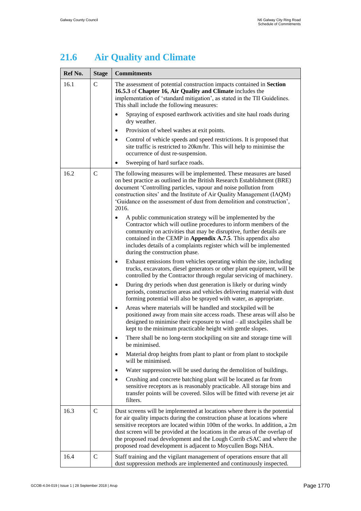# **21.6 Air Quality and Climate**

| Ref No. | <b>Stage</b>  | <b>Commitments</b>                                                                                                                                                                                                                                                                                                                                                                                                                                             |  |
|---------|---------------|----------------------------------------------------------------------------------------------------------------------------------------------------------------------------------------------------------------------------------------------------------------------------------------------------------------------------------------------------------------------------------------------------------------------------------------------------------------|--|
| 16.1    | $\mathcal{C}$ | The assessment of potential construction impacts contained in Section<br>16.5.3 of Chapter 16, Air Quality and Climate includes the<br>implementation of 'standard mitigation', as stated in the TII Guidelines.<br>This shall include the following measures:                                                                                                                                                                                                 |  |
|         |               | Spraying of exposed earthwork activities and site haul roads during<br>$\bullet$<br>dry weather.                                                                                                                                                                                                                                                                                                                                                               |  |
|         |               | Provision of wheel washes at exit points.<br>٠                                                                                                                                                                                                                                                                                                                                                                                                                 |  |
|         |               | Control of vehicle speeds and speed restrictions. It is proposed that<br>$\bullet$<br>site traffic is restricted to 20km/hr. This will help to minimise the<br>occurrence of dust re-suspension.                                                                                                                                                                                                                                                               |  |
|         |               | Sweeping of hard surface roads.                                                                                                                                                                                                                                                                                                                                                                                                                                |  |
| 16.2    | $\mathsf{C}$  | The following measures will be implemented. These measures are based<br>on best practice as outlined in the British Research Establishment (BRE)<br>document 'Controlling particles, vapour and noise pollution from<br>construction sites' and the Institute of Air Quality Management (IAQM)<br>'Guidance on the assessment of dust from demolition and construction',<br>2016.                                                                              |  |
|         |               | A public communication strategy will be implemented by the<br>Contractor which will outline procedures to inform members of the<br>community on activities that may be disruptive, further details are<br>contained in the CEMP in Appendix A.7.5. This appendix also<br>includes details of a complaints register which will be implemented<br>during the construction phase.                                                                                 |  |
|         |               | Exhaust emissions from vehicles operating within the site, including<br>٠<br>trucks, excavators, diesel generators or other plant equipment, will be<br>controlled by the Contractor through regular servicing of machinery.                                                                                                                                                                                                                                   |  |
|         |               | During dry periods when dust generation is likely or during windy<br>٠<br>periods, construction areas and vehicles delivering material with dust<br>forming potential will also be sprayed with water, as appropriate.                                                                                                                                                                                                                                         |  |
|         |               | Areas where materials will be handled and stockpiled will be<br>$\bullet$<br>positioned away from main site access roads. These areas will also be<br>designed to minimise their exposure to $wind - all$ stockpiles shall be<br>kept to the minimum practicable height with gentle slopes.                                                                                                                                                                    |  |
|         |               | There shall be no long-term stockpiling on site and storage time will<br>be minimised.                                                                                                                                                                                                                                                                                                                                                                         |  |
|         |               | Material drop heights from plant to plant or from plant to stockpile<br>$\bullet$<br>will be minimised.                                                                                                                                                                                                                                                                                                                                                        |  |
|         |               | Water suppression will be used during the demolition of buildings.<br>٠                                                                                                                                                                                                                                                                                                                                                                                        |  |
|         |               | Crushing and concrete batching plant will be located as far from<br>٠<br>sensitive receptors as is reasonably practicable. All storage bins and<br>transfer points will be covered. Silos will be fitted with reverse jet air<br>filters.                                                                                                                                                                                                                      |  |
| 16.3    | $\mathsf{C}$  | Dust screens will be implemented at locations where there is the potential<br>for air quality impacts during the construction phase at locations where<br>sensitive receptors are located within 100m of the works. In addition, a 2m<br>dust screen will be provided at the locations in the areas of the overlap of<br>the proposed road development and the Lough Corrib cSAC and where the<br>proposed road development is adjacent to Moycullen Bogs NHA. |  |
| 16.4    | $\mathsf{C}$  | Staff training and the vigilant management of operations ensure that all<br>dust suppression methods are implemented and continuously inspected.                                                                                                                                                                                                                                                                                                               |  |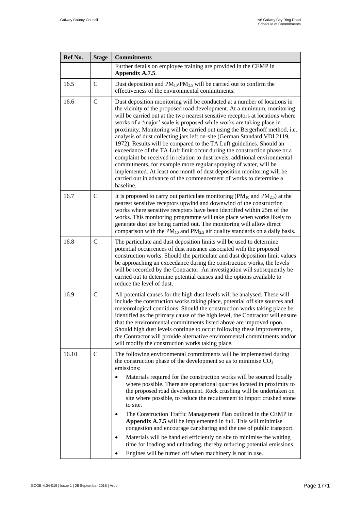| Ref No. | <b>Stage</b>  | <b>Commitments</b>                                                                                                                                                                                                                                                                                                                                                                                                                                                                                                                                                                                                                                                                                                                                                                                                                                                                                                                        |
|---------|---------------|-------------------------------------------------------------------------------------------------------------------------------------------------------------------------------------------------------------------------------------------------------------------------------------------------------------------------------------------------------------------------------------------------------------------------------------------------------------------------------------------------------------------------------------------------------------------------------------------------------------------------------------------------------------------------------------------------------------------------------------------------------------------------------------------------------------------------------------------------------------------------------------------------------------------------------------------|
|         |               | Further details on employee training are provided in the CEMP in<br>Appendix A.7.5.                                                                                                                                                                                                                                                                                                                                                                                                                                                                                                                                                                                                                                                                                                                                                                                                                                                       |
| 16.5    | $\mathbf C$   | Dust deposition and PM <sub>10</sub> /PM <sub>2.5</sub> will be carried out to confirm the<br>effectiveness of the environmental commitments.                                                                                                                                                                                                                                                                                                                                                                                                                                                                                                                                                                                                                                                                                                                                                                                             |
| 16.6    | $\mathbf C$   | Dust deposition monitoring will be conducted at a number of locations in<br>the vicinity of the proposed road development. At a minimum, monitoring<br>will be carried out at the two nearest sensitive receptors at locations where<br>works of a 'major' scale is proposed while works are taking place in<br>proximity. Monitoring will be carried out using the Bergerhoff method, i.e.<br>analysis of dust collecting jars left on-site (German Standard VDI 2119,<br>1972). Results will be compared to the TA Luft guidelines. Should an<br>exceedance of the TA Luft limit occur during the construction phase or a<br>complaint be received in relation to dust levels, additional environmental<br>commitments, for example more regular spraying of water, will be<br>implemented. At least one month of dust deposition monitoring will be<br>carried out in advance of the commencement of works to determine a<br>baseline. |
| 16.7    | $\mathcal{C}$ | It is proposed to carry out particulate monitoring ( $PM_{10}$ and $PM_{2.5}$ ) at the<br>nearest sensitive receptors upwind and downwind of the construction<br>works where sensitive receptors have been identified within 25m of the<br>works. This monitoring programme will take place when works likely to<br>generate dust are being carried out. The monitoring will allow direct<br>comparison with the $PM_{10}$ and $PM_{2.5}$ air quality standards on a daily basis.                                                                                                                                                                                                                                                                                                                                                                                                                                                         |
| 16.8    | $\mathbf C$   | The particulate and dust deposition limits will be used to determine<br>potential occurrences of dust nuisance associated with the proposed<br>construction works. Should the particulate and dust deposition limit values<br>be approaching an exceedance during the construction works, the levels<br>will be recorded by the Contractor. An investigation will subsequently be<br>carried out to determine potential causes and the options available to<br>reduce the level of dust.                                                                                                                                                                                                                                                                                                                                                                                                                                                  |
| 16.9    | $\mathsf{C}$  | All potential causes for the high dust levels will be analysed. These will<br>include the construction works taking place, potential off site sources and<br>meteorological conditions. Should the construction works taking place be<br>identified as the primary cause of the high level, the Contractor will ensure<br>that the environmental commitments listed above are improved upon<br>Should high dust levels continue to occur following these improvements,<br>the Contractor will provide alternative environmental commitments and/or<br>will modify the construction works taking place.                                                                                                                                                                                                                                                                                                                                    |
| 16.10   | $\mathcal{C}$ | The following environmental commitments will be implemented during<br>the construction phase of the development so as to minimise $CO2$<br>emissions:                                                                                                                                                                                                                                                                                                                                                                                                                                                                                                                                                                                                                                                                                                                                                                                     |
|         |               | Materials required for the construction works will be sourced locally<br>where possible. There are operational quarries located in proximity to<br>the proposed road development. Rock crushing will be undertaken on<br>site where possible, to reduce the requirement to import crushed stone<br>to site.                                                                                                                                                                                                                                                                                                                                                                                                                                                                                                                                                                                                                               |
|         |               | The Construction Traffic Management Plan outlined in the CEMP in<br>$\bullet$<br>Appendix A.7.5 will be implemented in full. This will minimise<br>congestion and encourage car sharing and the use of public transport.                                                                                                                                                                                                                                                                                                                                                                                                                                                                                                                                                                                                                                                                                                                  |
|         |               | Materials will be handled efficiently on site to minimise the waiting<br>time for loading and unloading, thereby reducing potential emissions.<br>Engines will be turned off when machinery is not in use.                                                                                                                                                                                                                                                                                                                                                                                                                                                                                                                                                                                                                                                                                                                                |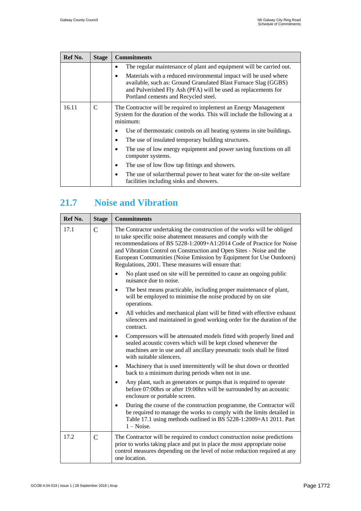| Ref No. | <b>Stage</b> | <b>Commitments</b>                                                                                                                                                                                                                                                                                                                                                                                                                                                                                                                                                                                  |
|---------|--------------|-----------------------------------------------------------------------------------------------------------------------------------------------------------------------------------------------------------------------------------------------------------------------------------------------------------------------------------------------------------------------------------------------------------------------------------------------------------------------------------------------------------------------------------------------------------------------------------------------------|
|         |              | The regular maintenance of plant and equipment will be carried out.<br>٠<br>Materials with a reduced environmental impact will be used where<br>٠<br>available, such as: Ground Granulated Blast Furnace Slag (GGBS)<br>and Pulverished Fly Ash (PFA) will be used as replacements for<br>Portland cements and Recycled steel.                                                                                                                                                                                                                                                                      |
| 16.11   | C            | The Contractor will be required to implement an Energy Management<br>System for the duration of the works. This will include the following at a<br>minimum:<br>Use of thermostatic controls on all heating systems in site buildings.<br>٠<br>The use of insulated temporary building structures.<br>٠<br>The use of low energy equipment and power saving functions on all<br>$\bullet$<br>computer systems.<br>The use of low flow tap fittings and showers.<br>$\bullet$<br>The use of solar/thermal power to heat water for the on-site welfare<br>٠<br>facilities including sinks and showers. |

# <span id="page-11-0"></span>**21.7 Noise and Vibration**

| Ref No. | <b>Stage</b>  | <b>Commitments</b>                                                                                                                                                                                                                                                                                                                                                                                                      |
|---------|---------------|-------------------------------------------------------------------------------------------------------------------------------------------------------------------------------------------------------------------------------------------------------------------------------------------------------------------------------------------------------------------------------------------------------------------------|
| 17.1    | $\mathcal{C}$ | The Contractor undertaking the construction of the works will be obliged<br>to take specific noise abatement measures and comply with the<br>recommendations of BS 5228-1:2009+A1:2014 Code of Practice for Noise<br>and Vibration Control on Construction and Open Sites - Noise and the<br>European Communities (Noise Emission by Equipment for Use Outdoors)<br>Regulations, 2001. These measures will ensure that: |
|         |               | No plant used on site will be permitted to cause an ongoing public<br>$\bullet$<br>nuisance due to noise.                                                                                                                                                                                                                                                                                                               |
|         |               | The best means practicable, including proper maintenance of plant,<br>$\bullet$<br>will be employed to minimise the noise produced by on site<br>operations.                                                                                                                                                                                                                                                            |
|         |               | All vehicles and mechanical plant will be fitted with effective exhaust<br>$\bullet$<br>silencers and maintained in good working order for the duration of the<br>contract.                                                                                                                                                                                                                                             |
|         |               | Compressors will be attenuated models fitted with properly lined and<br>$\bullet$<br>sealed acoustic covers which will be kept closed whenever the<br>machines are in use and all ancillary pneumatic tools shall be fitted<br>with suitable silencers.                                                                                                                                                                 |
|         |               | Machinery that is used intermittently will be shut down or throttled<br>$\bullet$<br>back to a minimum during periods when not in use.                                                                                                                                                                                                                                                                                  |
|         |               | Any plant, such as generators or pumps that is required to operate<br>$\bullet$<br>before 07:00hrs or after 19:00hrs will be surrounded by an acoustic<br>enclosure or portable screen.                                                                                                                                                                                                                                 |
|         |               | During the course of the construction programme, the Contractor will<br>be required to manage the works to comply with the limits detailed in<br>Table 17.1 using methods outlined in BS 5228-1:2009+A1 2011. Part<br>$1 - Noise.$                                                                                                                                                                                      |
| 17.2    | $\mathsf{C}$  | The Contractor will be required to conduct construction noise predictions<br>prior to works taking place and put in place the most appropriate noise<br>control measures depending on the level of noise reduction required at any<br>one location.                                                                                                                                                                     |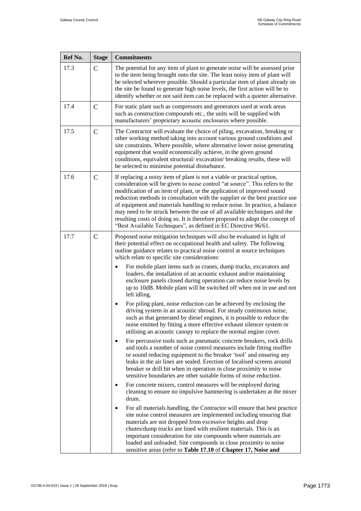| Ref No. | <b>Stage</b>  | <b>Commitments</b>                                                                                                                                                                                                                                                                                                                                                                                                                                                                                                                                                                                                               |
|---------|---------------|----------------------------------------------------------------------------------------------------------------------------------------------------------------------------------------------------------------------------------------------------------------------------------------------------------------------------------------------------------------------------------------------------------------------------------------------------------------------------------------------------------------------------------------------------------------------------------------------------------------------------------|
| 17.3    | $\mathbf C$   | The potential for any item of plant to generate noise will be assessed prior<br>to the item being brought onto the site. The least noisy item of plant will<br>be selected wherever possible. Should a particular item of plant already on<br>the site be found to generate high noise levels, the first action will be to<br>identify whether or not said item can be replaced with a quieter alternative.                                                                                                                                                                                                                      |
| 17.4    | $\mathsf{C}$  | For static plant such as compressors and generators used at work areas<br>such as construction compounds etc., the units will be supplied with<br>manufacturers' proprietary acoustic enclosures where possible.                                                                                                                                                                                                                                                                                                                                                                                                                 |
| 17.5    | $\mathcal{C}$ | The Contractor will evaluate the choice of piling, excavation, breaking or<br>other working method taking into account various ground conditions and<br>site constraints. Where possible, where alternative lower noise generating<br>equipment that would economically achieve, in the given ground<br>conditions, equivalent structural/excavation/breaking results, these will<br>be selected to minimise potential disturbance.                                                                                                                                                                                              |
| 17.6    | $\mathbf C$   | If replacing a noisy item of plant is not a viable or practical option,<br>consideration will be given to noise control "at source". This refers to the<br>modification of an item of plant, or the application of improved sound<br>reduction methods in consultation with the supplier or the best practice use<br>of equipment and materials handling to reduce noise. In practice, a balance<br>may need to be struck between the use of all available techniques and the<br>resulting costs of doing so. It is therefore proposed to adopt the concept of<br>"Best Available Techniques", as defined in EC Directive 96/61. |
| 17.7    | $\mathbf C$   | Proposed noise mitigation techniques will also be evaluated in light of<br>their potential effect on occupational health and safety. The following<br>outline guidance relates to practical noise control at source techniques<br>which relate to specific site considerations:<br>For mobile plant items such as cranes, dump trucks, excavators and<br>loaders, the installation of an acoustic exhaust and/or maintaining<br>enclosure panels closed during operation can reduce noise levels by<br>up to 10dB. Mobile plant will be switched off when not in use and not<br>left idling.                                     |
|         |               | For piling plant, noise reduction can be achieved by enclosing the<br>driving system in an acoustic shroud. For steady continuous noise,<br>such as that generated by diesel engines, it is possible to reduce the<br>noise emitted by fitting a more effective exhaust silencer system or<br>utilising an acoustic canopy to replace the normal engine cover.                                                                                                                                                                                                                                                                   |
|         |               | For percussive tools such as pneumatic concrete breakers, rock drills<br>and tools a number of noise control measures include fitting muffler<br>or sound reducing equipment to the breaker 'tool' and ensuring any<br>leaks in the air lines are sealed. Erection of localised screens around<br>breaker or drill bit when in operation in close proximity to noise<br>sensitive boundaries are other suitable forms of noise reduction.                                                                                                                                                                                        |
|         |               | For concrete mixers, control measures will be employed during<br>cleaning to ensure no impulsive hammering is undertaken at the mixer<br>drum.                                                                                                                                                                                                                                                                                                                                                                                                                                                                                   |
|         |               | For all materials handling, the Contractor will ensure that best practice<br>$\bullet$<br>site noise control measures are implemented including ensuring that<br>materials are not dropped from excessive heights and drop<br>chutes/dump trucks are lined with resilient materials. This is an<br>important consideration for site compounds where materials are<br>loaded and unloaded. Site compounds in close proximity to noise<br>sensitive areas (refer to Table 17.10 of Chapter 17, Noise and                                                                                                                           |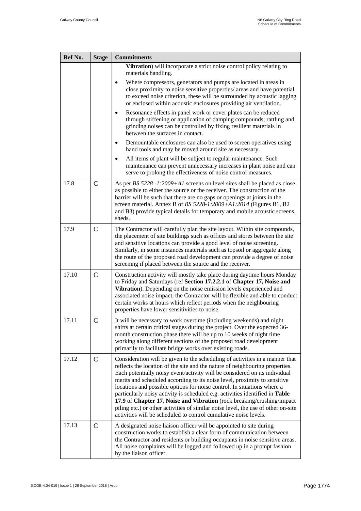| Ref No. | <b>Stage</b>  | <b>Commitments</b>                                                                                                                                                                                                                                                                                                                                                                                                                                                                                                                                                                                                                                                                                                    |
|---------|---------------|-----------------------------------------------------------------------------------------------------------------------------------------------------------------------------------------------------------------------------------------------------------------------------------------------------------------------------------------------------------------------------------------------------------------------------------------------------------------------------------------------------------------------------------------------------------------------------------------------------------------------------------------------------------------------------------------------------------------------|
|         |               | Vibration) will incorporate a strict noise control policy relating to<br>materials handling.                                                                                                                                                                                                                                                                                                                                                                                                                                                                                                                                                                                                                          |
|         |               | Where compressors, generators and pumps are located in areas in<br>close proximity to noise sensitive properties/ areas and have potential<br>to exceed noise criterion, these will be surrounded by acoustic lagging<br>or enclosed within acoustic enclosures providing air ventilation.                                                                                                                                                                                                                                                                                                                                                                                                                            |
|         |               | Resonance effects in panel work or cover plates can be reduced<br>through stiffening or application of damping compounds; rattling and<br>grinding noises can be controlled by fixing resilient materials in<br>between the surfaces in contact.                                                                                                                                                                                                                                                                                                                                                                                                                                                                      |
|         |               | Demountable enclosures can also be used to screen operatives using<br>hand tools and may be moved around site as necessary.                                                                                                                                                                                                                                                                                                                                                                                                                                                                                                                                                                                           |
|         |               | All items of plant will be subject to regular maintenance. Such<br>maintenance can prevent unnecessary increases in plant noise and can<br>serve to prolong the effectiveness of noise control measures.                                                                                                                                                                                                                                                                                                                                                                                                                                                                                                              |
| 17.8    | $\mathcal{C}$ | As per BS 5228 -1:2009+A1 screens on level sites shall be placed as close<br>as possible to either the source or the receiver. The construction of the<br>barrier will be such that there are no gaps or openings at joints in the<br>screen material. Annex B of BS 5228-1:2009+A1:2014 (Figures B1, B2<br>and B3) provide typical details for temporary and mobile acoustic screens,<br>sheds.                                                                                                                                                                                                                                                                                                                      |
| 17.9    | $\mathsf{C}$  | The Contractor will carefully plan the site layout. Within site compounds,<br>the placement of site buildings such as offices and stores between the site<br>and sensitive locations can provide a good level of noise screening.<br>Similarly, in some instances materials such as topsoil or aggregate along<br>the route of the proposed road development can provide a degree of noise<br>screening if placed between the source and the receiver.                                                                                                                                                                                                                                                                |
| 17.10   | $\mathsf{C}$  | Construction activity will mostly take place during daytime hours Monday<br>to Friday and Saturdays (ref Section 17.2.2.1 of Chapter 17, Noise and<br>Vibration). Depending on the noise emission levels experienced and<br>associated noise impact, the Contractor will be flexible and able to conduct<br>certain works at hours which reflect periods when the neighbouring<br>properties have lower sensitivities to noise.                                                                                                                                                                                                                                                                                       |
| 17.11   | $\mathcal{C}$ | It will be necessary to work overtime (including weekends) and night<br>shifts at certain critical stages during the project. Over the expected 36-<br>month construction phase there will be up to 10 weeks of night time<br>working along different sections of the proposed road development<br>primarily to facilitate bridge works over existing roads.                                                                                                                                                                                                                                                                                                                                                          |
| 17.12   | $\mathbf C$   | Consideration will be given to the scheduling of activities in a manner that<br>reflects the location of the site and the nature of neighbouring properties.<br>Each potentially noisy event/activity will be considered on its individual<br>merits and scheduled according to its noise level, proximity to sensitive<br>locations and possible options for noise control. In situations where a<br>particularly noisy activity is scheduled e.g. activities identified in Table<br>17.9 of Chapter 17, Noise and Vibration (rock breaking/crushing/impact<br>piling etc.) or other activities of similar noise level, the use of other on-site<br>activities will be scheduled to control cumulative noise levels. |
| 17.13   | $\mathsf{C}$  | A designated noise liaison officer will be appointed to site during<br>construction works to establish a clear form of communication between<br>the Contractor and residents or building occupants in noise sensitive areas.<br>All noise complaints will be logged and followed up in a prompt fashion<br>by the liaison officer.                                                                                                                                                                                                                                                                                                                                                                                    |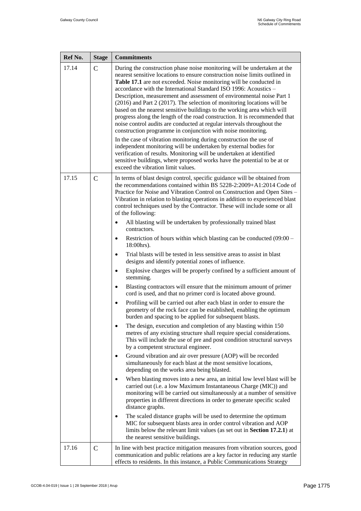| Ref No. | <b>Stage</b>  | <b>Commitments</b>                                                                                                                                                                                                                                                                                                                                                                                                                                                                                                                                                                                                                                                                                                                                                                                                                                                                                                                                                                                                                                                                                |
|---------|---------------|---------------------------------------------------------------------------------------------------------------------------------------------------------------------------------------------------------------------------------------------------------------------------------------------------------------------------------------------------------------------------------------------------------------------------------------------------------------------------------------------------------------------------------------------------------------------------------------------------------------------------------------------------------------------------------------------------------------------------------------------------------------------------------------------------------------------------------------------------------------------------------------------------------------------------------------------------------------------------------------------------------------------------------------------------------------------------------------------------|
| 17.14   | $\mathcal{C}$ | During the construction phase noise monitoring will be undertaken at the<br>nearest sensitive locations to ensure construction noise limits outlined in<br>Table 17.1 are not exceeded. Noise monitoring will be conducted in<br>accordance with the International Standard ISO 1996: Acoustics –<br>Description, measurement and assessment of environmental noise Part 1<br>$(2016)$ and Part 2 $(2017)$ . The selection of monitoring locations will be<br>based on the nearest sensitive buildings to the working area which will<br>progress along the length of the road construction. It is recommended that<br>noise control audits are conducted at regular intervals throughout the<br>construction programme in conjunction with noise monitoring.<br>In the case of vibration monitoring during construction the use of<br>independent monitoring will be undertaken by external bodies for<br>verification of results. Monitoring will be undertaken at identified<br>sensitive buildings, where proposed works have the potential to be at or<br>exceed the vibration limit values. |
| 17.15   | $\mathsf{C}$  | In terms of blast design control, specific guidance will be obtained from<br>the recommendations contained within BS 5228-2:2009+A1:2014 Code of<br>Practice for Noise and Vibration Control on Construction and Open Sites -<br>Vibration in relation to blasting operations in addition to experienced blast<br>control techniques used by the Contractor. These will include some or all<br>of the following:<br>All blasting will be undertaken by professionally trained blast<br>$\bullet$                                                                                                                                                                                                                                                                                                                                                                                                                                                                                                                                                                                                  |
|         |               | contractors.                                                                                                                                                                                                                                                                                                                                                                                                                                                                                                                                                                                                                                                                                                                                                                                                                                                                                                                                                                                                                                                                                      |
|         |               | Restriction of hours within which blasting can be conducted (09:00 -<br>$\bullet$<br>18:00hrs).                                                                                                                                                                                                                                                                                                                                                                                                                                                                                                                                                                                                                                                                                                                                                                                                                                                                                                                                                                                                   |
|         |               | Trial blasts will be tested in less sensitive areas to assist in blast<br>$\bullet$<br>designs and identify potential zones of influence.                                                                                                                                                                                                                                                                                                                                                                                                                                                                                                                                                                                                                                                                                                                                                                                                                                                                                                                                                         |
|         |               | Explosive charges will be properly confined by a sufficient amount of<br>٠<br>stemming.                                                                                                                                                                                                                                                                                                                                                                                                                                                                                                                                                                                                                                                                                                                                                                                                                                                                                                                                                                                                           |
|         |               | Blasting contractors will ensure that the minimum amount of primer<br>$\bullet$<br>cord is used, and that no primer cord is located above ground.                                                                                                                                                                                                                                                                                                                                                                                                                                                                                                                                                                                                                                                                                                                                                                                                                                                                                                                                                 |
|         |               | Profiling will be carried out after each blast in order to ensure the<br>$\bullet$<br>geometry of the rock face can be established, enabling the optimum<br>burden and spacing to be applied for subsequent blasts.                                                                                                                                                                                                                                                                                                                                                                                                                                                                                                                                                                                                                                                                                                                                                                                                                                                                               |
|         |               | The design, execution and completion of any blasting within 150<br>metres of any existing structure shall require special considerations.<br>This will include the use of pre and post condition structural surveys<br>by a competent structural engineer.                                                                                                                                                                                                                                                                                                                                                                                                                                                                                                                                                                                                                                                                                                                                                                                                                                        |
|         |               | Ground vibration and air over pressure (AOP) will be recorded<br>simultaneously for each blast at the most sensitive locations,<br>depending on the works area being blasted.                                                                                                                                                                                                                                                                                                                                                                                                                                                                                                                                                                                                                                                                                                                                                                                                                                                                                                                     |
|         |               | When blasting moves into a new area, an initial low level blast will be<br>$\bullet$<br>carried out (i.e. a low Maximum Instantaneous Charge (MIC)) and<br>monitoring will be carried out simultaneously at a number of sensitive<br>properties in different directions in order to generate specific scaled<br>distance graphs.                                                                                                                                                                                                                                                                                                                                                                                                                                                                                                                                                                                                                                                                                                                                                                  |
|         |               | The scaled distance graphs will be used to determine the optimum<br>MIC for subsequent blasts area in order control vibration and AOP<br>limits below the relevant limit values (as set out in Section 17.2.1) at<br>the nearest sensitive buildings.                                                                                                                                                                                                                                                                                                                                                                                                                                                                                                                                                                                                                                                                                                                                                                                                                                             |
| 17.16   | $\mathsf{C}$  | In line with best practice mitigation measures from vibration sources, good<br>communication and public relations are a key factor in reducing any startle<br>effects to residents. In this instance, a Public Communications Strategy                                                                                                                                                                                                                                                                                                                                                                                                                                                                                                                                                                                                                                                                                                                                                                                                                                                            |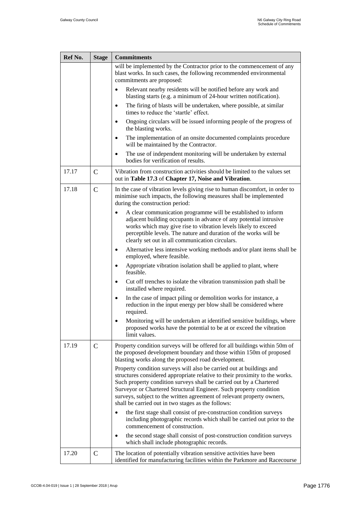| Ref No. | <b>Stage</b>  | <b>Commitments</b>                                                                                                                                                                                                                                                                                                                                                                                                               |
|---------|---------------|----------------------------------------------------------------------------------------------------------------------------------------------------------------------------------------------------------------------------------------------------------------------------------------------------------------------------------------------------------------------------------------------------------------------------------|
|         |               | will be implemented by the Contractor prior to the commencement of any<br>blast works. In such cases, the following recommended environmental<br>commitments are proposed:                                                                                                                                                                                                                                                       |
|         |               | Relevant nearby residents will be notified before any work and<br>$\bullet$<br>blasting starts (e.g. a minimum of 24-hour written notification).                                                                                                                                                                                                                                                                                 |
|         |               | The firing of blasts will be undertaken, where possible, at similar<br>$\bullet$<br>times to reduce the 'startle' effect.                                                                                                                                                                                                                                                                                                        |
|         |               | Ongoing circulars will be issued informing people of the progress of<br>$\bullet$<br>the blasting works.                                                                                                                                                                                                                                                                                                                         |
|         |               | The implementation of an onsite documented complaints procedure<br>$\bullet$<br>will be maintained by the Contractor.                                                                                                                                                                                                                                                                                                            |
|         |               | The use of independent monitoring will be undertaken by external<br>٠<br>bodies for verification of results.                                                                                                                                                                                                                                                                                                                     |
| 17.17   | $\mathcal{C}$ | Vibration from construction activities should be limited to the values set<br>out in Table 17.3 of Chapter 17, Noise and Vibration.                                                                                                                                                                                                                                                                                              |
| 17.18   | $\mathcal{C}$ | In the case of vibration levels giving rise to human discomfort, in order to<br>minimise such impacts, the following measures shall be implemented<br>during the construction period:                                                                                                                                                                                                                                            |
|         |               | A clear communication programme will be established to inform<br>adjacent building occupants in advance of any potential intrusive<br>works which may give rise to vibration levels likely to exceed<br>perceptible levels. The nature and duration of the works will be<br>clearly set out in all communication circulars.                                                                                                      |
|         |               | Alternative less intensive working methods and/or plant items shall be<br>$\bullet$<br>employed, where feasible.                                                                                                                                                                                                                                                                                                                 |
|         |               | Appropriate vibration isolation shall be applied to plant, where<br>$\bullet$<br>feasible.                                                                                                                                                                                                                                                                                                                                       |
|         |               | Cut off trenches to isolate the vibration transmission path shall be<br>$\bullet$<br>installed where required.                                                                                                                                                                                                                                                                                                                   |
|         |               | In the case of impact piling or demolition works for instance, a<br>$\bullet$<br>reduction in the input energy per blow shall be considered where<br>required.                                                                                                                                                                                                                                                                   |
|         |               | Monitoring will be undertaken at identified sensitive buildings, where<br>proposed works have the potential to be at or exceed the vibration<br>limit values.                                                                                                                                                                                                                                                                    |
| 17.19   | $\mathsf{C}$  | Property condition surveys will be offered for all buildings within 50m of<br>the proposed development boundary and those within 150m of proposed<br>blasting works along the proposed road development.                                                                                                                                                                                                                         |
|         |               | Property condition surveys will also be carried out at buildings and<br>structures considered appropriate relative to their proximity to the works.<br>Such property condition surveys shall be carried out by a Chartered<br>Surveyor or Chartered Structural Engineer. Such property condition<br>surveys, subject to the written agreement of relevant property owners,<br>shall be carried out in two stages as the follows: |
|         |               | the first stage shall consist of pre-construction condition surveys<br>including photographic records which shall be carried out prior to the<br>commencement of construction.                                                                                                                                                                                                                                                   |
|         |               | the second stage shall consist of post-construction condition surveys<br>which shall include photographic records.                                                                                                                                                                                                                                                                                                               |
| 17.20   | $\mathbf C$   | The location of potentially vibration sensitive activities have been<br>identified for manufacturing facilities within the Parkmore and Racecourse                                                                                                                                                                                                                                                                               |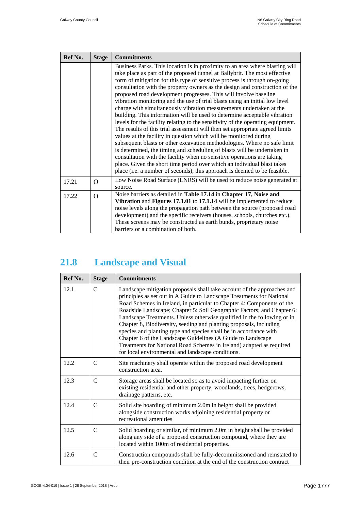| Ref No. | <b>Stage</b> | <b>Commitments</b>                                                                                                                                                                                                                                                                                                                                                                                                                                                                                                                                                                                                                                                                                                                                                                                                                                                                                                                                                                                                                                                                                                                                                                                                                                              |
|---------|--------------|-----------------------------------------------------------------------------------------------------------------------------------------------------------------------------------------------------------------------------------------------------------------------------------------------------------------------------------------------------------------------------------------------------------------------------------------------------------------------------------------------------------------------------------------------------------------------------------------------------------------------------------------------------------------------------------------------------------------------------------------------------------------------------------------------------------------------------------------------------------------------------------------------------------------------------------------------------------------------------------------------------------------------------------------------------------------------------------------------------------------------------------------------------------------------------------------------------------------------------------------------------------------|
|         |              | Business Parks. This location is in proximity to an area where blasting will<br>take place as part of the proposed tunnel at Ballybrit. The most effective<br>form of mitigation for this type of sensitive process is through on-going<br>consultation with the property owners as the design and construction of the<br>proposed road development progresses. This will involve baseline<br>vibration monitoring and the use of trial blasts using an initial low level<br>charge with simultaneously vibration measurements undertaken at the<br>building. This information will be used to determine acceptable vibration<br>levels for the facility relating to the sensitivity of the operating equipment.<br>The results of this trial assessment will then set appropriate agreed limits<br>values at the facility in question which will be monitored during<br>subsequent blasts or other excavation methodologies. Where no safe limit<br>is determined, the timing and scheduling of blasts will be undertaken in<br>consultation with the facility when no sensitive operations are taking<br>place. Given the short time period over which an individual blast takes<br>place (i.e. a number of seconds), this approach is deemed to be feasible. |
| 17.21   | $\Omega$     | Low Noise Road Surface (LNRS) will be used to reduce noise generated at<br>source.                                                                                                                                                                                                                                                                                                                                                                                                                                                                                                                                                                                                                                                                                                                                                                                                                                                                                                                                                                                                                                                                                                                                                                              |
| 17.22   | $\Omega$     | Noise barriers as detailed in Table 17.14 in Chapter 17, Noise and<br>Vibration and Figures 17.1.01 to 17.1.14 will be implemented to reduce<br>noise levels along the propagation path between the source (proposed road<br>development) and the specific receivers (houses, schools, churches etc.).<br>These screens may be constructed as earth bunds, proprietary noise                                                                                                                                                                                                                                                                                                                                                                                                                                                                                                                                                                                                                                                                                                                                                                                                                                                                                    |
|         |              | barriers or a combination of both.                                                                                                                                                                                                                                                                                                                                                                                                                                                                                                                                                                                                                                                                                                                                                                                                                                                                                                                                                                                                                                                                                                                                                                                                                              |

#### <span id="page-16-0"></span>**21.8 Landscape and Visual**

| Ref No. | <b>Stage</b>  | <b>Commitments</b>                                                                                                                                                                                                                                                                                                                                                                                                                                                                                                                                                                                                                                                                                                     |
|---------|---------------|------------------------------------------------------------------------------------------------------------------------------------------------------------------------------------------------------------------------------------------------------------------------------------------------------------------------------------------------------------------------------------------------------------------------------------------------------------------------------------------------------------------------------------------------------------------------------------------------------------------------------------------------------------------------------------------------------------------------|
| 12.1    | $\mathcal{C}$ | Landscape mitigation proposals shall take account of the approaches and<br>principles as set out in A Guide to Landscape Treatments for National<br>Road Schemes in Ireland, in particular to Chapter 4: Components of the<br>Roadside Landscape; Chapter 5: Soil Geographic Factors; and Chapter 6:<br>Landscape Treatments. Unless otherwise qualified in the following or in<br>Chapter 8, Biodiversity, seeding and planting proposals, including<br>species and planting type and species shall be in accordance with<br>Chapter 6 of the Landscape Guidelines (A Guide to Landscape<br>Treatments for National Road Schemes in Ireland) adapted as required<br>for local environmental and landscape conditions. |
| 12.2    | $\mathcal{C}$ | Site machinery shall operate within the proposed road development<br>construction area.                                                                                                                                                                                                                                                                                                                                                                                                                                                                                                                                                                                                                                |
| 12.3    | $\mathcal{C}$ | Storage areas shall be located so as to avoid impacting further on<br>existing residential and other property, woodlands, trees, hedgerows,<br>drainage patterns, etc.                                                                                                                                                                                                                                                                                                                                                                                                                                                                                                                                                 |
| 12.4    | C             | Solid site hoarding of minimum 2.0m in height shall be provided<br>alongside construction works adjoining residential property or<br>recreational amenities                                                                                                                                                                                                                                                                                                                                                                                                                                                                                                                                                            |
| 12.5    | $\mathcal{C}$ | Solid hoarding or similar, of minimum 2.0m in height shall be provided<br>along any side of a proposed construction compound, where they are<br>located within 100m of residential properties.                                                                                                                                                                                                                                                                                                                                                                                                                                                                                                                         |
| 12.6    | $\mathcal{C}$ | Construction compounds shall be fully-decommissioned and reinstated to<br>their pre-construction condition at the end of the construction contract                                                                                                                                                                                                                                                                                                                                                                                                                                                                                                                                                                     |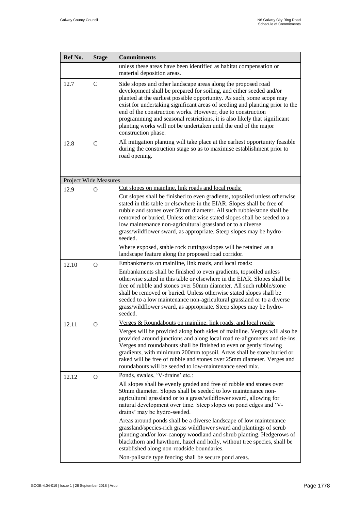| Ref No.                      | <b>Stage</b>   | <b>Commitments</b>                                                                                                                                                                                                                                                                                                                                                                                                                                                                                                                                                                                                                                                                                                         |
|------------------------------|----------------|----------------------------------------------------------------------------------------------------------------------------------------------------------------------------------------------------------------------------------------------------------------------------------------------------------------------------------------------------------------------------------------------------------------------------------------------------------------------------------------------------------------------------------------------------------------------------------------------------------------------------------------------------------------------------------------------------------------------------|
|                              |                | unless these areas have been identified as habitat compensation or<br>material deposition areas.                                                                                                                                                                                                                                                                                                                                                                                                                                                                                                                                                                                                                           |
| 12.7                         | $\mathbf C$    | Side slopes and other landscape areas along the proposed road<br>development shall be prepared for soiling, and either seeded and/or<br>planted at the earliest possible opportunity. As such, some scope may<br>exist for undertaking significant areas of seeding and planting prior to the<br>end of the construction works. However, due to construction<br>programming and seasonal restrictions, it is also likely that significant<br>planting works will not be undertaken until the end of the major<br>construction phase.                                                                                                                                                                                       |
| 12.8                         | $\mathbf C$    | All mitigation planting will take place at the earliest opportunity feasible<br>during the construction stage so as to maximise establishment prior to<br>road opening.                                                                                                                                                                                                                                                                                                                                                                                                                                                                                                                                                    |
| <b>Project Wide Measures</b> |                |                                                                                                                                                                                                                                                                                                                                                                                                                                                                                                                                                                                                                                                                                                                            |
| 12.9                         | $\overline{O}$ | Cut slopes on mainline, link roads and local roads:<br>Cut slopes shall be finished to even gradients, topsoiled unless otherwise<br>stated in this table or elsewhere in the EIAR. Slopes shall be free of<br>rubble and stones over 50mm diameter. All such rubble/stone shall be<br>removed or buried. Unless otherwise stated slopes shall be seeded to a<br>low maintenance non-agricultural grassland or to a diverse<br>grass/wildflower sward, as appropriate. Steep slopes may be hydro-<br>seeded.<br>Where exposed, stable rock cuttings/slopes will be retained as a<br>landscape feature along the proposed road corridor.                                                                                    |
| 12.10                        | $\Omega$       | Embankments on mainline, link roads, and local roads:                                                                                                                                                                                                                                                                                                                                                                                                                                                                                                                                                                                                                                                                      |
|                              |                | Embankments shall be finished to even gradients, topsoiled unless<br>otherwise stated in this table or elsewhere in the EIAR. Slopes shall be<br>free of rubble and stones over 50mm diameter. All such rubble/stone<br>shall be removed or buried. Unless otherwise stated slopes shall be<br>seeded to a low maintenance non-agricultural grassland or to a diverse<br>grass/wildflower sward, as appropriate. Steep slopes may be hydro-<br>seeded.                                                                                                                                                                                                                                                                     |
| 12.11                        | Ő              | Verges & Roundabouts on mainline, link roads, and local roads:                                                                                                                                                                                                                                                                                                                                                                                                                                                                                                                                                                                                                                                             |
|                              |                | Verges will be provided along both sides of mainline. Verges will also be<br>provided around junctions and along local road re-alignments and tie-ins.<br>Verges and roundabouts shall be finished to even or gently flowing<br>gradients, with minimum 200mm topsoil. Areas shall be stone buried or<br>raked will be free of rubble and stones over 25mm diameter. Verges and<br>roundabouts will be seeded to low-maintenance seed mix.                                                                                                                                                                                                                                                                                 |
| 12.12                        | $\Omega$       | Ponds, swales, 'V-drains' etc.:                                                                                                                                                                                                                                                                                                                                                                                                                                                                                                                                                                                                                                                                                            |
|                              |                | All slopes shall be evenly graded and free of rubble and stones over<br>50mm diameter. Slopes shall be seeded to low maintenance non-<br>agricultural grassland or to a grass/wildflower sward, allowing for<br>natural development over time. Steep slopes on pond edges and 'V-<br>drains' may be hydro-seeded.<br>Areas around ponds shall be a diverse landscape of low maintenance<br>grassland/species-rich grass wildflower sward and plantings of scrub<br>planting and/or low-canopy woodland and shrub planting. Hedgerows of<br>blackthorn and hawthorn, hazel and holly, without tree species, shall be<br>established along non-roadside boundaries.<br>Non-palisade type fencing shall be secure pond areas. |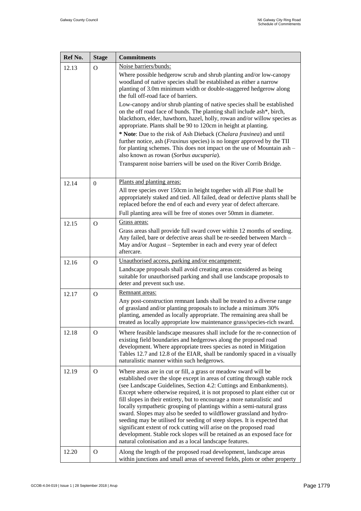| Ref No. | <b>Stage</b>   | <b>Commitments</b>                                                                                                                                                                                                                                                                                                                                                                                                                                                                                                                                                                                                                                                                                                                                                                                                  |
|---------|----------------|---------------------------------------------------------------------------------------------------------------------------------------------------------------------------------------------------------------------------------------------------------------------------------------------------------------------------------------------------------------------------------------------------------------------------------------------------------------------------------------------------------------------------------------------------------------------------------------------------------------------------------------------------------------------------------------------------------------------------------------------------------------------------------------------------------------------|
| 12.13   | $\overline{O}$ | Noise barriers/bunds:                                                                                                                                                                                                                                                                                                                                                                                                                                                                                                                                                                                                                                                                                                                                                                                               |
|         |                | Where possible hedgerow scrub and shrub planting and/or low-canopy<br>woodland of native species shall be established as either a narrow<br>planting of 3.0m minimum width or double-staggered hedgerow along<br>the full off-road face of barriers.                                                                                                                                                                                                                                                                                                                                                                                                                                                                                                                                                                |
|         |                | Low-canopy and/or shrub planting of native species shall be established<br>on the off road face of bunds. The planting shall include ash*, birch,<br>blackthorn, elder, hawthorn, hazel, holly, rowan and/or willow species as<br>appropriate. Plants shall be 90 to 120cm in height at planting.<br>* Note: Due to the risk of Ash Dieback (Chalara fraxinea) and until                                                                                                                                                                                                                                                                                                                                                                                                                                            |
|         |                | further notice, ash ( <i>Fraxinus</i> species) is no longer approved by the TII<br>for planting schemes. This does not impact on the use of Mountain ash -<br>also known as rowan (Sorbus aucuparia).                                                                                                                                                                                                                                                                                                                                                                                                                                                                                                                                                                                                               |
|         |                | Transparent noise barriers will be used on the River Corrib Bridge.                                                                                                                                                                                                                                                                                                                                                                                                                                                                                                                                                                                                                                                                                                                                                 |
| 12.14   | $\Omega$       | Plants and planting areas:                                                                                                                                                                                                                                                                                                                                                                                                                                                                                                                                                                                                                                                                                                                                                                                          |
|         |                | All tree species over 150cm in height together with all Pine shall be<br>appropriately staked and tied. All failed, dead or defective plants shall be<br>replaced before the end of each and every year of defect aftercare.                                                                                                                                                                                                                                                                                                                                                                                                                                                                                                                                                                                        |
|         |                | Full planting area will be free of stones over 50mm in diameter.                                                                                                                                                                                                                                                                                                                                                                                                                                                                                                                                                                                                                                                                                                                                                    |
| 12.15   | $\Omega$       | Grass areas:                                                                                                                                                                                                                                                                                                                                                                                                                                                                                                                                                                                                                                                                                                                                                                                                        |
|         |                | Grass areas shall provide full sward cover within 12 months of seeding.<br>Any failed, bare or defective areas shall be re-seeded between March -<br>May and/or August - September in each and every year of defect<br>aftercare.                                                                                                                                                                                                                                                                                                                                                                                                                                                                                                                                                                                   |
| 12.16   | $\Omega$       | Unauthorised access, parking and/or encampment:                                                                                                                                                                                                                                                                                                                                                                                                                                                                                                                                                                                                                                                                                                                                                                     |
|         |                | Landscape proposals shall avoid creating areas considered as being<br>suitable for unauthorised parking and shall use landscape proposals to<br>deter and prevent such use.                                                                                                                                                                                                                                                                                                                                                                                                                                                                                                                                                                                                                                         |
| 12.17   | $\Omega$       | Remnant areas:                                                                                                                                                                                                                                                                                                                                                                                                                                                                                                                                                                                                                                                                                                                                                                                                      |
|         |                | Any post-construction remnant lands shall be treated to a diverse range<br>of grassland and/or planting proposals to include a minimum 30%<br>planting, amended as locally appropriate. The remaining area shall be<br>treated as locally appropriate low maintenance grass/species-rich sward.                                                                                                                                                                                                                                                                                                                                                                                                                                                                                                                     |
| 12.18   | $\Omega$       | Where feasible landscape measures shall include for the re-connection of<br>existing field boundaries and hedgerows along the proposed road<br>development. Where appropriate trees species as noted in Mitigation<br>Tables 12.7 and 12.8 of the EIAR, shall be randomly spaced in a visually<br>naturalistic manner within such hedgerows.                                                                                                                                                                                                                                                                                                                                                                                                                                                                        |
| 12.19   | $\Omega$       | Where areas are in cut or fill, a grass or meadow sward will be<br>established over the slope except in areas of cutting through stable rock<br>(see Landscape Guidelines, Section 4.2: Cuttings and Embankments).<br>Except where otherwise required, it is not proposed to plant either cut or<br>fill slopes in their entirety, but to encourage a more naturalistic and<br>locally sympathetic grouping of plantings within a semi-natural grass<br>sward. Slopes may also be seeded to wildflower grassland and hydro-<br>seeding may be utilised for seeding of steep slopes. It is expected that<br>significant extent of rock cutting will arise on the proposed road<br>development. Stable rock slopes will be retained as an exposed face for<br>natural colonisation and as a local landscape features. |
| 12.20   | $\Omega$       | Along the length of the proposed road development, landscape areas<br>within junctions and small areas of severed fields, plots or other property                                                                                                                                                                                                                                                                                                                                                                                                                                                                                                                                                                                                                                                                   |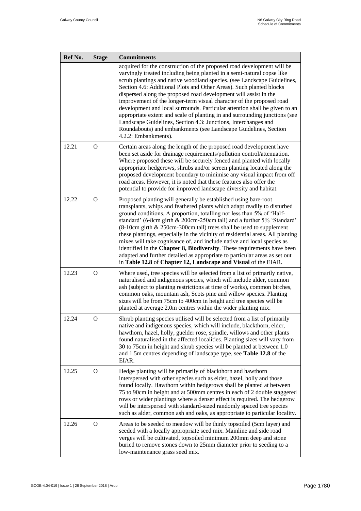| Ref No. | <b>Stage</b> | <b>Commitments</b>                                                                                                                                                                                                                                                                                                                                                                                                                                                                                                                                                                                                                                                                                                                                                      |
|---------|--------------|-------------------------------------------------------------------------------------------------------------------------------------------------------------------------------------------------------------------------------------------------------------------------------------------------------------------------------------------------------------------------------------------------------------------------------------------------------------------------------------------------------------------------------------------------------------------------------------------------------------------------------------------------------------------------------------------------------------------------------------------------------------------------|
|         |              | acquired for the construction of the proposed road development will be<br>varyingly treated including being planted in a semi-natural copse like<br>scrub plantings and native woodland species. (see Landscape Guidelines,<br>Section 4.6: Additional Plots and Other Areas). Such planted blocks<br>dispersed along the proposed road development will assist in the<br>improvement of the longer-term visual character of the proposed road<br>development and local surrounds. Particular attention shall be given to an<br>appropriate extent and scale of planting in and surrounding junctions (see<br>Landscape Guidelines, Section 4.3: Junctions, Interchanges and<br>Roundabouts) and embankments (see Landscape Guidelines, Section<br>4.2.2: Embankments). |
| 12.21   | $\Omega$     | Certain areas along the length of the proposed road development have<br>been set aside for drainage requirements/pollution control/attenuation.<br>Where proposed these will be securely fenced and planted with locally<br>appropriate hedgerows, shrubs and/or screen planting located along the<br>proposed development boundary to minimise any visual impact from off<br>road areas. However, it is noted that these features also offer the<br>potential to provide for improved landscape diversity and habitat.                                                                                                                                                                                                                                                 |
| 12.22   | $\Omega$     | Proposed planting will generally be established using bare-root<br>transplants, whips and feathered plants which adapt readily to disturbed<br>ground conditions. A proportion, totalling not less than 5% of 'Half-<br>standard' (6-8cm girth & 200cm-250cm tall) and a further 5% 'Standard'<br>(8-10cm girth & 250cm-300cm tall) trees shall be used to supplement<br>these plantings, especially in the vicinity of residential areas. All planting<br>mixes will take cognisance of, and include native and local species as<br>identified in the Chapter 8, Biodiversity. These requirements have been<br>adapted and further detailed as appropriate to particular areas as set out<br>in Table 12.8 of Chapter 12, Landscape and Visual of the EIAR.            |
| 12.23   | $\Omega$     | Where used, tree species will be selected from a list of primarily native,<br>naturalised and indigenous species, which will include alder, common<br>ash (subject to planting restrictions at time of works), common birches,<br>common oaks, mountain ash, Scots pine and willow species. Planting<br>sizes will be from 75cm to 400cm in height and tree species will be<br>planted at average 2.0m centres within the wider planting mix.                                                                                                                                                                                                                                                                                                                           |
| 12.24   | $\Omega$     | Shrub planting species utilised will be selected from a list of primarily<br>native and indigenous species, which will include, blackthorn, elder,<br>hawthorn, hazel, holly, guelder rose, spindle, willows and other plants<br>found naturalised in the affected localities. Planting sizes will vary from<br>30 to 75cm in height and shrub species will be planted at between 1.0<br>and 1.5m centres depending of landscape type, see <b>Table 12.8</b> of the<br>EIAR.                                                                                                                                                                                                                                                                                            |
| 12.25   | $\Omega$     | Hedge planting will be primarily of blackthorn and hawthorn<br>interspersed with other species such as elder, hazel, holly and those<br>found locally. Hawthorn within hedgerows shall be planted at between<br>75 to 90cm in height and at 500mm centres in each of 2 double staggered<br>rows or wider plantings where a denser effect is required. The hedgerow<br>will be interspersed with standard-sized randomly spaced tree species<br>such as alder, common ash and oaks, as appropriate to particular locality.                                                                                                                                                                                                                                               |
| 12.26   | $\Omega$     | Areas to be seeded to meadow will be thinly topsoiled (5cm layer) and<br>seeded with a locally appropriate seed mix. Mainline and side road<br>verges will be cultivated, topsoiled minimum 200mm deep and stone<br>buried to remove stones down to 25mm diameter prior to seeding to a<br>low-maintenance grass seed mix.                                                                                                                                                                                                                                                                                                                                                                                                                                              |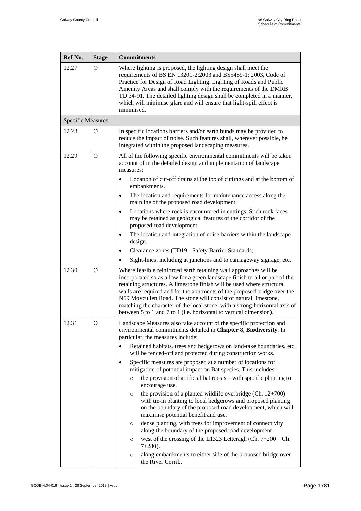| Ref No.                  | <b>Stage</b> | <b>Commitments</b>                                                                                                                                                                                                                                                                                                                                                                                                                                                                                                              |
|--------------------------|--------------|---------------------------------------------------------------------------------------------------------------------------------------------------------------------------------------------------------------------------------------------------------------------------------------------------------------------------------------------------------------------------------------------------------------------------------------------------------------------------------------------------------------------------------|
| 12.27                    | O            | Where lighting is proposed, the lighting design shall meet the<br>requirements of BS EN 13201-2:2003 and BS5489-1: 2003, Code of<br>Practice for Design of Road Lighting. Lighting of Roads and Public<br>Amenity Areas and shall comply with the requirements of the DMRB<br>TD 34-91. The detailed lighting design shall be completed in a manner,<br>which will minimise glare and will ensure that light-spill effect is<br>minimised.                                                                                      |
| <b>Specific Measures</b> |              |                                                                                                                                                                                                                                                                                                                                                                                                                                                                                                                                 |
| 12.28                    | $\Omega$     | In specific locations barriers and/or earth bunds may be provided to<br>reduce the impact of noise. Such features shall, wherever possible, be<br>integrated within the proposed landscaping measures.                                                                                                                                                                                                                                                                                                                          |
| 12.29                    | $\Omega$     | All of the following specific environmental commitments will be taken<br>account of in the detailed design and implementation of landscape<br>measures:                                                                                                                                                                                                                                                                                                                                                                         |
|                          |              | Location of cut-off drains at the top of cuttings and at the bottom of<br>embankments.                                                                                                                                                                                                                                                                                                                                                                                                                                          |
|                          |              | The location and requirements for maintenance access along the<br>$\bullet$<br>mainline of the proposed road development.                                                                                                                                                                                                                                                                                                                                                                                                       |
|                          |              | Locations where rock is encountered in cuttings. Such rock faces<br>$\bullet$<br>may be retained as geological features of the corridor of the<br>proposed road development.                                                                                                                                                                                                                                                                                                                                                    |
|                          |              | The location and integration of noise barriers within the landscape<br>٠<br>design.                                                                                                                                                                                                                                                                                                                                                                                                                                             |
|                          |              | Clearance zones (TD19 - Safety Barrier Standards).<br>$\bullet$                                                                                                                                                                                                                                                                                                                                                                                                                                                                 |
|                          |              | Sight-lines, including at junctions and to carriageway signage, etc.                                                                                                                                                                                                                                                                                                                                                                                                                                                            |
| 12.30                    | $\Omega$     | Where feasible reinforced earth retaining wall approaches will be<br>incorporated so as allow for a green landscape finish to all or part of the<br>retaining structures. A limestone finish will be used where structural<br>walls are required and for the abutments of the proposed bridge over the<br>N59 Moycullen Road. The stone will consist of natural limestone,<br>matching the character of the local stone, with a strong horizontal axis of<br>between 5 to 1 and 7 to 1 (i.e. horizontal to vertical dimension). |
| 12.31                    | O            | Landscape Measures also take account of the specific protection and<br>environmental commitments detailed in Chapter 8, Biodiversity. In<br>particular, the measures include:                                                                                                                                                                                                                                                                                                                                                   |
|                          |              | Retained habitats, trees and hedgerows on land-take boundaries, etc.<br>will be fenced-off and protected during construction works.                                                                                                                                                                                                                                                                                                                                                                                             |
|                          |              | Specific measures are proposed at a number of locations for<br>$\bullet$<br>mitigation of potential impact on Bat species. This includes:                                                                                                                                                                                                                                                                                                                                                                                       |
|                          |              | the provision of artificial bat roosts $-$ with specific planting to<br>$\circ$<br>encourage use.                                                                                                                                                                                                                                                                                                                                                                                                                               |
|                          |              | the provision of a planted wildlife overbridge (Ch. $12+700$ )<br>$\circ$<br>with tie-in planting to local hedgerows and proposed planting<br>on the boundary of the proposed road development, which will<br>maximise potential benefit and use.                                                                                                                                                                                                                                                                               |
|                          |              | dense planting, with trees for improvement of connectivity<br>$\circ$<br>along the boundary of the proposed road development:                                                                                                                                                                                                                                                                                                                                                                                                   |
|                          |              | west of the crossing of the L1323 Letteragh (Ch. $7+200$ – Ch.<br>O<br>$7+280$ ).                                                                                                                                                                                                                                                                                                                                                                                                                                               |
|                          |              | along embankments to either side of the proposed bridge over<br>O<br>the River Corrib.                                                                                                                                                                                                                                                                                                                                                                                                                                          |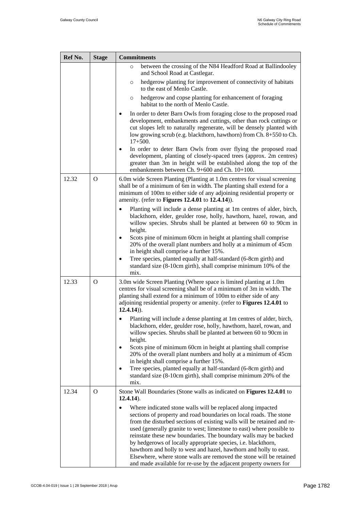| Ref No. | <b>Stage</b> | <b>Commitments</b>                                                                                                                                                                                                                                                                                                                                                                                                                                                                                                                                                                                                                                                          |
|---------|--------------|-----------------------------------------------------------------------------------------------------------------------------------------------------------------------------------------------------------------------------------------------------------------------------------------------------------------------------------------------------------------------------------------------------------------------------------------------------------------------------------------------------------------------------------------------------------------------------------------------------------------------------------------------------------------------------|
|         |              | between the crossing of the N84 Headford Road at Ballindooley<br>$\circ$<br>and School Road at Castlegar.                                                                                                                                                                                                                                                                                                                                                                                                                                                                                                                                                                   |
|         |              | hedgerow planting for improvement of connectivity of habitats<br>$\circ$<br>to the east of Menlo Castle.                                                                                                                                                                                                                                                                                                                                                                                                                                                                                                                                                                    |
|         |              | hedgerow and copse planting for enhancement of foraging<br>$\circ$<br>habitat to the north of Menlo Castle.                                                                                                                                                                                                                                                                                                                                                                                                                                                                                                                                                                 |
|         |              | In order to deter Barn Owls from foraging close to the proposed road<br>development, embankments and cuttings, other than rock cuttings or<br>cut slopes left to naturally regenerate, will be densely planted with<br>low growing scrub (e.g. blackthorn, hawthorn) from Ch. 8+550 to Ch.<br>$17 + 500.$<br>In order to deter Barn Owls from over flying the proposed road<br>٠<br>development, planting of closely-spaced trees (approx. 2m centres)<br>greater than 3m in height will be established along the top of the<br>embankments between Ch. 9+600 and Ch. 10+100.                                                                                               |
| 12.32   | $\Omega$     | 6.0m wide Screen Planting (Planting at 1.0m centres for visual screening<br>shall be of a minimum of 6m in width. The planting shall extend for a<br>minimum of 100m to either side of any adjoining residential property or<br>amenity. (refer to Figures 12.4.01 to 12.4.14)).                                                                                                                                                                                                                                                                                                                                                                                            |
|         |              | Planting will include a dense planting at 1m centres of alder, birch,<br>blackthorn, elder, geulder rose, holly, hawthorn, hazel, rowan, and<br>willow species. Shrubs shall be planted at between 60 to 90cm in<br>height.                                                                                                                                                                                                                                                                                                                                                                                                                                                 |
|         |              | Scots pine of minimum 60cm in height at planting shall comprise<br>20% of the overall plant numbers and holly at a minimum of 45cm<br>in height shall comprise a further 15%.                                                                                                                                                                                                                                                                                                                                                                                                                                                                                               |
|         |              | Tree species, planted equally at half-standard (6-8cm girth) and<br>٠<br>standard size (8-10cm girth), shall comprise minimum 10% of the<br>mix.                                                                                                                                                                                                                                                                                                                                                                                                                                                                                                                            |
| 12.33   | $\Omega$     | 3.0m wide Screen Planting (Where space is limited planting at 1.0m<br>centres for visual screening shall be of a minimum of 3m in width. The<br>planting shall extend for a minimum of 100m to either side of any<br>adjoining residential property or amenity. (refer to Figures 12.4.01 to<br>$12.4.14)$ ).                                                                                                                                                                                                                                                                                                                                                               |
|         |              | Planting will include a dense planting at 1m centres of alder, birch,<br>blackthorn, elder, geulder rose, holly, hawthorn, hazel, rowan, and<br>willow species. Shrubs shall be planted at between 60 to 90cm in<br>height.<br>Scots pine of minimum 60cm in height at planting shall comprise<br>20% of the overall plant numbers and holly at a minimum of 45cm<br>in height shall comprise a further 15%.<br>Tree species, planted equally at half-standard (6-8cm girth) and<br>$\bullet$<br>standard size (8-10cm girth), shall comprise minimum 20% of the<br>mix.                                                                                                    |
| 12.34   | $\Omega$     | Stone Wall Boundaries (Stone walls as indicated on Figures 12.4.01 to<br>$12.4.14$ ).<br>Where indicated stone walls will be replaced along impacted<br>$\bullet$<br>sections of property and road boundaries on local roads. The stone<br>from the disturbed sections of existing walls will be retained and re-<br>used (generally granite to west; limestone to east) where possible to<br>reinstate these new boundaries. The boundary walls may be backed<br>by hedgerows of locally appropriate species, i.e. blackthorn,<br>hawthorn and holly to west and hazel, hawthorn and holly to east.<br>Elsewhere, where stone walls are removed the stone will be retained |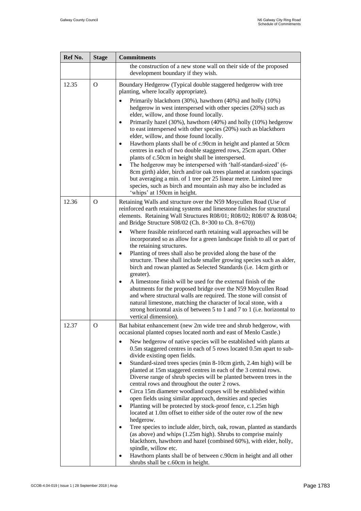| Ref No. | <b>Stage</b> | <b>Commitments</b>                                                                                                                                                                                                                                                                                                                                                                                                                                                                                                                                                                                                                                                                                                                                                                                                                                                                                                                                                                                                                                                                                                                                                                                                                                                   |
|---------|--------------|----------------------------------------------------------------------------------------------------------------------------------------------------------------------------------------------------------------------------------------------------------------------------------------------------------------------------------------------------------------------------------------------------------------------------------------------------------------------------------------------------------------------------------------------------------------------------------------------------------------------------------------------------------------------------------------------------------------------------------------------------------------------------------------------------------------------------------------------------------------------------------------------------------------------------------------------------------------------------------------------------------------------------------------------------------------------------------------------------------------------------------------------------------------------------------------------------------------------------------------------------------------------|
|         |              | the construction of a new stone wall on their side of the proposed<br>development boundary if they wish.                                                                                                                                                                                                                                                                                                                                                                                                                                                                                                                                                                                                                                                                                                                                                                                                                                                                                                                                                                                                                                                                                                                                                             |
| 12.35   | $\Omega$     | Boundary Hedgerow (Typical double staggered hedgerow with tree<br>planting, where locally appropriate).<br>Primarily blackthorn (30%), hawthorn (40%) and holly (10%)<br>hedgerow in west interspersed with other species (20%) such as<br>elder, willow, and those found locally.<br>Primarily hazel (30%), hawthorn (40%) and holly (10%) hedgerow<br>$\bullet$<br>to east interspersed with other species (20%) such as blackthorn<br>elder, willow, and those found locally.<br>Hawthorn plants shall be of c.90cm in height and planted at 50cm<br>$\bullet$<br>centres in each of two double staggered rows, 25cm apart. Other<br>plants of c.50cm in height shall be interspersed.<br>The hedgerow may be interspersed with 'half-standard-sized' (6-<br>8cm girth) alder, birch and/or oak trees planted at random spacings<br>but averaging a min. of 1 tree per 25 linear metre. Limited tree<br>species, such as birch and mountain ash may also be included as<br>'whips' at 150cm in height.                                                                                                                                                                                                                                                            |
| 12.36   | $\mathbf{O}$ | Retaining Walls and structure over the N59 Moycullen Road (Use of<br>reinforced earth retaining systems and limestone finishes for structural<br>elements. Retaining Wall Structures R08/01; R08/02; R08/07 & R08/04;<br>and Bridge Structure $S08/02$ (Ch. 8+300 to Ch. 8+670))<br>Where feasible reinforced earth retaining wall approaches will be<br>incorporated so as allow for a green landscape finish to all or part of<br>the retaining structures.<br>Planting of trees shall also be provided along the base of the<br>$\bullet$<br>structure. These shall include smaller growing species such as alder,<br>birch and rowan planted as Selected Standards (i.e. 14cm girth or<br>greater).<br>A limestone finish will be used for the external finish of the<br>٠<br>abutments for the proposed bridge over the N59 Moycullen Road<br>and where structural walls are required. The stone will consist of<br>natural limestone, matching the character of local stone, with a<br>strong horizontal axis of between 5 to 1 and 7 to 1 (i.e. horizontal to<br>vertical dimension).                                                                                                                                                                         |
| 12.37   | Ő            | Bat habitat enhancement (new 2m wide tree and shrub hedgerow, with<br>occasional planted copses located north and east of Menlo Castle.)<br>New hedgerow of native species will be established with plants at<br>$\bullet$<br>0.5m staggered centres in each of 5 rows located 0.5m apart to sub-<br>divide existing open fields.<br>Standard-sized trees species (min 8-10cm girth, 2.4m high) will be<br>$\bullet$<br>planted at 15m staggered centres in each of the 3 central rows.<br>Diverse range of shrub species will be planted between trees in the<br>central rows and throughout the outer 2 rows.<br>Circa 15m diameter woodland copses will be established within<br>٠<br>open fields using similar approach, densities and species<br>Planting will be protected by stock-proof fence, c.1.25m high<br>$\bullet$<br>located at 1.0m offset to either side of the outer row of the new<br>hedgerow.<br>Tree species to include alder, birch, oak, rowan, planted as standards<br>(as above) and whips (1.25m high). Shrubs to comprise mainly<br>blackthorn, hawthorn and hazel (combined 60%), with elder, holly,<br>spindle, willow etc.<br>Hawthorn plants shall be of between c.90cm in height and all other<br>shrubs shall be c.60cm in height. |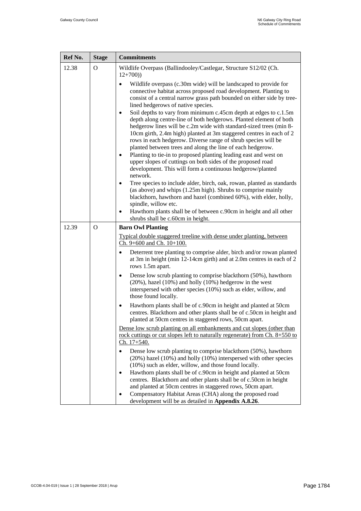| Ref No. | <b>Stage</b> | <b>Commitments</b>                                                                                                                                                                                                                                                                                                                                                                                                                                                                                                                                                                                                                                                                                                                                                                                                                                                                                                                                                                                      |
|---------|--------------|---------------------------------------------------------------------------------------------------------------------------------------------------------------------------------------------------------------------------------------------------------------------------------------------------------------------------------------------------------------------------------------------------------------------------------------------------------------------------------------------------------------------------------------------------------------------------------------------------------------------------------------------------------------------------------------------------------------------------------------------------------------------------------------------------------------------------------------------------------------------------------------------------------------------------------------------------------------------------------------------------------|
| 12.38   | $\Omega$     | Wildlife Overpass (Ballindooley/Castlegar, Structure S12/02 (Ch.<br>$12+700)$                                                                                                                                                                                                                                                                                                                                                                                                                                                                                                                                                                                                                                                                                                                                                                                                                                                                                                                           |
|         |              | Wildlife overpass (c.30m wide) will be landscaped to provide for<br>connective habitat across proposed road development. Planting to<br>consist of a central narrow grass path bounded on either side by tree-<br>lined hedgerows of native species.<br>Soil depths to vary from minimum c.45cm depth at edges to c.1.5m<br>$\bullet$<br>depth along centre-line of both hedgerows. Planted element of both<br>hedgerow lines will be c.2m wide with standard-sized trees (min 8-<br>10cm girth, 2.4m high) planted at 3m staggered centres in each of 2<br>rows in each hedgerow. Diverse range of shrub species will be<br>planted between trees and along the line of each hedgerow.<br>Planting to tie-in to proposed planting leading east and west on<br>$\bullet$<br>upper slopes of cuttings on both sides of the proposed road<br>development. This will form a continuous hedgerow/planted<br>network.<br>Tree species to include alder, birch, oak, rowan, planted as standards<br>$\bullet$ |
|         |              | (as above) and whips (1.25m high). Shrubs to comprise mainly<br>blackthorn, hawthorn and hazel (combined 60%), with elder, holly,<br>spindle, willow etc.                                                                                                                                                                                                                                                                                                                                                                                                                                                                                                                                                                                                                                                                                                                                                                                                                                               |
|         |              | Hawthorn plants shall be of between c.90cm in height and all other<br>$\bullet$<br>shrubs shall be c.60cm in height.                                                                                                                                                                                                                                                                                                                                                                                                                                                                                                                                                                                                                                                                                                                                                                                                                                                                                    |
| 12.39   | $\Omega$     | <b>Barn Owl Planting</b>                                                                                                                                                                                                                                                                                                                                                                                                                                                                                                                                                                                                                                                                                                                                                                                                                                                                                                                                                                                |
|         |              | Typical double staggered treeline with dense under planting, between<br>Ch. 9+600 and Ch. 10+100.                                                                                                                                                                                                                                                                                                                                                                                                                                                                                                                                                                                                                                                                                                                                                                                                                                                                                                       |
|         |              | Deterrent tree planting to comprise alder, birch and/or rowan planted<br>$\bullet$<br>at 3m in height (min 12-14cm girth) and at 2.0m centres in each of 2<br>rows 1.5m apart.                                                                                                                                                                                                                                                                                                                                                                                                                                                                                                                                                                                                                                                                                                                                                                                                                          |
|         |              | Dense low scrub planting to comprise blackthorn (50%), hawthorn<br>$\bullet$<br>$(20\%)$ , hazel $(10\%)$ and holly $(10\%)$ hedgerow in the west<br>interspersed with other species (10%) such as elder, willow, and<br>those found locally.                                                                                                                                                                                                                                                                                                                                                                                                                                                                                                                                                                                                                                                                                                                                                           |
|         |              | Hawthorn plants shall be of c.90cm in height and planted at 50cm<br>$\bullet$<br>centres. Blackthorn and other plants shall be of c.50cm in height and<br>planted at 50cm centres in staggered rows, 50cm apart.                                                                                                                                                                                                                                                                                                                                                                                                                                                                                                                                                                                                                                                                                                                                                                                        |
|         |              | Dense low scrub planting on all embankments and cut slopes (other than<br>rock cuttings or cut slopes left to naturally regenerate) from Ch. 8+550 to<br>Ch. 17+540.                                                                                                                                                                                                                                                                                                                                                                                                                                                                                                                                                                                                                                                                                                                                                                                                                                    |
|         |              | Dense low scrub planting to comprise blackthorn (50%), hawthorn<br>(20%) hazel (10%) and holly (10%) interspersed with other species<br>(10%) such as elder, willow, and those found locally.<br>Hawthorn plants shall be of c.90cm in height and planted at 50cm<br>$\bullet$<br>centres. Blackthorn and other plants shall be of c.50cm in height<br>and planted at 50cm centres in staggered rows, 50cm apart.<br>Compensatory Habitat Areas (CHA) along the proposed road<br>development will be as detailed in Appendix A.8.26.                                                                                                                                                                                                                                                                                                                                                                                                                                                                    |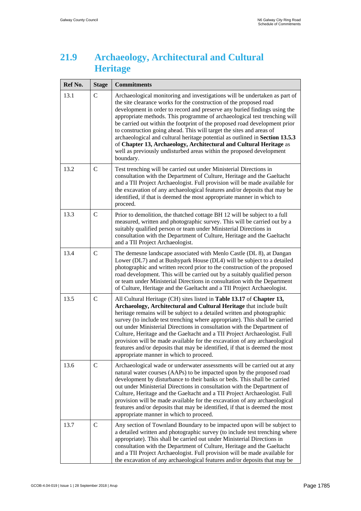#### <span id="page-24-0"></span>**21.9 Archaeology, Architectural and Cultural Heritage**

| Ref No. | <b>Stage</b>  | <b>Commitments</b>                                                                                                                                                                                                                                                                                                                                                                                                                                                                                                                                                                                                                                                                                          |
|---------|---------------|-------------------------------------------------------------------------------------------------------------------------------------------------------------------------------------------------------------------------------------------------------------------------------------------------------------------------------------------------------------------------------------------------------------------------------------------------------------------------------------------------------------------------------------------------------------------------------------------------------------------------------------------------------------------------------------------------------------|
| 13.1    | $\mathcal{C}$ | Archaeological monitoring and investigations will be undertaken as part of<br>the site clearance works for the construction of the proposed road<br>development in order to record and preserve any buried findings using the<br>appropriate methods. This programme of archaeological test trenching will<br>be carried out within the footprint of the proposed road development prior<br>to construction going ahead. This will target the sites and areas of<br>archaeological and cultural heritage potential as outlined in Section 13.5.3<br>of Chapter 13, Archaeology, Architectural and Cultural Heritage as<br>well as previously undisturbed areas within the proposed development<br>boundary. |
| 13.2    | $\mathsf{C}$  | Test trenching will be carried out under Ministerial Directions in<br>consultation with the Department of Culture, Heritage and the Gaeltacht<br>and a TII Project Archaeologist. Full provision will be made available for<br>the excavation of any archaeological features and/or deposits that may be<br>identified, if that is deemed the most appropriate manner in which to<br>proceed.                                                                                                                                                                                                                                                                                                               |
| 13.3    | $\mathbf C$   | Prior to demolition, the thatched cottage BH 12 will be subject to a full<br>measured, written and photographic survey. This will be carried out by a<br>suitably qualified person or team under Ministerial Directions in<br>consultation with the Department of Culture, Heritage and the Gaeltacht<br>and a TII Project Archaeologist.                                                                                                                                                                                                                                                                                                                                                                   |
| 13.4    | $\mathsf{C}$  | The demesne landscape associated with Menlo Castle (DL 8), at Dangan<br>Lower (DL7) and at Bushypark House (DL4) will be subject to a detailed<br>photographic and written record prior to the construction of the proposed<br>road development. This will be carried out by a suitably qualified person<br>or team under Ministerial Directions in consultation with the Department<br>of Culture, Heritage and the Gaeltacht and a TII Project Archaeologist.                                                                                                                                                                                                                                             |
| 13.5    | $\mathcal{C}$ | All Cultural Heritage (CH) sites listed in Table 13.17 of Chapter 13,<br>Archaeology, Architectural and Cultural Heritage that include built<br>heritage remains will be subject to a detailed written and photographic<br>survey (to include test trenching where appropriate). This shall be carried<br>out under Ministerial Directions in consultation with the Department of<br>Culture, Heritage and the Gaeltacht and a TII Project Archaeologist. Full<br>provision will be made available for the excavation of any archaeological<br>features and/or deposits that may be identified, if that is deemed the most<br>appropriate manner in which to proceed.                                       |
| 13.6    | $\mathsf{C}$  | Archaeological wade or underwater assessments will be carried out at any<br>natural water courses (AAPs) to be impacted upon by the proposed road<br>development by disturbance to their banks or beds. This shall be carried<br>out under Ministerial Directions in consultation with the Department of<br>Culture, Heritage and the Gaeltacht and a TII Project Archaeologist. Full<br>provision will be made available for the excavation of any archaeological<br>features and/or deposits that may be identified, if that is deemed the most<br>appropriate manner in which to proceed.                                                                                                                |
| 13.7    | $\mathsf{C}$  | Any section of Townland Boundary to be impacted upon will be subject to<br>a detailed written and photographic survey (to include test trenching where<br>appropriate). This shall be carried out under Ministerial Directions in<br>consultation with the Department of Culture, Heritage and the Gaeltacht<br>and a TII Project Archaeologist. Full provision will be made available for<br>the excavation of any archaeological features and/or deposits that may be                                                                                                                                                                                                                                     |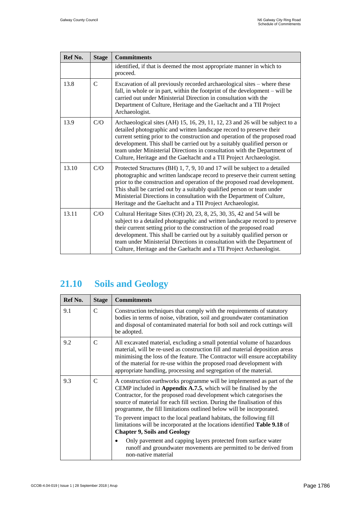| Ref No. | <b>Stage</b>  | <b>Commitments</b>                                                                                                                                                                                                                                                                                                                                                                                                                                                   |
|---------|---------------|----------------------------------------------------------------------------------------------------------------------------------------------------------------------------------------------------------------------------------------------------------------------------------------------------------------------------------------------------------------------------------------------------------------------------------------------------------------------|
|         |               | identified, if that is deemed the most appropriate manner in which to<br>proceed.                                                                                                                                                                                                                                                                                                                                                                                    |
| 13.8    | $\mathcal{C}$ | Excavation of all previously recorded archaeological sites – where these<br>fall, in whole or in part, within the footprint of the development – will be<br>carried out under Ministerial Direction in consultation with the<br>Department of Culture, Heritage and the Gaeltacht and a TII Project<br>Archaeologist.                                                                                                                                                |
| 13.9    | C/O           | Archaeological sites (AH) 15, 16, 29, 11, 12, 23 and 26 will be subject to a<br>detailed photographic and written landscape record to preserve their<br>current setting prior to the construction and operation of the proposed road<br>development. This shall be carried out by a suitably qualified person or<br>team under Ministerial Directions in consultation with the Department of<br>Culture, Heritage and the Gaeltacht and a TII Project Archaeologist. |
| 13.10   | C/O           | Protected Structures (BH) 1, 7, 9, 10 and 17 will be subject to a detailed<br>photographic and written landscape record to preserve their current setting<br>prior to the construction and operation of the proposed road development.<br>This shall be carried out by a suitably qualified person or team under<br>Ministerial Directions in consultation with the Department of Culture,<br>Heritage and the Gaeltacht and a TII Project Archaeologist.            |
| 13.11   | C/O           | Cultural Heritage Sites (CH) 20, 23, 8, 25, 30, 35, 42 and 54 will be<br>subject to a detailed photographic and written landscape record to preserve<br>their current setting prior to the construction of the proposed road<br>development. This shall be carried out by a suitably qualified person or<br>team under Ministerial Directions in consultation with the Department of<br>Culture, Heritage and the Gaeltacht and a TII Project Archaeologist.         |

# <span id="page-25-0"></span>**21.10 Soils and Geology**

| Ref No. | <b>Stage</b>  | <b>Commitments</b>                                                                                                                                                                                                                                                                                                                                                                                                                                                                                                                 |
|---------|---------------|------------------------------------------------------------------------------------------------------------------------------------------------------------------------------------------------------------------------------------------------------------------------------------------------------------------------------------------------------------------------------------------------------------------------------------------------------------------------------------------------------------------------------------|
| 9.1     | $\mathcal{C}$ | Construction techniques that comply with the requirements of statutory<br>bodies in terms of noise, vibration, soil and groundwater contamination<br>and disposal of contaminated material for both soil and rock cuttings will<br>be adopted.                                                                                                                                                                                                                                                                                     |
| 9.2     | $\mathcal{C}$ | All excavated material, excluding a small potential volume of hazardous<br>material, will be re-used as construction fill and material deposition areas<br>minimising the loss of the feature. The Contractor will ensure acceptability<br>of the material for re-use within the proposed road development with<br>appropriate handling, processing and segregation of the material.                                                                                                                                               |
| 9.3     | C             | A construction earthworks programme will be implemented as part of the<br>CEMP included in Appendix A.7.5, which will be finalised by the<br>Contractor, for the proposed road development which categorises the<br>source of material for each fill section. During the finalisation of this<br>programme, the fill limitations outlined below will be incorporated.<br>To prevent impact to the local peatland habitats, the following fill<br>limitations will be incorporated at the locations identified <b>Table 9.18</b> of |
|         |               | <b>Chapter 9, Soils and Geology</b>                                                                                                                                                                                                                                                                                                                                                                                                                                                                                                |
|         |               | Only pavement and capping layers protected from surface water<br>runoff and groundwater movements are permitted to be derived from<br>non-native material                                                                                                                                                                                                                                                                                                                                                                          |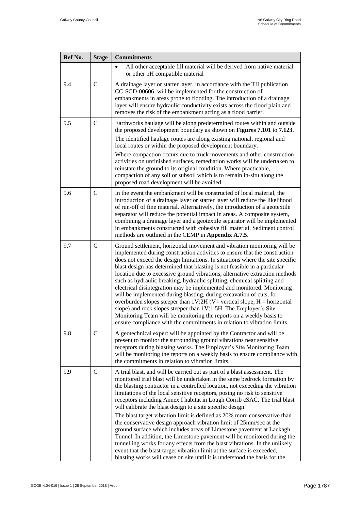| Ref No. | <b>Stage</b>  | <b>Commitments</b>                                                                                                                                                                                                                                                                                                                                                                                                                                                                                                                                                                                                                                                                                                                                                                                                                                                                                                                                                                                              |
|---------|---------------|-----------------------------------------------------------------------------------------------------------------------------------------------------------------------------------------------------------------------------------------------------------------------------------------------------------------------------------------------------------------------------------------------------------------------------------------------------------------------------------------------------------------------------------------------------------------------------------------------------------------------------------------------------------------------------------------------------------------------------------------------------------------------------------------------------------------------------------------------------------------------------------------------------------------------------------------------------------------------------------------------------------------|
|         |               | All other acceptable fill material will be derived from native material<br>or other pH compatible material                                                                                                                                                                                                                                                                                                                                                                                                                                                                                                                                                                                                                                                                                                                                                                                                                                                                                                      |
| 9.4     | $\mathsf{C}$  | A drainage layer or starter layer, in accordance with the TII publication<br>CC-SCD-00606, will be implemented for the construction of<br>embankments in areas prone to flooding. The introduction of a drainage<br>layer will ensure hydraulic conductivity exists across the flood plain and<br>removes the risk of the embankment acting as a flood barrier.                                                                                                                                                                                                                                                                                                                                                                                                                                                                                                                                                                                                                                                 |
| 9.5     | $\mathsf{C}$  | Earthworks haulage will be along predetermined routes within and outside<br>the proposed development boundary as shown on Figures 7.101 to 7.123.                                                                                                                                                                                                                                                                                                                                                                                                                                                                                                                                                                                                                                                                                                                                                                                                                                                               |
|         |               | The identified haulage routes are along existing national, regional and<br>local routes or within the proposed development boundary.                                                                                                                                                                                                                                                                                                                                                                                                                                                                                                                                                                                                                                                                                                                                                                                                                                                                            |
|         |               | Where compaction occurs due to truck movements and other construction<br>activities on unfinished surfaces, remediation works will be undertaken to<br>reinstate the ground to its original condition. Where practicable,<br>compaction of any soil or subsoil which is to remain in-situ along the<br>proposed road development will be avoided.                                                                                                                                                                                                                                                                                                                                                                                                                                                                                                                                                                                                                                                               |
| 9.6     | $\mathbf C$   | In the event the embankment will be constructed of local material, the<br>introduction of a drainage layer or starter layer will reduce the likelihood<br>of run-off of fine material. Alternatively, the introduction of a geotextile<br>separator will reduce the potential impact in areas. A composite system,<br>combining a drainage layer and a geotextile separator will be implemented<br>in embankments constructed with cohesive fill material. Sediment control<br>methods are outlined in the CEMP in Appendix A.7.5.                                                                                                                                                                                                                                                                                                                                                                                                                                                                              |
| 9.7     | $\mathbf C$   | Ground settlement, horizontal movement and vibration monitoring will be<br>implemented during construction activities to ensure that the construction<br>does not exceed the design limitations. In situations where the site specific<br>blast design has determined that blasting is not feasible in a particular<br>location due to excessive ground vibrations, alternative extraction methods<br>such as hydraulic breaking, hydraulic splitting, chemical splitting and<br>electrical disintegration may be implemented and monitored. Monitoring<br>will be implemented during blasting, during excavation of cuts, for<br>overburden slopes steeper than $1V:2H (V= vertical slope, H= horizontal$<br>slope) and rock slopes steeper than 1V:1.5H. The Employer's Site<br>Monitoring Team will be monitoring the reports on a weekly basis to<br>ensure compliance with the commitments in relation to vibration limits.                                                                                |
| 9.8     | $\mathcal{C}$ | A geotechnical expert will be appointed by the Contractor and will be<br>present to monitor the surrounding ground vibrations near sensitive<br>receptors during blasting works. The Employer's Site Monitoring Team<br>will be monitoring the reports on a weekly basis to ensure compliance with<br>the commitments in relation to vibration limits.                                                                                                                                                                                                                                                                                                                                                                                                                                                                                                                                                                                                                                                          |
| 9.9     | $\mathsf{C}$  | A trial blast, and will be carried out as part of a blast assessment. The<br>monitored trial blast will be undertaken in the same bedrock formation by<br>the blasting contractor in a controlled location, not exceeding the vibration<br>limitations of the local sensitive receptors, posing no risk to sensitive<br>receptors including Annex I habitat in Lough Corrib cSAC. The trial blast<br>will calibrate the blast design to a site specific design.<br>The blast target vibration limit is defined as 20% more conservative than<br>the conservative design approach vibration limit of 25mm/sec at the<br>ground surface which includes areas of Limestone pavement at Lackagh<br>Tunnel. In addition, the Limestone pavement will be monitored during the<br>tunnelling works for any effects from the blast vibrations. In the unlikely<br>event that the blast target vibration limit at the surface is exceeded,<br>blasting works will cease on site until it is understood the basis for the |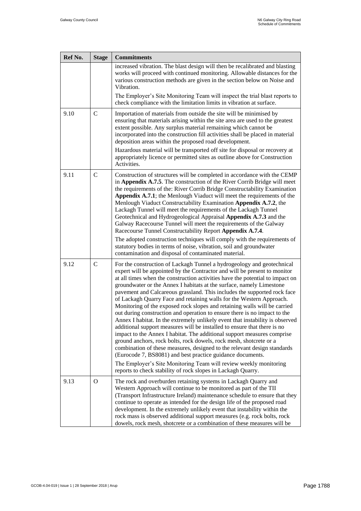| Ref No. | <b>Stage</b>  | <b>Commitments</b>                                                                                                                                                                                                                                                                                                                                                                                                                                                                                                                                                                                                                                                                                                                                                                                                                                                                                                                                                                                                                                                                                                                                                                                                      |
|---------|---------------|-------------------------------------------------------------------------------------------------------------------------------------------------------------------------------------------------------------------------------------------------------------------------------------------------------------------------------------------------------------------------------------------------------------------------------------------------------------------------------------------------------------------------------------------------------------------------------------------------------------------------------------------------------------------------------------------------------------------------------------------------------------------------------------------------------------------------------------------------------------------------------------------------------------------------------------------------------------------------------------------------------------------------------------------------------------------------------------------------------------------------------------------------------------------------------------------------------------------------|
|         |               | increased vibration. The blast design will then be recalibrated and blasting<br>works will proceed with continued monitoring. Allowable distances for the<br>various construction methods are given in the section below on Noise and<br>Vibration.<br>The Employer's Site Monitoring Team will inspect the trial blast reports to                                                                                                                                                                                                                                                                                                                                                                                                                                                                                                                                                                                                                                                                                                                                                                                                                                                                                      |
|         |               | check compliance with the limitation limits in vibration at surface.                                                                                                                                                                                                                                                                                                                                                                                                                                                                                                                                                                                                                                                                                                                                                                                                                                                                                                                                                                                                                                                                                                                                                    |
| 9.10    | $\mathbf C$   | Importation of materials from outside the site will be minimised by<br>ensuring that materials arising within the site area are used to the greatest<br>extent possible. Any surplus material remaining which cannot be<br>incorporated into the construction fill activities shall be placed in material<br>deposition areas within the proposed road development.<br>Hazardous material will be transported off site for disposal or recovery at<br>appropriately licence or permitted sites as outline above for Construction<br>Activities.                                                                                                                                                                                                                                                                                                                                                                                                                                                                                                                                                                                                                                                                         |
| 9.11    | $\mathcal{C}$ | Construction of structures will be completed in accordance with the CEMP<br>in Appendix A.7.5. The construction of the River Corrib Bridge will meet<br>the requirements of the: River Corrib Bridge Constructability Examination<br>Appendix A.7.1; the Menlough Viaduct will meet the requirements of the<br>Menlough Viaduct Constructability Examination Appendix A.7.2, the<br>Lackagh Tunnel will meet the requirements of the Lackagh Tunnel<br>Geotechnical and Hydrogeological Appraisal Appendix A.7.3 and the<br>Galway Racecourse Tunnel will meet the requirements of the Galway<br>Racecourse Tunnel Constructability Report Appendix A.7.4.<br>The adopted construction techniques will comply with the requirements of<br>statutory bodies in terms of noise, vibration, soil and groundwater<br>contamination and disposal of contaminated material.                                                                                                                                                                                                                                                                                                                                                   |
| 9.12    | $\mathsf{C}$  | For the construction of Lackagh Tunnel a hydrogeology and geotechnical<br>expert will be appointed by the Contractor and will be present to monitor<br>at all times when the construction activities have the potential to impact on<br>groundwater or the Annex I habitats at the surface, namely Limestone<br>pavement and Calcareous grassland. This includes the supported rock face<br>of Lackagh Quarry Face and retaining walls for the Western Approach.<br>Monitoring of the exposed rock slopes and retaining walls will be carried<br>out during construction and operation to ensure there is no impact to the<br>Annex I habitat. In the extremely unlikely event that instability is observed<br>additional support measures will be installed to ensure that there is no<br>impact to the Annex I habitat. The additional support measures comprise<br>ground anchors, rock bolts, rock dowels, rock mesh, shotcrete or a<br>combination of these measures, designed to the relevant design standards<br>(Eurocode 7, BS8081) and best practice guidance documents.<br>The Employer's Site Monitoring Team will review weekly monitoring<br>reports to check stability of rock slopes in Lackagh Quarry. |
| 9.13    | $\Omega$      | The rock and overburden retaining systems in Lackagh Quarry and<br>Western Approach will continue to be monitored as part of the TII<br>(Transport Infrastructure Ireland) maintenance schedule to ensure that they<br>continue to operate as intended for the design life of the proposed road<br>development. In the extremely unlikely event that instability within the<br>rock mass is observed additional support measures (e.g. rock bolts, rock<br>dowels, rock mesh, shotcrete or a combination of these measures will be                                                                                                                                                                                                                                                                                                                                                                                                                                                                                                                                                                                                                                                                                      |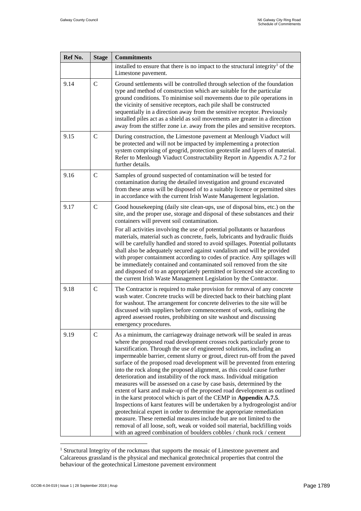| Ref No. | <b>Stage</b> | <b>Commitments</b>                                                                                                                                                                                                                                                                                                                                                                                                                                                                                                                                                                                                                                                                                                                                                                                                                                                                                                                                                                                                                                                                                                                                      |
|---------|--------------|---------------------------------------------------------------------------------------------------------------------------------------------------------------------------------------------------------------------------------------------------------------------------------------------------------------------------------------------------------------------------------------------------------------------------------------------------------------------------------------------------------------------------------------------------------------------------------------------------------------------------------------------------------------------------------------------------------------------------------------------------------------------------------------------------------------------------------------------------------------------------------------------------------------------------------------------------------------------------------------------------------------------------------------------------------------------------------------------------------------------------------------------------------|
|         |              | installed to ensure that there is no impact to the structural integrity <sup>1</sup> of the<br>Limestone pavement.                                                                                                                                                                                                                                                                                                                                                                                                                                                                                                                                                                                                                                                                                                                                                                                                                                                                                                                                                                                                                                      |
| 9.14    | $\mathbf C$  | Ground settlements will be controlled through selection of the foundation<br>type and method of construction which are suitable for the particular<br>ground conditions. To minimise soil movements due to pile operations in<br>the vicinity of sensitive receptors, each pile shall be constructed<br>sequentially in a direction away from the sensitive receptor. Previously<br>installed piles act as a shield as soil movements are greater in a direction<br>away from the stiffer zone i.e. away from the piles and sensitive receptors.                                                                                                                                                                                                                                                                                                                                                                                                                                                                                                                                                                                                        |
| 9.15    | $\mathsf{C}$ | During construction, the Limestone pavement at Menlough Viaduct will<br>be protected and will not be impacted by implementing a protection<br>system comprising of geogrid, protection geotextile and layers of material.<br>Refer to Menlough Viaduct Constructability Report in Appendix A.7.2 for<br>further details.                                                                                                                                                                                                                                                                                                                                                                                                                                                                                                                                                                                                                                                                                                                                                                                                                                |
| 9.16    | $\mathbf C$  | Samples of ground suspected of contamination will be tested for<br>contamination during the detailed investigation and ground excavated<br>from these areas will be disposed of to a suitably licence or permitted sites<br>in accordance with the current Irish Waste Management legislation.                                                                                                                                                                                                                                                                                                                                                                                                                                                                                                                                                                                                                                                                                                                                                                                                                                                          |
| 9.17    | $\mathsf{C}$ | Good housekeeping (daily site clean-ups, use of disposal bins, etc.) on the<br>site, and the proper use, storage and disposal of these substances and their<br>containers will prevent soil contamination.<br>For all activities involving the use of potential pollutants or hazardous<br>materials, material such as concrete, fuels, lubricants and hydraulic fluids<br>will be carefully handled and stored to avoid spillages. Potential pollutants<br>shall also be adequately secured against vandalism and will be provided<br>with proper containment according to codes of practice. Any spillages will<br>be immediately contained and contaminated soil removed from the site                                                                                                                                                                                                                                                                                                                                                                                                                                                               |
| 9.18    | $\mathsf{C}$ | and disposed of to an appropriately permitted or licenced site according to<br>the current Irish Waste Management Legislation by the Contractor.<br>The Contractor is required to make provision for removal of any concrete<br>wash water. Concrete trucks will be directed back to their batching plant<br>for washout. The arrangement for concrete deliveries to the site will be<br>discussed with suppliers before commencement of work, outlining the<br>agreed assessed routes, prohibiting on site washout and discussing<br>emergency procedures.                                                                                                                                                                                                                                                                                                                                                                                                                                                                                                                                                                                             |
| 9.19    | $\mathbf C$  | As a minimum, the carriageway drainage network will be sealed in areas<br>where the proposed road development crosses rock particularly prone to<br>karstification. Through the use of engineered solutions, including an<br>impermeable barrier, cement slurry or grout, direct run-off from the paved<br>surface of the proposed road development will be prevented from entering<br>into the rock along the proposed alignment, as this could cause further<br>deterioration and instability of the rock mass. Individual mitigation<br>measures will be assessed on a case by case basis, determined by the<br>extent of karst and make-up of the proposed road development as outlined<br>in the karst protocol which is part of the CEMP in Appendix A.7.5.<br>Inspections of karst features will be undertaken by a hydrogeologist and/or<br>geotechnical expert in order to determine the appropriate remediation<br>measure. These remedial measures include but are not limited to the<br>removal of all loose, soft, weak or voided soil material, backfilling voids<br>with an agreed combination of boulders cobbles / chunk rock / cement |

<sup>&</sup>lt;sup>1</sup> Structural Integrity of the rockmass that supports the mosaic of Limestone pavement and Calcareous grassland is the physical and mechanical geotechnical properties that control the behaviour of the geotechnical Limestone pavement environment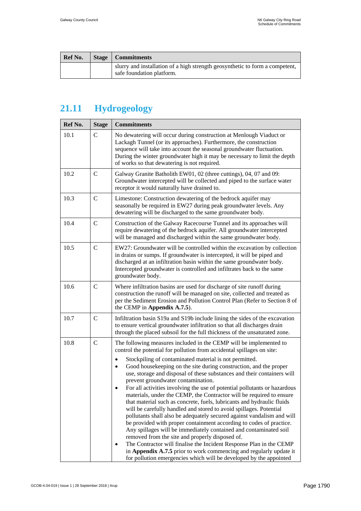| <b>Ref No.</b> | Stage | Commitments                                                                                               |
|----------------|-------|-----------------------------------------------------------------------------------------------------------|
|                |       | slurry and installation of a high strength geosynthetic to form a competent,<br>safe foundation platform. |

# <span id="page-29-0"></span>**21.11 Hydrogeology**

| Ref No. | <b>Stage</b>  | <b>Commitments</b>                                                                                                                                                                                                                                                                                                                                                                                                                                                                                                                                                                                                                                                                                                                                                                                                                                                                                                                                                                                                                                                                                                                                                                                              |
|---------|---------------|-----------------------------------------------------------------------------------------------------------------------------------------------------------------------------------------------------------------------------------------------------------------------------------------------------------------------------------------------------------------------------------------------------------------------------------------------------------------------------------------------------------------------------------------------------------------------------------------------------------------------------------------------------------------------------------------------------------------------------------------------------------------------------------------------------------------------------------------------------------------------------------------------------------------------------------------------------------------------------------------------------------------------------------------------------------------------------------------------------------------------------------------------------------------------------------------------------------------|
| 10.1    | $\mathsf{C}$  | No dewatering will occur during construction at Menlough Viaduct or<br>Lackagh Tunnel (or its approaches). Furthermore, the construction<br>sequence will take into account the seasonal groundwater fluctuation.<br>During the winter groundwater high it may be necessary to limit the depth<br>of works so that dewatering is not required.                                                                                                                                                                                                                                                                                                                                                                                                                                                                                                                                                                                                                                                                                                                                                                                                                                                                  |
| 10.2    | $\mathsf{C}$  | Galway Granite Batholith EW01, 02 (three cuttings), 04, 07 and 09:<br>Groundwater intercepted will be collected and piped to the surface water<br>receptor it would naturally have drained to.                                                                                                                                                                                                                                                                                                                                                                                                                                                                                                                                                                                                                                                                                                                                                                                                                                                                                                                                                                                                                  |
| 10.3    | $\mathbf C$   | Limestone: Construction dewatering of the bedrock aquifer may<br>seasonally be required in EW27 during peak groundwater levels. Any<br>dewatering will be discharged to the same groundwater body.                                                                                                                                                                                                                                                                                                                                                                                                                                                                                                                                                                                                                                                                                                                                                                                                                                                                                                                                                                                                              |
| 10.4    | $\mathbf C$   | Construction of the Galway Racecourse Tunnel and its approaches will<br>require dewatering of the bedrock aquifer. All groundwater intercepted<br>will be managed and discharged within the same groundwater body.                                                                                                                                                                                                                                                                                                                                                                                                                                                                                                                                                                                                                                                                                                                                                                                                                                                                                                                                                                                              |
| 10.5    | $\mathsf{C}$  | EW27: Groundwater will be controlled within the excavation by collection<br>in drains or sumps. If groundwater is intercepted, it will be piped and<br>discharged at an infiltration basin within the same groundwater body.<br>Intercepted groundwater is controlled and infiltrates back to the same<br>groundwater body.                                                                                                                                                                                                                                                                                                                                                                                                                                                                                                                                                                                                                                                                                                                                                                                                                                                                                     |
| 10.6    | $\mathcal{C}$ | Where infiltration basins are used for discharge of site runoff during<br>construction the runoff will be managed on site, collected and treated as<br>per the Sediment Erosion and Pollution Control Plan (Refer to Section 8 of<br>the CEMP in Appendix A.7.5).                                                                                                                                                                                                                                                                                                                                                                                                                                                                                                                                                                                                                                                                                                                                                                                                                                                                                                                                               |
| 10.7    | $\mathbf C$   | Infiltration basin S19a and S19b include lining the sides of the excavation<br>to ensure vertical groundwater infiltration so that all discharges drain<br>through the placed subsoil for the full thickness of the unsaturated zone.                                                                                                                                                                                                                                                                                                                                                                                                                                                                                                                                                                                                                                                                                                                                                                                                                                                                                                                                                                           |
| 10.8    | $\mathsf{C}$  | The following measures included in the CEMP will be implemented to<br>control the potential for pollution from accidental spillages on site:<br>Stockpiling of contaminated material is not permitted.<br>$\bullet$<br>Good housekeeping on the site during construction, and the proper<br>٠<br>use, storage and disposal of these substances and their containers will<br>prevent groundwater contamination.<br>For all activities involving the use of potential pollutants or hazardous<br>materials, under the CEMP, the Contractor will be required to ensure<br>that material such as concrete, fuels, lubricants and hydraulic fluids<br>will be carefully handled and stored to avoid spillages. Potential<br>pollutants shall also be adequately secured against vandalism and will<br>be provided with proper containment according to codes of practice.<br>Any spillages will be immediately contained and contaminated soil<br>removed from the site and properly disposed of.<br>The Contractor will finalise the Incident Response Plan in the CEMP<br>in Appendix A.7.5 prior to work commencing and regularly update it<br>for pollution emergencies which will be developed by the appointed |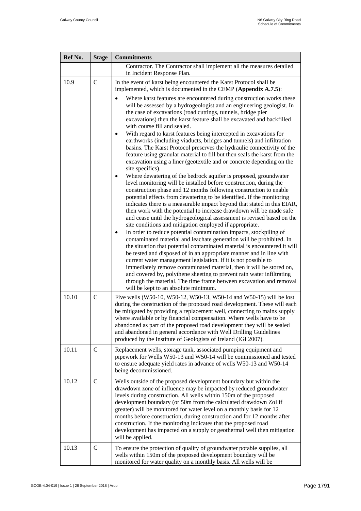| Ref No. | <b>Stage</b>  | <b>Commitments</b>                                                                                                                                                                                                                                                                                                                                                                                                                                                                                                                                                                                                                                                                                                                                                                                                                                                                                                                                                                                                                                                                |
|---------|---------------|-----------------------------------------------------------------------------------------------------------------------------------------------------------------------------------------------------------------------------------------------------------------------------------------------------------------------------------------------------------------------------------------------------------------------------------------------------------------------------------------------------------------------------------------------------------------------------------------------------------------------------------------------------------------------------------------------------------------------------------------------------------------------------------------------------------------------------------------------------------------------------------------------------------------------------------------------------------------------------------------------------------------------------------------------------------------------------------|
|         |               | Contractor. The Contractor shall implement all the measures detailed<br>in Incident Response Plan.                                                                                                                                                                                                                                                                                                                                                                                                                                                                                                                                                                                                                                                                                                                                                                                                                                                                                                                                                                                |
| 10.9    | $\mathbf C$   | In the event of karst being encountered the Karst Protocol shall be<br>implemented, which is documented in the CEMP (Appendix A.7.5):<br>Where karst features are encountered during construction works these<br>will be assessed by a hydrogeologist and an engineering geologist. In<br>the case of excavations (road cuttings, tunnels, bridge pier<br>excavations) then the karst feature shall be excavated and backfilled<br>with course fill and sealed.<br>With regard to karst features being intercepted in excavations for<br>earthworks (including viaducts, bridges and tunnels) and infiltration<br>basins. The Karst Protocol preserves the hydraulic connectivity of the<br>feature using granular material to fill but then seals the karst from the<br>excavation using a liner (geotextile and or concrete depending on the<br>site specifics).<br>Where dewatering of the bedrock aquifer is proposed, groundwater<br>level monitoring will be installed before construction, during the<br>construction phase and 12 months following construction to enable |
|         |               | potential effects from dewatering to be identified. If the monitoring<br>indicates there is a measurable impact beyond that stated in this EIAR,<br>then work with the potential to increase drawdown will be made safe<br>and cease until the hydrogeological assessment is revised based on the<br>site conditions and mitigation employed if appropriate.<br>In order to reduce potential contamination impacts, stockpiling of<br>contaminated material and leachate generation will be prohibited. In<br>the situation that potential contaminated material is encountered it will<br>be tested and disposed of in an appropriate manner and in line with<br>current water management legislation. If it is not possible to<br>immediately remove contaminated material, then it will be stored on,<br>and covered by, polythene sheeting to prevent rain water infiltrating<br>through the material. The time frame between excavation and removal<br>will be kept to an absolute minimum.                                                                                  |
| 10.10   | $\mathcal{C}$ | Five wells (W50-10, W50-12, W50-13, W50-14 and W50-15) will be lost<br>during the construction of the proposed road development. These will each<br>be mitigated by providing a replacement well, connecting to mains supply<br>where available or by financial compensation. Where wells have to be<br>abandoned as part of the proposed road development they will be sealed<br>and abandoned in general accordance with Well Drilling Guidelines<br>produced by the Institute of Geologists of Ireland (IGI 2007).                                                                                                                                                                                                                                                                                                                                                                                                                                                                                                                                                             |
| 10.11   | $\mathsf{C}$  | Replacement wells, storage tank, associated pumping equipment and<br>pipework for Wells W50-13 and W50-14 will be commissioned and tested<br>to ensure adequate yield rates in advance of wells W50-13 and W50-14<br>being decommissioned.                                                                                                                                                                                                                                                                                                                                                                                                                                                                                                                                                                                                                                                                                                                                                                                                                                        |
| 10.12   | $\mathsf{C}$  | Wells outside of the proposed development boundary but within the<br>drawdown zone of influence may be impacted by reduced groundwater<br>levels during construction. All wells within 150m of the proposed<br>development boundary (or 50m from the calculated drawdown ZoI if<br>greater) will be monitored for water level on a monthly basis for 12<br>months before construction, during construction and for 12 months after<br>construction. If the monitoring indicates that the proposed road<br>development has impacted on a supply or geothermal well then mitigation<br>will be applied.                                                                                                                                                                                                                                                                                                                                                                                                                                                                             |
| 10.13   | $\mathcal{C}$ | To ensure the protection of quality of groundwater potable supplies, all<br>wells within 150m of the proposed development boundary will be<br>monitored for water quality on a monthly basis. All wells will be                                                                                                                                                                                                                                                                                                                                                                                                                                                                                                                                                                                                                                                                                                                                                                                                                                                                   |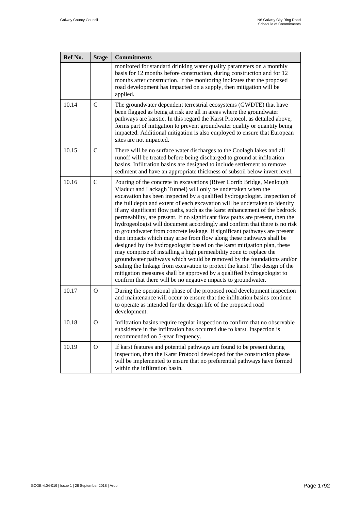<span id="page-31-0"></span>

| Ref No. | <b>Stage</b>  | <b>Commitments</b>                                                                                                                                                                                                                                                                                                                                                                                                                                                                                                                                                                                                                                                                                                                                                                                                                                                                                                                                                                                                                                                                                                                                          |
|---------|---------------|-------------------------------------------------------------------------------------------------------------------------------------------------------------------------------------------------------------------------------------------------------------------------------------------------------------------------------------------------------------------------------------------------------------------------------------------------------------------------------------------------------------------------------------------------------------------------------------------------------------------------------------------------------------------------------------------------------------------------------------------------------------------------------------------------------------------------------------------------------------------------------------------------------------------------------------------------------------------------------------------------------------------------------------------------------------------------------------------------------------------------------------------------------------|
|         |               | monitored for standard drinking water quality parameters on a monthly<br>basis for 12 months before construction, during construction and for 12<br>months after construction. If the monitoring indicates that the proposed<br>road development has impacted on a supply, then mitigation will be<br>applied.                                                                                                                                                                                                                                                                                                                                                                                                                                                                                                                                                                                                                                                                                                                                                                                                                                              |
| 10.14   | $\mathcal{C}$ | The groundwater dependent terrestrial ecosystems (GWDTE) that have<br>been flagged as being at risk are all in areas where the groundwater<br>pathways are karstic. In this regard the Karst Protocol, as detailed above,<br>forms part of mitigation to prevent groundwater quality or quantity being<br>impacted. Additional mitigation is also employed to ensure that European<br>sites are not impacted.                                                                                                                                                                                                                                                                                                                                                                                                                                                                                                                                                                                                                                                                                                                                               |
| 10.15   | $\mathsf{C}$  | There will be no surface water discharges to the Coolagh lakes and all<br>runoff will be treated before being discharged to ground at infiltration<br>basins. Infiltration basins are designed to include settlement to remove<br>sediment and have an appropriate thickness of subsoil below invert level.                                                                                                                                                                                                                                                                                                                                                                                                                                                                                                                                                                                                                                                                                                                                                                                                                                                 |
| 10.16   | $\mathcal{C}$ | Pouring of the concrete in excavations (River Corrib Bridge, Menlough<br>Viaduct and Lackagh Tunnel) will only be undertaken when the<br>excavation has been inspected by a qualified hydrogeologist. Inspection of<br>the full depth and extent of each excavation will be undertaken to identify<br>if any significant flow paths, such as the karst enhancement of the bedrock<br>permeability, are present. If no significant flow paths are present, then the<br>hydrogeologist will document accordingly and confirm that there is no risk<br>to groundwater from concrete leakage. If significant pathways are present<br>then impacts which may arise from flow along these pathways shall be<br>designed by the hydrogeologist based on the karst mitigation plan, these<br>may comprise of installing a high permeability zone to replace the<br>groundwater pathways which would be removed by the foundations and/or<br>sealing the linkage from excavation to protect the karst. The design of the<br>mitigation measures shall be approved by a qualified hydrogeologist to<br>confirm that there will be no negative impacts to groundwater. |
| 10.17   | $\Omega$      | During the operational phase of the proposed road development inspection<br>and maintenance will occur to ensure that the infiltration basins continue<br>to operate as intended for the design life of the proposed road<br>development.                                                                                                                                                                                                                                                                                                                                                                                                                                                                                                                                                                                                                                                                                                                                                                                                                                                                                                                   |
| 10.18   | O             | Infiltration basins require regular inspection to confirm that no observable<br>subsidence in the infiltration has occurred due to karst. Inspection is<br>recommended on 5-year frequency.                                                                                                                                                                                                                                                                                                                                                                                                                                                                                                                                                                                                                                                                                                                                                                                                                                                                                                                                                                 |
| 10.19   | $\Omega$      | If karst features and potential pathways are found to be present during<br>inspection, then the Karst Protocol developed for the construction phase<br>will be implemented to ensure that no preferential pathways have formed<br>within the infiltration basin.                                                                                                                                                                                                                                                                                                                                                                                                                                                                                                                                                                                                                                                                                                                                                                                                                                                                                            |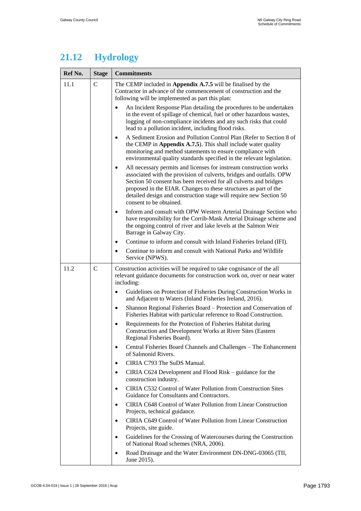### **21.12 Hydrology**

| Ref No. | <b>Stage</b>  | <b>Commitments</b>                                                                                                                                                                                                                                                                                                                                                                                |
|---------|---------------|---------------------------------------------------------------------------------------------------------------------------------------------------------------------------------------------------------------------------------------------------------------------------------------------------------------------------------------------------------------------------------------------------|
| 11.1    | $\mathcal{C}$ | The CEMP included in Appendix A.7.5 will be finalised by the<br>Contractor in advance of the commencement of construction and the<br>following will be implemented as part this plan:                                                                                                                                                                                                             |
|         |               | An Incident Response Plan detailing the procedures to be undertaken<br>$\bullet$<br>in the event of spillage of chemical, fuel or other hazardous wastes,<br>logging of non-compliance incidents and any such risks that could<br>lead to a pollution incident, including flood risks.                                                                                                            |
|         |               | A Sediment Erosion and Pollution Control Plan (Refer to Section 8 of<br>$\bullet$<br>the CEMP in Appendix A.7.5). This shall include water quality<br>monitoring and method statements to ensure compliance with<br>environmental quality standards specified in the relevant legislation.                                                                                                        |
|         |               | All necessary permits and licenses for instream construction works<br>$\bullet$<br>associated with the provision of culverts, bridges and outfalls. OPW<br>Section 50 consent has been received for all culverts and bridges<br>proposed in the EIAR. Changes to these structures as part of the<br>detailed design and construction stage will require new Section 50<br>consent to be obtained. |
|         |               | Inform and consult with OPW Western Arterial Drainage Section who<br>$\bullet$<br>have responsibility for the Corrib-Mask Arterial Drainage scheme and<br>the ongoing control of river and lake levels at the Salmon Weir<br>Barrage in Galway City.                                                                                                                                              |
|         |               | Continue to inform and consult with Inland Fisheries Ireland (IFI).<br>$\bullet$                                                                                                                                                                                                                                                                                                                  |
|         |               | Continue to inform and consult with National Parks and Wildlife<br>$\bullet$<br>Service (NPWS).                                                                                                                                                                                                                                                                                                   |
| 11.2    | $\mathsf{C}$  | Construction activities will be required to take cognisance of the all<br>relevant guidance documents for construction work on, over or near water<br>including:                                                                                                                                                                                                                                  |
|         |               | Guidelines on Protection of Fisheries During Construction Works in<br>$\bullet$<br>and Adjacent to Waters (Inland Fisheries Ireland, 2016).                                                                                                                                                                                                                                                       |
|         |               | Shannon Regional Fisheries Board - Protection and Conservation of<br>$\bullet$<br>Fisheries Habitat with particular reference to Road Construction.                                                                                                                                                                                                                                               |
|         |               | Requirements for the Protection of Fisheries Habitat during<br>$\bullet$<br>Construction and Development Works at River Sites (Eastern<br>Regional Fisheries Board).                                                                                                                                                                                                                              |
|         |               | Central Fisheries Board Channels and Challenges - The Enhancement<br>$\bullet$<br>of Salmonid Rivers.                                                                                                                                                                                                                                                                                             |
|         |               | CIRIA C793 The SuDS Manual.<br>$\bullet$                                                                                                                                                                                                                                                                                                                                                          |
|         |               | CIRIA C624 Development and Flood Risk – guidance for the<br>$\bullet$<br>construction industry.                                                                                                                                                                                                                                                                                                   |
|         |               | CIRIA C532 Control of Water Pollution from Construction Sites<br>$\bullet$<br>Guidance for Consultants and Contractors.                                                                                                                                                                                                                                                                           |
|         |               | CIRIA C648 Control of Water Pollution from Linear Construction<br>$\bullet$<br>Projects, technical guidance.                                                                                                                                                                                                                                                                                      |
|         |               | CIRIA C649 Control of Water Pollution from Linear Construction<br>$\bullet$<br>Projects, site guide.                                                                                                                                                                                                                                                                                              |
|         |               | Guidelines for the Crossing of Watercourses during the Construction<br>$\bullet$<br>of National Road schemes (NRA, 2006).                                                                                                                                                                                                                                                                         |
|         |               | Road Drainage and the Water Environment DN-DNG-03065 (TII,<br>$\bullet$<br>June 2015).                                                                                                                                                                                                                                                                                                            |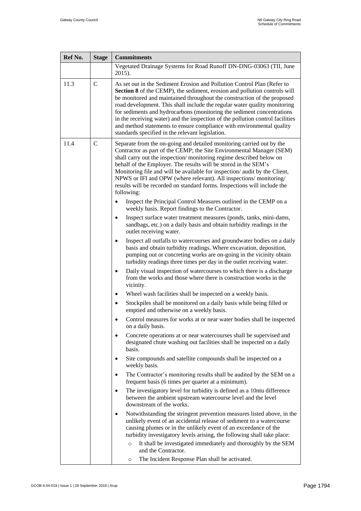| Ref No. | <b>Stage</b> | <b>Commitments</b>                                                                                                                                                                                                                                                                                                                                                                                                                                                                                                                                                                                    |
|---------|--------------|-------------------------------------------------------------------------------------------------------------------------------------------------------------------------------------------------------------------------------------------------------------------------------------------------------------------------------------------------------------------------------------------------------------------------------------------------------------------------------------------------------------------------------------------------------------------------------------------------------|
|         |              | Vegetated Drainage Systems for Road Runoff DN-DNG-03063 (TII, June<br>2015).                                                                                                                                                                                                                                                                                                                                                                                                                                                                                                                          |
| 11.3    | $\mathbf C$  | As set out in the Sediment Erosion and Pollution Control Plan (Refer to<br>Section 8 of the CEMP), the sediment, erosion and pollution controls will<br>be monitored and maintained throughout the construction of the proposed<br>road development. This shall include the regular water quality monitoring<br>for sediments and hydrocarbons (monitoring the sediment concentrations<br>in the receiving water) and the inspection of the pollution control facilities<br>and method statements to ensure compliance with environmental quality<br>standards specified in the relevant legislation. |
| 11.4    | $\mathsf{C}$ | Separate from the on-going and detailed monitoring carried out by the<br>Contractor as part of the CEMP; the Site Environmental Manager (SEM)<br>shall carry out the inspection/monitoring regime described below on<br>behalf of the Employer. The results will be stored in the SEM's<br>Monitoring file and will be available for inspection/ audit by the Client,<br>NPWS or IFI and OPW (where relevant). All inspections/monitoring/<br>results will be recorded on standard forms. Inspections will include the<br>following:                                                                  |
|         |              | Inspect the Principal Control Measures outlined in the CEMP on a<br>weekly basis. Report findings to the Contractor.                                                                                                                                                                                                                                                                                                                                                                                                                                                                                  |
|         |              | Inspect surface water treatment measures (ponds, tanks, mini-dams,<br>$\bullet$<br>sandbags, etc.) on a daily basis and obtain turbidity readings in the<br>outlet receiving water.                                                                                                                                                                                                                                                                                                                                                                                                                   |
|         |              | Inspect all outfalls to watercourses and groundwater bodies on a daily<br>$\bullet$<br>basis and obtain turbidity readings. Where excavation, deposition,<br>pumping out or concreting works are on-going in the vicinity obtain<br>turbidity readings three times per day in the outlet receiving water.                                                                                                                                                                                                                                                                                             |
|         |              | Daily visual inspection of watercourses to which there is a discharge<br>$\bullet$<br>from the works and those where there is construction works in the<br>vicinity.                                                                                                                                                                                                                                                                                                                                                                                                                                  |
|         |              | Wheel wash facilities shall be inspected on a weekly basis.<br>$\bullet$                                                                                                                                                                                                                                                                                                                                                                                                                                                                                                                              |
|         |              | Stockpiles shall be monitored on a daily basis while being filled or<br>$\bullet$<br>emptied and otherwise on a weekly basis.                                                                                                                                                                                                                                                                                                                                                                                                                                                                         |
|         |              | Control measures for works at or near water bodies shall be inspected<br>on a daily basis.                                                                                                                                                                                                                                                                                                                                                                                                                                                                                                            |
|         |              | Concrete operations at or near watercourses shall be supervised and<br>$\bullet$<br>designated chute washing out facilities shall be inspected on a daily<br>basis.                                                                                                                                                                                                                                                                                                                                                                                                                                   |
|         |              | Site compounds and satellite compounds shall be inspected on a<br>$\bullet$<br>weekly basis.                                                                                                                                                                                                                                                                                                                                                                                                                                                                                                          |
|         |              | The Contractor's monitoring results shall be audited by the SEM on a<br>$\bullet$<br>frequent basis (6 times per quarter at a minimum).                                                                                                                                                                                                                                                                                                                                                                                                                                                               |
|         |              | The investigatory level for turbidity is defined as a 10ntu difference<br>$\bullet$<br>between the ambient upstream watercourse level and the level<br>downstream of the works.                                                                                                                                                                                                                                                                                                                                                                                                                       |
|         |              | Notwithstanding the stringent prevention measures listed above, in the<br>$\bullet$<br>unlikely event of an accidental release of sediment to a watercourse<br>causing plumes or in the unlikely event of an exceedance of the                                                                                                                                                                                                                                                                                                                                                                        |
|         |              | turbidity investigatory levels arising, the following shall take place:                                                                                                                                                                                                                                                                                                                                                                                                                                                                                                                               |
|         |              | It shall be investigated immediately and thoroughly by the SEM<br>$\circ$<br>and the Contractor.                                                                                                                                                                                                                                                                                                                                                                                                                                                                                                      |
|         |              | The Incident Response Plan shall be activated.<br>O                                                                                                                                                                                                                                                                                                                                                                                                                                                                                                                                                   |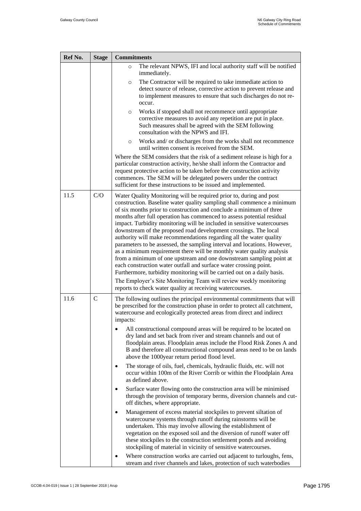| Ref No. | <b>Stage</b> | <b>Commitments</b>                                                                                                                                                                                                                                                                                                                                                                                                                                                                                                                                                                                                                                                                                                                                                                                                                                                                                                                                                                                                                 |
|---------|--------------|------------------------------------------------------------------------------------------------------------------------------------------------------------------------------------------------------------------------------------------------------------------------------------------------------------------------------------------------------------------------------------------------------------------------------------------------------------------------------------------------------------------------------------------------------------------------------------------------------------------------------------------------------------------------------------------------------------------------------------------------------------------------------------------------------------------------------------------------------------------------------------------------------------------------------------------------------------------------------------------------------------------------------------|
|         |              | The relevant NPWS, IFI and local authority staff will be notified<br>$\circ$<br>immediately.                                                                                                                                                                                                                                                                                                                                                                                                                                                                                                                                                                                                                                                                                                                                                                                                                                                                                                                                       |
|         |              | The Contractor will be required to take immediate action to<br>$\circ$<br>detect source of release, corrective action to prevent release and<br>to implement measures to ensure that such discharges do not re-<br>occur.                                                                                                                                                                                                                                                                                                                                                                                                                                                                                                                                                                                                                                                                                                                                                                                                          |
|         |              | Works if stopped shall not recommence until appropriate<br>$\circ$<br>corrective measures to avoid any repetition are put in place.<br>Such measures shall be agreed with the SEM following<br>consultation with the NPWS and IFI.                                                                                                                                                                                                                                                                                                                                                                                                                                                                                                                                                                                                                                                                                                                                                                                                 |
|         |              | Works and/ or discharges from the works shall not recommence<br>$\circ$<br>until written consent is received from the SEM.                                                                                                                                                                                                                                                                                                                                                                                                                                                                                                                                                                                                                                                                                                                                                                                                                                                                                                         |
|         |              | Where the SEM considers that the risk of a sediment release is high for a<br>particular construction activity, he/she shall inform the Contractor and<br>request protective action to be taken before the construction activity<br>commences. The SEM will be delegated powers under the contract<br>sufficient for these instructions to be issued and implemented.                                                                                                                                                                                                                                                                                                                                                                                                                                                                                                                                                                                                                                                               |
| 11.5    | C/O          | Water Quality Monitoring will be required prior to, during and post<br>construction. Baseline water quality sampling shall commence a minimum<br>of six months prior to construction and conclude a minimum of three<br>months after full operation has commenced to assess potential residual<br>impact. Turbidity monitoring will be included in sensitive watercourses<br>downstream of the proposed road development crossings. The local<br>authority will make recommendations regarding all the water quality<br>parameters to be assessed, the sampling interval and locations. However,<br>as a minimum requirement there will be monthly water quality analysis<br>from a minimum of one upstream and one downstream sampling point at<br>each construction water outfall and surface water crossing point.<br>Furthermore, turbidity monitoring will be carried out on a daily basis.<br>The Employer's Site Monitoring Team will review weekly monitoring<br>reports to check water quality at receiving watercourses. |
| 11.6    | $\mathsf{C}$ | The following outlines the principal environmental commitments that will<br>be prescribed for the construction phase in order to protect all catchment,<br>watercourse and ecologically protected areas from direct and indirect<br>impacts:                                                                                                                                                                                                                                                                                                                                                                                                                                                                                                                                                                                                                                                                                                                                                                                       |
|         |              | All constructional compound areas will be required to be located on<br>dry land and set back from river and stream channels and out of<br>floodplain areas. Floodplain areas include the Flood Risk Zones A and<br>B and therefore all constructional compound areas need to be on lands<br>above the 1000year return period flood level.                                                                                                                                                                                                                                                                                                                                                                                                                                                                                                                                                                                                                                                                                          |
|         |              | The storage of oils, fuel, chemicals, hydraulic fluids, etc. will not<br>٠<br>occur within 100m of the River Corrib or within the Floodplain Area<br>as defined above.                                                                                                                                                                                                                                                                                                                                                                                                                                                                                                                                                                                                                                                                                                                                                                                                                                                             |
|         |              | Surface water flowing onto the construction area will be minimised<br>through the provision of temporary berms, diversion channels and cut-<br>off ditches, where appropriate.                                                                                                                                                                                                                                                                                                                                                                                                                                                                                                                                                                                                                                                                                                                                                                                                                                                     |
|         |              | Management of excess material stockpiles to prevent siltation of<br>watercourse systems through runoff during rainstorms will be<br>undertaken. This may involve allowing the establishment of<br>vegetation on the exposed soil and the diversion of runoff water off<br>these stockpiles to the construction settlement ponds and avoiding<br>stockpiling of material in vicinity of sensitive watercourses.                                                                                                                                                                                                                                                                                                                                                                                                                                                                                                                                                                                                                     |
|         |              | Where construction works are carried out adjacent to turloughs, fens,<br>stream and river channels and lakes, protection of such waterbodies                                                                                                                                                                                                                                                                                                                                                                                                                                                                                                                                                                                                                                                                                                                                                                                                                                                                                       |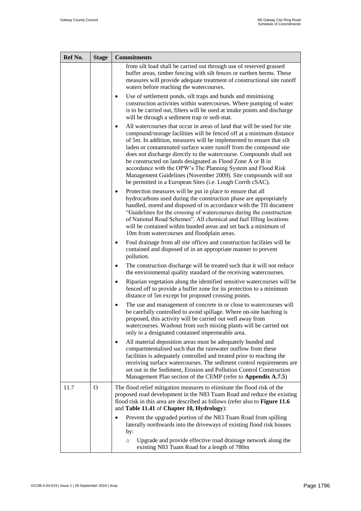| Ref No. | <b>Stage</b> | <b>Commitments</b>                                                                                                                                                                                                                                                                                                                                                                                                                                                                                                                                                                                                                |
|---------|--------------|-----------------------------------------------------------------------------------------------------------------------------------------------------------------------------------------------------------------------------------------------------------------------------------------------------------------------------------------------------------------------------------------------------------------------------------------------------------------------------------------------------------------------------------------------------------------------------------------------------------------------------------|
|         |              | from silt load shall be carried out through use of reserved grassed<br>buffer areas, timber fencing with silt fences or earthen berms. These<br>measures will provide adequate treatment of constructional site runoff<br>waters before reaching the watercourses.                                                                                                                                                                                                                                                                                                                                                                |
|         |              | Use of settlement ponds, silt traps and bunds and minimising<br>$\bullet$<br>construction activities within watercourses. Where pumping of water<br>is to be carried out, filters will be used at intake points and discharge<br>will be through a sediment trap or sedi-mat.                                                                                                                                                                                                                                                                                                                                                     |
|         |              | All watercourses that occur in areas of land that will be used for site<br>compound/storage facilities will be fenced off at a minimum distance<br>of 5m. In addition, measures will be implemented to ensure that silt<br>laden or contaminated surface water runoff from the compound site<br>does not discharge directly to the watercourse. Compounds shall not<br>be constructed on lands designated as Flood Zone A or B in<br>accordance with the OPW's The Planning System and Flood Risk<br>Management Guidelines (November 2009). Site compounds will not<br>be permitted in a European Sites (i.e. Lough Corrib cSAC). |
|         |              | Protection measures will be put in place to ensure that all<br>hydrocarbons used during the construction phase are appropriately<br>handled, stored and disposed of in accordance with the TII document<br>"Guidelines for the crossing of watercourses during the construction<br>of National Road Schemes". All chemical and fuel filling locations<br>will be contained within bunded areas and set back a minimum of<br>10m from watercourses and floodplain areas.                                                                                                                                                           |
|         |              | Foul drainage from all site offices and construction facilities will be<br>contained and disposed of in an appropriate manner to prevent<br>pollution.                                                                                                                                                                                                                                                                                                                                                                                                                                                                            |
|         |              | The construction discharge will be treated such that it will not reduce<br>$\bullet$<br>the environmental quality standard of the receiving watercourses.                                                                                                                                                                                                                                                                                                                                                                                                                                                                         |
|         |              | Riparian vegetation along the identified sensitive watercourses will be<br>$\bullet$<br>fenced off to provide a buffer zone for its protection to a minimum<br>distance of 5m except for proposed crossing points.                                                                                                                                                                                                                                                                                                                                                                                                                |
|         |              | The use and management of concrete in or close to watercourses will<br>٠<br>be carefully controlled to avoid spillage. Where on-site batching is<br>proposed, this activity will be carried out well away from<br>watercourses. Washout from such mixing plants will be carried out<br>only in a designated contained impermeable area.                                                                                                                                                                                                                                                                                           |
|         |              | All material deposition areas must be adequately bunded and<br>٠<br>compartmentalised such that the rainwater outflow from these<br>facilities is adequately controlled and treated prior to reaching the<br>receiving surface watercourses. The sediment control requirements are<br>set out in the Sediment, Erosion and Pollution Control Construction<br>Management Plan section of the CEMP (refer to Appendix A.7.5)                                                                                                                                                                                                        |
| 11.7    | O            | The flood relief mitigation measures to eliminate the flood risk of the<br>proposed road development in the N83 Tuam Road and reduce the existing<br>flood risk in this area are described as follows (refer also to Figure 11.6<br>and Table 11.41 of Chapter 10, Hydrology):                                                                                                                                                                                                                                                                                                                                                    |
|         |              | Prevent the upgraded portion of the N83 Tuam Road from spilling<br>laterally northwards into the driveways of existing flood risk houses<br>by:                                                                                                                                                                                                                                                                                                                                                                                                                                                                                   |
|         |              | Upgrade and provide effective road drainage network along the<br>$\circ$<br>existing N83 Tuam Road for a length of 780m                                                                                                                                                                                                                                                                                                                                                                                                                                                                                                           |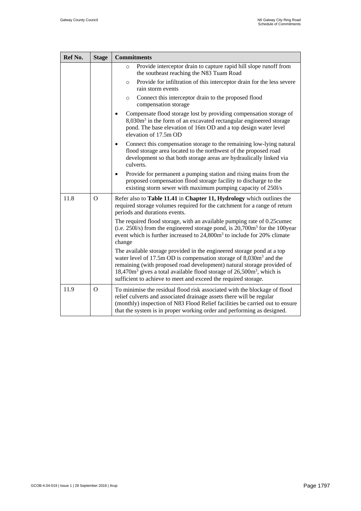<span id="page-36-0"></span>

| Ref No. | <b>Stage</b>   | <b>Commitments</b>                                                                                                                                                                                                                                                                                                                                                                |
|---------|----------------|-----------------------------------------------------------------------------------------------------------------------------------------------------------------------------------------------------------------------------------------------------------------------------------------------------------------------------------------------------------------------------------|
|         |                | Provide interceptor drain to capture rapid hill slope runoff from<br>$\Omega$<br>the southeast reaching the N83 Tuam Road                                                                                                                                                                                                                                                         |
|         |                | Provide for infiltration of this interceptor drain for the less severe<br>$\circ$<br>rain storm events                                                                                                                                                                                                                                                                            |
|         |                | Connect this interceptor drain to the proposed flood<br>$\circ$<br>compensation storage                                                                                                                                                                                                                                                                                           |
|         |                | Compensate flood storage lost by providing compensation storage of<br>$8,030m3$ in the form of an excavated rectangular engineered storage<br>pond. The base elevation of 16m OD and a top design water level<br>elevation of 17.5m OD                                                                                                                                            |
|         |                | Connect this compensation storage to the remaining low-lying natural<br>flood storage area located to the northwest of the proposed road<br>development so that both storage areas are hydraulically linked via<br>culverts.                                                                                                                                                      |
|         |                | Provide for permanent a pumping station and rising mains from the<br>$\bullet$<br>proposed compensation flood storage facility to discharge to the<br>existing storm sewer with maximum pumping capacity of 250l/s                                                                                                                                                                |
| 11.8    | $\Omega$       | Refer also to Table 11.41 in Chapter 11, Hydrology which outlines the<br>required storage volumes required for the catchment for a range of return<br>periods and durations events.                                                                                                                                                                                               |
|         |                | The required flood storage, with an available pumping rate of 0.25 cumed<br>(i.e. $250$ l/s) from the engineered storage pond, is $20,700$ m <sup>3</sup> for the 100year<br>event which is further increased to 24,800m <sup>3</sup> to include for 20% climate<br>change                                                                                                        |
|         |                | The available storage provided in the engineered storage pond at a top<br>water level of 17.5m OD is compensation storage of 8,030m <sup>3</sup> and the<br>remaining (with proposed road development) natural storage provided of<br>$18,470m3$ gives a total available flood storage of $26,500m3$ , which is<br>sufficient to achieve to meet and exceed the required storage. |
| 11.9    | $\overline{O}$ | To minimise the residual flood risk associated with the blockage of flood<br>relief culverts and associated drainage assets there will be regular<br>(monthly) inspection of N83 Flood Relief facilities be carried out to ensure<br>that the system is in proper working order and performing as designed.                                                                       |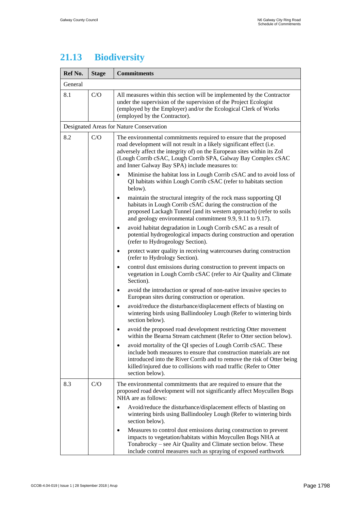# **21.13 Biodiversity**

| Ref No. | <b>Stage</b> | <b>Commitments</b>                                                                                                                                                                                                                                                                                                                        |  |
|---------|--------------|-------------------------------------------------------------------------------------------------------------------------------------------------------------------------------------------------------------------------------------------------------------------------------------------------------------------------------------------|--|
| General |              |                                                                                                                                                                                                                                                                                                                                           |  |
| 8.1     | C/O          | All measures within this section will be implemented by the Contractor<br>under the supervision of the supervision of the Project Ecologist<br>(employed by the Employer) and/or the Ecological Clerk of Works<br>(employed by the Contractor).                                                                                           |  |
|         |              | Designated Areas for Nature Conservation                                                                                                                                                                                                                                                                                                  |  |
| 8.2     | C/O          | The environmental commitments required to ensure that the proposed<br>road development will not result in a likely significant effect (i.e.<br>adversely affect the integrity of) on the European sites within its ZoI<br>(Lough Corrib cSAC, Lough Corrib SPA, Galway Bay Complex cSAC<br>and Inner Galway Bay SPA) include measures to: |  |
|         |              | Minimise the habitat loss in Lough Corrib cSAC and to avoid loss of<br>QI habitats within Lough Corrib cSAC (refer to habitats section<br>below).                                                                                                                                                                                         |  |
|         |              | maintain the structural integrity of the rock mass supporting QI<br>$\bullet$<br>habitats in Lough Corrib cSAC during the construction of the<br>proposed Lackagh Tunnel (and its western approach) (refer to soils<br>and geology environmental commitment 9.9, 9.11 to 9.17).                                                           |  |
|         |              | avoid habitat degradation in Lough Corrib cSAC as a result of<br>$\bullet$<br>potential hydrogeological impacts during construction and operation<br>(refer to Hydrogeology Section).                                                                                                                                                     |  |
|         |              | protect water quality in receiving watercourses during construction<br>٠<br>(refer to Hydrology Section).                                                                                                                                                                                                                                 |  |
|         |              | control dust emissions during construction to prevent impacts on<br>$\bullet$<br>vegetation in Lough Corrib cSAC (refer to Air Quality and Climate<br>Section).                                                                                                                                                                           |  |
|         |              | avoid the introduction or spread of non-native invasive species to<br>٠<br>European sites during construction or operation.                                                                                                                                                                                                               |  |
|         |              | avoid/reduce the disturbance/displacement effects of blasting on<br>$\bullet$<br>wintering birds using Ballindooley Lough (Refer to wintering birds<br>section below).                                                                                                                                                                    |  |
|         |              | avoid the proposed road development restricting Otter movement<br>٠<br>within the Bearna Stream catchment (Refer to Otter section below).                                                                                                                                                                                                 |  |
|         |              | avoid mortality of the QI species of Lough Corrib cSAC. These<br>include both measures to ensure that construction materials are not<br>introduced into the River Corrib and to remove the risk of Otter being<br>killed/injured due to collisions with road traffic (Refer to Otter<br>section below).                                   |  |
| 8.3     | C/O          | The environmental commitments that are required to ensure that the<br>proposed road development will not significantly affect Moycullen Bogs<br>NHA are as follows:                                                                                                                                                                       |  |
|         |              | Avoid/reduce the disturbance/displacement effects of blasting on<br>wintering birds using Ballindooley Lough (Refer to wintering birds<br>section below).                                                                                                                                                                                 |  |
|         |              | Measures to control dust emissions during construction to prevent<br>$\bullet$<br>impacts to vegetation/habitats within Moycullen Bogs NHA at<br>Tonabrocky – see Air Quality and Climate section below. These<br>include control measures such as spraying of exposed earthwork                                                          |  |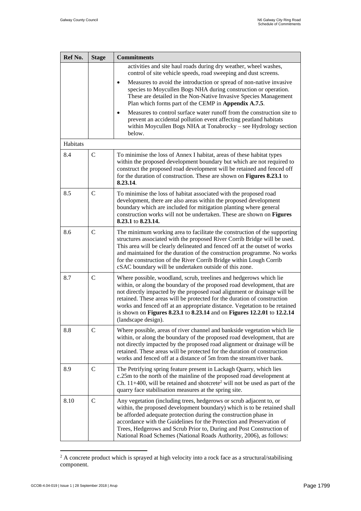| Ref No.  | <b>Stage</b> | <b>Commitments</b>                                                                                                                                                                                                                                                                                                                                                                                                                                                                     |
|----------|--------------|----------------------------------------------------------------------------------------------------------------------------------------------------------------------------------------------------------------------------------------------------------------------------------------------------------------------------------------------------------------------------------------------------------------------------------------------------------------------------------------|
|          |              | activities and site haul roads during dry weather, wheel washes,<br>control of site vehicle speeds, road sweeping and dust screens.                                                                                                                                                                                                                                                                                                                                                    |
|          |              | Measures to avoid the introduction or spread of non-native invasive<br>٠<br>species to Moycullen Bogs NHA during construction or operation.<br>These are detailed in the Non-Native Invasive Species Management<br>Plan which forms part of the CEMP in Appendix A.7.5.                                                                                                                                                                                                                |
|          |              | Measures to control surface water runoff from the construction site to<br>prevent an accidental pollution event affecting peatland habitats<br>within Moycullen Bogs NHA at Tonabrocky - see Hydrology section<br>below.                                                                                                                                                                                                                                                               |
| Habitats |              |                                                                                                                                                                                                                                                                                                                                                                                                                                                                                        |
| 8.4      | $\mathsf{C}$ | To minimise the loss of Annex I habitat, areas of these habitat types<br>within the proposed development boundary but which are not required to<br>construct the proposed road development will be retained and fenced off<br>for the duration of construction. These are shown on Figures 8.23.1 to<br>8.23.14.                                                                                                                                                                       |
| 8.5      | $\mathsf{C}$ | To minimise the loss of habitat associated with the proposed road<br>development, there are also areas within the proposed development<br>boundary which are included for mitigation planting where general<br>construction works will not be undertaken. These are shown on Figures<br>8.23.1 to 8.23.14.                                                                                                                                                                             |
| 8.6      | $\mathsf{C}$ | The minimum working area to facilitate the construction of the supporting<br>structures associated with the proposed River Corrib Bridge will be used.<br>This area will be clearly delineated and fenced off at the outset of works<br>and maintained for the duration of the construction programme. No works<br>for the construction of the River Corrib Bridge within Lough Corrib<br>cSAC boundary will be undertaken outside of this zone.                                       |
| 8.7      | $\mathsf{C}$ | Where possible, woodland, scrub, treelines and hedgerows which lie<br>within, or along the boundary of the proposed road development, that are<br>not directly impacted by the proposed road alignment or drainage will be<br>retained. These areas will be protected for the duration of construction<br>works and fenced off at an appropriate distance. Vegetation to be retained<br>is shown on Figures 8.23.1 to 8.23.14 and on Figures 12.2.01 to 12.2.14<br>(landscape design). |
| 8.8      | $\mathbf C$  | Where possible, areas of river channel and bankside vegetation which lie<br>within, or along the boundary of the proposed road development, that are<br>not directly impacted by the proposed road alignment or drainage will be<br>retained. These areas will be protected for the duration of construction<br>works and fenced off at a distance of 5m from the stream/river bank.                                                                                                   |
| 8.9      | $\mathbf C$  | The Petrifying spring feature present in Lackagh Quarry, which lies<br>c.25m to the north of the mainline of the proposed road development at<br>Ch. 11+400, will be retained and shotcrete <sup>2</sup> will not be used as part of the<br>quarry face stabilisation measures at the spring site.                                                                                                                                                                                     |
| 8.10     | $\mathbf C$  | Any vegetation (including trees, hedgerows or scrub adjacent to, or<br>within, the proposed development boundary) which is to be retained shall<br>be afforded adequate protection during the construction phase in<br>accordance with the Guidelines for the Protection and Preservation of<br>Trees, Hedgerows and Scrub Prior to, During and Post Construction of<br>National Road Schemes (National Roads Authority, 2006), as follows:                                            |

 $\overline{a}$  $2^2$  A concrete product which is sprayed at high velocity into a rock face as a structural/stabilising component.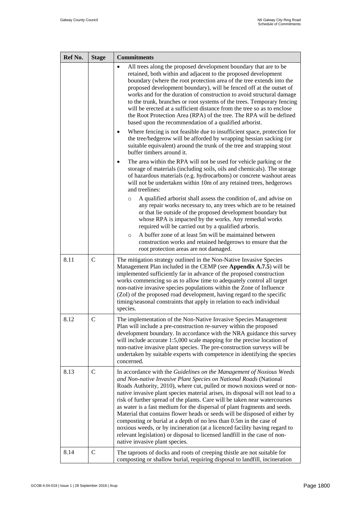| Ref No. | <b>Stage</b>  | <b>Commitments</b>                                                                                                                                                                                                                                                                                                                                                                                                                                                                                                                                                                                                                                                                                                                                                                                                  |
|---------|---------------|---------------------------------------------------------------------------------------------------------------------------------------------------------------------------------------------------------------------------------------------------------------------------------------------------------------------------------------------------------------------------------------------------------------------------------------------------------------------------------------------------------------------------------------------------------------------------------------------------------------------------------------------------------------------------------------------------------------------------------------------------------------------------------------------------------------------|
|         |               | All trees along the proposed development boundary that are to be<br>$\bullet$<br>retained, both within and adjacent to the proposed development<br>boundary (where the root protection area of the tree extends into the<br>proposed development boundary), will be fenced off at the outset of<br>works and for the duration of construction to avoid structural damage<br>to the trunk, branches or root systems of the trees. Temporary fencing<br>will be erected at a sufficient distance from the tree so as to enclose<br>the Root Protection Area (RPA) of the tree. The RPA will be defined<br>based upon the recommendation of a qualified arborist.                                                                                                                                                      |
|         |               | Where fencing is not feasible due to insufficient space, protection for<br>٠<br>the tree/hedgerow will be afforded by wrapping hessian sacking (or<br>suitable equivalent) around the trunk of the tree and strapping stout<br>buffer timbers around it.                                                                                                                                                                                                                                                                                                                                                                                                                                                                                                                                                            |
|         |               | The area within the RPA will not be used for vehicle parking or the<br>storage of materials (including soils, oils and chemicals). The storage<br>of hazardous materials (e.g. hydrocarbons) or concrete washout areas<br>will not be undertaken within 10m of any retained trees, hedgerows<br>and treelines:                                                                                                                                                                                                                                                                                                                                                                                                                                                                                                      |
|         |               | A qualified arborist shall assess the condition of, and advise on<br>$\circ$<br>any repair works necessary to, any trees which are to be retained<br>or that lie outside of the proposed development boundary but<br>whose RPA is impacted by the works. Any remedial works<br>required will be carried out by a qualified arboris.                                                                                                                                                                                                                                                                                                                                                                                                                                                                                 |
|         |               | A buffer zone of at least 5m will be maintained between<br>$\circ$<br>construction works and retained hedgerows to ensure that the<br>root protection areas are not damaged.                                                                                                                                                                                                                                                                                                                                                                                                                                                                                                                                                                                                                                        |
| 8.11    | $\mathcal{C}$ | The mitigation strategy outlined in the Non-Native Invasive Species<br>Management Plan included in the CEMP (see Appendix A.7.5) will be<br>implemented sufficiently far in advance of the proposed construction<br>works commencing so as to allow time to adequately control all target<br>non-native invasive species populations within the Zone of Influence<br>(ZoI) of the proposed road development, having regard to the specific<br>timing/seasonal constraints that apply in relation to each individual<br>species.                                                                                                                                                                                                                                                                                     |
| 8.12    | $\mathsf{C}$  | The implementation of the Non-Native Invasive Species Management<br>Plan will include a pre-construction re-survey within the proposed<br>development boundary. In accordance with the NRA guidance this survey<br>will include accurate 1:5,000 scale mapping for the precise location of<br>non-native invasive plant species. The pre-construction surveys will be<br>undertaken by suitable experts with competence in identifying the species<br>concerned.                                                                                                                                                                                                                                                                                                                                                    |
| 8.13    | $\mathbf C$   | In accordance with the Guidelines on the Management of Noxious Weeds<br>and Non-native Invasive Plant Species on National Roads (National<br>Roads Authority, 2010), where cut, pulled or mown noxious weed or non-<br>native invasive plant species material arises, its disposal will not lead to a<br>risk of further spread of the plants. Care will be taken near watercourses<br>as water is a fast medium for the dispersal of plant fragments and seeds.<br>Material that contains flower heads or seeds will be disposed of either by<br>composting or burial at a depth of no less than 0.5m in the case of<br>noxious weeds, or by incineration (at a licenced facility having regard to<br>relevant legislation) or disposal to licensed landfill in the case of non-<br>native invasive plant species. |
| 8.14    | $\mathcal{C}$ | The taproots of docks and roots of creeping thistle are not suitable for<br>composting or shallow burial, requiring disposal to landfill, incineration                                                                                                                                                                                                                                                                                                                                                                                                                                                                                                                                                                                                                                                              |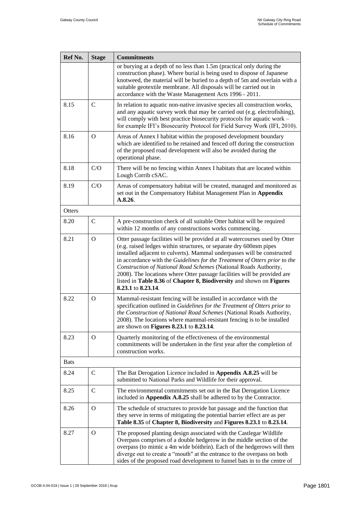| Ref No.     | <b>Stage</b>  | <b>Commitments</b>                                                                                                                                                                                                                                                                                                                                                                                                                                                                                                                                       |
|-------------|---------------|----------------------------------------------------------------------------------------------------------------------------------------------------------------------------------------------------------------------------------------------------------------------------------------------------------------------------------------------------------------------------------------------------------------------------------------------------------------------------------------------------------------------------------------------------------|
|             |               | or burying at a depth of no less than 1.5m (practical only during the<br>construction phase). Where burial is being used to dispose of Japanese<br>knotweed, the material will be buried to a depth of 5m and overlain with a<br>suitable geotextile membrane. All disposals will be carried out in<br>accordance with the Waste Management Acts 1996 - 2011.                                                                                                                                                                                            |
| 8.15        | $\mathsf{C}$  | In relation to aquatic non-native invasive species all construction works,<br>and any aquatic survey work that may be carried out (e.g. electrofishing),<br>will comply with best practice biosecurity protocols for aquatic work –<br>for example IFI's Biosecurity Protocol for Field Survey Work (IFI, 2010).                                                                                                                                                                                                                                         |
| 8.16        | $\Omega$      | Areas of Annex I habitat within the proposed development boundary<br>which are identified to be retained and fenced off during the construction<br>of the proposed road development will also be avoided during the<br>operational phase.                                                                                                                                                                                                                                                                                                                |
| 8.18        | C/O           | There will be no fencing within Annex I habitats that are located within<br>Lough Corrib cSAC.                                                                                                                                                                                                                                                                                                                                                                                                                                                           |
| 8.19        | C/O           | Areas of compensatory habitat will be created, managed and monitored as<br>set out in the Compensatory Habitat Management Plan in Appendix<br>A.8.26.                                                                                                                                                                                                                                                                                                                                                                                                    |
| Otters      |               |                                                                                                                                                                                                                                                                                                                                                                                                                                                                                                                                                          |
| 8.20        | $\mathbf C$   | A pre-construction check of all suitable Otter habitat will be required<br>within 12 months of any constructions works commencing.                                                                                                                                                                                                                                                                                                                                                                                                                       |
| 8.21        | $\Omega$      | Otter passage facilities will be provided at all watercourses used by Otter<br>(e.g. raised ledges within structures, or separate dry 600mm pipes<br>installed adjacent to culverts). Mammal underpasses will be constructed<br>in accordance with the Guidelines for the Treatment of Otters prior to the<br>Construction of National Road Schemes (National Roads Authority,<br>2008). The locations where Otter passage facilities will be provided are<br>listed in Table 8.36 of Chapter 8, Biodiversity and shown on Figures<br>8.23.1 to 8.23.14. |
| 8.22        | $\Omega$      | Mammal-resistant fencing will be installed in accordance with the<br>specification outlined in Guidelines for the Treatment of Otters prior to<br>the Construction of National Road Schemes (National Roads Authority,<br>2008). The locations where mammal-resistant fencing is to be installed<br>are shown on Figures 8.23.1 to 8.23.14.                                                                                                                                                                                                              |
| 8.23        | $\Omega$      | Quarterly monitoring of the effectiveness of the environmental<br>commitments will be undertaken in the first year after the completion of<br>construction works.                                                                                                                                                                                                                                                                                                                                                                                        |
| <b>Bats</b> |               |                                                                                                                                                                                                                                                                                                                                                                                                                                                                                                                                                          |
| 8.24        | C             | The Bat Derogation Licence included in Appendix A.8.25 will be<br>submitted to National Parks and Wildlife for their approval.                                                                                                                                                                                                                                                                                                                                                                                                                           |
| 8.25        | $\mathcal{C}$ | The environmental commitments set out in the Bat Derogation Licence<br>included in Appendix A.8.25 shall be adhered to by the Contractor.                                                                                                                                                                                                                                                                                                                                                                                                                |
| 8.26        | $\mathbf{O}$  | The schedule of structures to provide bat passage and the function that<br>they serve in terms of mitigating the potential barrier effect are as per<br>Table 8.35 of Chapter 8, Biodiversity and Figures 8.23.1 to 8.23.14.                                                                                                                                                                                                                                                                                                                             |
| 8.27        | $\Omega$      | The proposed planting design associated with the Castlegar Wildlife<br>Overpass comprises of a double hedgerow in the middle section of the<br>overpass (to mimic a 4m wide bóithrín). Each of the hedgerows will then<br>diverge out to create a "mouth" at the entrance to the overpass on both<br>sides of the proposed road development to funnel bats in to the centre of                                                                                                                                                                           |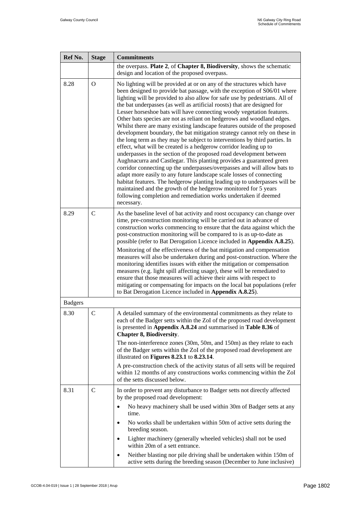| Ref No.        | <b>Stage</b>   | <b>Commitments</b>                                                                                                                                                                                                                                                                                                                                                                                                                                                                                                                                                                                                                                                                                                                                                                                                                                                                                                                                                                                                                                                                                                                                                                                                                                                                                                |
|----------------|----------------|-------------------------------------------------------------------------------------------------------------------------------------------------------------------------------------------------------------------------------------------------------------------------------------------------------------------------------------------------------------------------------------------------------------------------------------------------------------------------------------------------------------------------------------------------------------------------------------------------------------------------------------------------------------------------------------------------------------------------------------------------------------------------------------------------------------------------------------------------------------------------------------------------------------------------------------------------------------------------------------------------------------------------------------------------------------------------------------------------------------------------------------------------------------------------------------------------------------------------------------------------------------------------------------------------------------------|
|                |                | the overpass. Plate 2, of Chapter 8, Biodiversity, shows the schematic<br>design and location of the proposed overpass.                                                                                                                                                                                                                                                                                                                                                                                                                                                                                                                                                                                                                                                                                                                                                                                                                                                                                                                                                                                                                                                                                                                                                                                           |
| 8.28           | $\overline{O}$ | No lighting will be provided at or on any of the structures which have<br>been designed to provide bat passage, with the exception of S06/01 where<br>lighting will be provided to also allow for safe use by pedestrians. All of<br>the bat underpasses (as well as artificial roosts) that are designed for<br>Lesser horseshoe bats will have connecting woody vegetation features.<br>Other bats species are not as reliant on hedgerows and woodland edges.<br>Whilst there are many existing landscape features outside of the proposed<br>development boundary, the bat mitigation strategy cannot rely on these in<br>the long term as they may be subject to interventions by third parties. In<br>effect, what will be created is a hedgerow corridor leading up to<br>underpasses in the section of the proposed road development between<br>Aughnacurra and Castlegar. This planting provides a guaranteed green<br>corridor connecting up the underpasses/overpasses and will allow bats to<br>adapt more easily to any future landscape scale losses of connecting<br>habitat features. The hedgerow planting leading up to underpasses will be<br>maintained and the growth of the hedgerow monitored for 5 years<br>following completion and remediation works undertaken if deemed<br>necessary. |
| 8.29           | $\mathbf C$    | As the baseline level of bat activity and roost occupancy can change over<br>time, pre-construction monitoring will be carried out in advance of<br>construction works commencing to ensure that the data against which the<br>post-construction monitoring will be compared to is as up-to-date as<br>possible (refer to Bat Derogation Licence included in Appendix A.8.25).<br>Monitoring of the effectiveness of the bat mitigation and compensation<br>measures will also be undertaken during and post-construction. Where the<br>monitoring identifies issues with either the mitigation or compensation<br>measures (e.g. light spill affecting usage), these will be remediated to<br>ensure that those measures will achieve their aims with respect to<br>mitigating or compensating for impacts on the local bat populations (refer<br>to Bat Derogation Licence included in Appendix A.8.25).                                                                                                                                                                                                                                                                                                                                                                                                        |
| <b>Badgers</b> |                |                                                                                                                                                                                                                                                                                                                                                                                                                                                                                                                                                                                                                                                                                                                                                                                                                                                                                                                                                                                                                                                                                                                                                                                                                                                                                                                   |
| 8.30           | $\mathbf C$    | A detailed summary of the environmental commitments as they relate to<br>each of the Badger setts within the ZoI of the proposed road development<br>is presented in Appendix A.8.24 and summarised in Table 8.36 of<br><b>Chapter 8, Biodiversity.</b><br>The non-interference zones (30m, 50m, and 150m) as they relate to each<br>of the Badger setts within the ZoI of the proposed road development are<br>illustrated on Figures 8.23.1 to 8.23.14.<br>A pre-construction check of the activity status of all setts will be required<br>within 12 months of any constructions works commencing within the ZoI<br>of the setts discussed below.                                                                                                                                                                                                                                                                                                                                                                                                                                                                                                                                                                                                                                                              |
| 8.31           | $\mathsf{C}$   | In order to prevent any disturbance to Badger setts not directly affected<br>by the proposed road development:<br>No heavy machinery shall be used within 30m of Badger setts at any<br>$\bullet$<br>time.<br>No works shall be undertaken within 50m of active setts during the<br>٠<br>breeding season.<br>Lighter machinery (generally wheeled vehicles) shall not be used<br>٠<br>within 20m of a sett entrance.<br>Neither blasting nor pile driving shall be undertaken within 150m of<br>٠<br>active setts during the breeding season (December to June inclusive)                                                                                                                                                                                                                                                                                                                                                                                                                                                                                                                                                                                                                                                                                                                                         |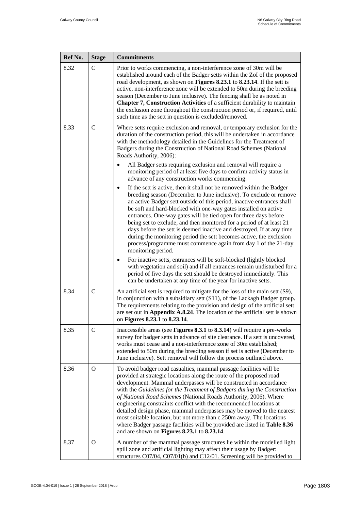| Ref No. | <b>Stage</b> | <b>Commitments</b>                                                                                                                                                                                                                                                                                                                                                                                                                                                                                                                                                                                                                                                                                                                                                                                          |
|---------|--------------|-------------------------------------------------------------------------------------------------------------------------------------------------------------------------------------------------------------------------------------------------------------------------------------------------------------------------------------------------------------------------------------------------------------------------------------------------------------------------------------------------------------------------------------------------------------------------------------------------------------------------------------------------------------------------------------------------------------------------------------------------------------------------------------------------------------|
| 8.32    | $\mathsf{C}$ | Prior to works commencing, a non-interference zone of 30m will be<br>established around each of the Badger setts within the ZoI of the proposed<br>road development, as shown on <b>Figures 8.23.1</b> to <b>8.23.14</b> . If the sett is<br>active, non-interference zone will be extended to 50m during the breeding<br>season (December to June inclusive). The fencing shall be as noted in<br>Chapter 7, Construction Activities of a sufficient durability to maintain<br>the exclusion zone throughout the construction period or, if required, until<br>such time as the sett in question is excluded/removed.                                                                                                                                                                                      |
| 8.33    | $\mathsf{C}$ | Where setts require exclusion and removal, or temporary exclusion for the<br>duration of the construction period, this will be undertaken in accordance<br>with the methodology detailed in the Guidelines for the Treatment of<br>Badgers during the Construction of National Road Schemes (National<br>Roads Authority, 2006):<br>All Badger setts requiring exclusion and removal will require a                                                                                                                                                                                                                                                                                                                                                                                                         |
|         |              | monitoring period of at least five days to confirm activity status in<br>advance of any construction works commencing.<br>If the sett is active, then it shall not be removed within the Badger<br>٠<br>breeding season (December to June inclusive). To exclude or remove<br>an active Badger sett outside of this period, inactive entrances shall<br>be soft and hard-blocked with one-way gates installed on active<br>entrances. One-way gates will be tied open for three days before<br>being set to exclude, and then monitored for a period of at least 21<br>days before the sett is deemed inactive and destroyed. If at any time<br>during the monitoring period the sett becomes active, the exclusion<br>process/programme must commence again from day 1 of the 21-day<br>monitoring period. |
|         |              | For inactive setts, entrances will be soft-blocked (lightly blocked<br>with vegetation and soil) and if all entrances remain undisturbed for a<br>period of five days the sett should be destroyed immediately. This<br>can be undertaken at any time of the year for inactive setts.                                                                                                                                                                                                                                                                                                                                                                                                                                                                                                                       |
| 8.34    | $\mathbf C$  | An artificial sett is required to mitigate for the loss of the main sett (S9),<br>in conjunction with a subsidiary sett (S11), of the Lackagh Badger group.<br>The requirements relating to the provision and design of the artificial sett<br>are set out in Appendix A.8.24. The location of the artificial sett is shown<br>on Figures 8.23.1 to 8.23.14.                                                                                                                                                                                                                                                                                                                                                                                                                                                |
| 8.35    | $\mathsf{C}$ | Inaccessible areas (see Figures 8.3.1 to 8.3.14) will require a pre-works<br>survey for badger setts in advance of site clearance. If a sett is uncovered,<br>works must cease and a non-interference zone of 30m established;<br>extended to 50m during the breeding season if set is active (December to<br>June inclusive). Sett removal will follow the process outlined above.                                                                                                                                                                                                                                                                                                                                                                                                                         |
| 8.36    | $\Omega$     | To avoid badger road casualties, mammal passage facilities will be<br>provided at strategic locations along the route of the proposed road<br>development. Mammal underpasses will be constructed in accordance<br>with the Guidelines for the Treatment of Badgers during the Construction<br>of National Road Schemes (National Roads Authority, 2006). Where<br>engineering constraints conflict with the recommended locations at<br>detailed design phase, mammal underpasses may be moved to the nearest<br>most suitable location, but not more than c.250m away. The locations<br>where Badger passage facilities will be provided are listed in Table 8.36<br>and are shown on Figures 8.23.1 to 8.23.14.                                                                                          |
| 8.37    | $\Omega$     | A number of the mammal passage structures lie within the modelled light<br>spill zone and artificial lighting may affect their usage by Badger:<br>structures C07/04, C07/01(b) and C12/01. Screening will be provided to                                                                                                                                                                                                                                                                                                                                                                                                                                                                                                                                                                                   |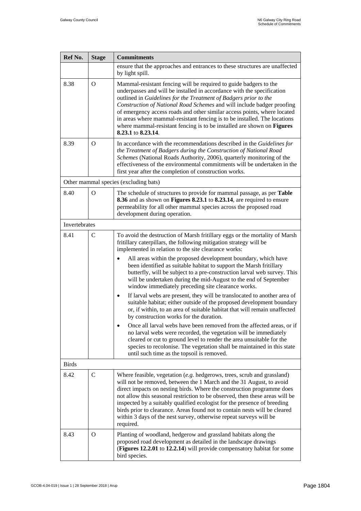| Ref No.       | <b>Stage</b>   | <b>Commitments</b>                                                                                                                                                                                                                                                                                                                                                                                                                                                                                                                                       |
|---------------|----------------|----------------------------------------------------------------------------------------------------------------------------------------------------------------------------------------------------------------------------------------------------------------------------------------------------------------------------------------------------------------------------------------------------------------------------------------------------------------------------------------------------------------------------------------------------------|
|               |                | ensure that the approaches and entrances to these structures are unaffected<br>by light spill.                                                                                                                                                                                                                                                                                                                                                                                                                                                           |
| 8.38          | $\Omega$       | Mammal-resistant fencing will be required to guide badgers to the<br>underpasses and will be installed in accordance with the specification<br>outlined in Guidelines for the Treatment of Badgers prior to the<br>Construction of National Road Schemes and will include badger proofing<br>of emergency access roads and other similar access points, where located<br>in areas where mammal-resistant fencing is to be installed. The locations<br>where mammal-resistant fencing is to be installed are shown on Figures<br>8.23.1 to 8.23.14.       |
| 8.39          | $\Omega$       | In accordance with the recommendations described in the Guidelines for<br>the Treatment of Badgers during the Construction of National Road<br>Schemes (National Roads Authority, 2006), quarterly monitoring of the<br>effectiveness of the environmental commitments will be undertaken in the<br>first year after the completion of construction works.                                                                                                                                                                                               |
|               |                | Other mammal species (excluding bats)                                                                                                                                                                                                                                                                                                                                                                                                                                                                                                                    |
| 8.40          | $\overline{O}$ | The schedule of structures to provide for mammal passage, as per Table<br>8.36 and as shown on Figures 8.23.1 to 8.23.14, are required to ensure<br>permeability for all other mammal species across the proposed road<br>development during operation.                                                                                                                                                                                                                                                                                                  |
| Invertebrates |                |                                                                                                                                                                                                                                                                                                                                                                                                                                                                                                                                                          |
| 8.41          | $\mathcal{C}$  | To avoid the destruction of Marsh fritillary eggs or the mortality of Marsh<br>fritillary caterpillars, the following mitigation strategy will be<br>implemented in relation to the site clearance works:                                                                                                                                                                                                                                                                                                                                                |
|               |                | All areas within the proposed development boundary, which have<br>been identified as suitable habitat to support the Marsh fritillary<br>butterfly, will be subject to a pre-construction larval web survey. This<br>will be undertaken during the mid-August to the end of September<br>window immediately preceding site clearance works.                                                                                                                                                                                                              |
|               |                | If larval webs are present, they will be translocated to another area of<br>$\bullet$<br>suitable habitat; either outside of the proposed development boundary<br>or, if within, to an area of suitable habitat that will remain unaffected<br>by construction works for the duration.                                                                                                                                                                                                                                                                   |
|               |                | Once all larval webs have been removed from the affected areas, or if<br>no larval webs were recorded, the vegetation will be immediately<br>cleared or cut to ground level to render the area unsuitable for the<br>species to recolonise. The vegetation shall be maintained in this state<br>until such time as the topsoil is removed.                                                                                                                                                                                                               |
| <b>Birds</b>  |                |                                                                                                                                                                                                                                                                                                                                                                                                                                                                                                                                                          |
| 8.42          | $\mathcal{C}$  | Where feasible, vegetation $(e.g.$ hedgerows, trees, scrub and grassland)<br>will not be removed, between the 1 March and the 31 August, to avoid<br>direct impacts on nesting birds. Where the construction programme does<br>not allow this seasonal restriction to be observed, then these areas will be<br>inspected by a suitably qualified ecologist for the presence of breeding<br>birds prior to clearance. Areas found not to contain nests will be cleared<br>within 3 days of the nest survey, otherwise repeat surveys will be<br>required. |
| 8.43          | $\overline{O}$ | Planting of woodland, hedgerow and grassland habitats along the<br>proposed road development as detailed in the landscape drawings<br>(Figures 12.2.01 to 12.2.14) will provide compensatory habitat for some<br>bird species.                                                                                                                                                                                                                                                                                                                           |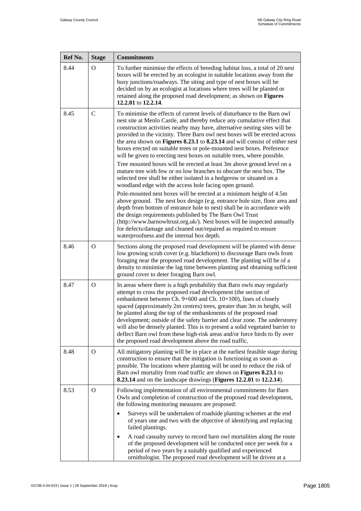| Ref No. | <b>Stage</b>  | <b>Commitments</b>                                                                                                                                                                                                                                                                                                                                                                                                                                                                                                                                                                                                                                                                                                                                                                                                                        |
|---------|---------------|-------------------------------------------------------------------------------------------------------------------------------------------------------------------------------------------------------------------------------------------------------------------------------------------------------------------------------------------------------------------------------------------------------------------------------------------------------------------------------------------------------------------------------------------------------------------------------------------------------------------------------------------------------------------------------------------------------------------------------------------------------------------------------------------------------------------------------------------|
| 8.44    | $\Omega$      | To further minimise the effects of breeding habitat loss, a total of 20 nest<br>boxes will be erected by an ecologist in suitable locations away from the<br>busy junctions/roadways. The siting and type of nest boxes will be<br>decided on by an ecologist at locations where trees will be planted or<br>retained along the proposed road development; as shown on Figures<br>12.2.01 to 12.2.14.                                                                                                                                                                                                                                                                                                                                                                                                                                     |
| 8.45    | $\mathcal{C}$ | To minimise the effects of current levels of disturbance to the Barn owl<br>nest site at Menlo Castle, and thereby reduce any cumulative effect that<br>construction activities nearby may have, alternative nesting sites will be<br>provided in the vicinity. Three Barn owl nest boxes will be erected across<br>the area shown on Figures 8.23.1 to 8.23.14 and will consist of either nest<br>boxes erected on suitable trees or pole-mounted nest boxes. Preference<br>will be given to erecting nest boxes on suitable trees, where possible.<br>Tree mounted boxes will be erected at least 3m above ground level on a<br>mature tree with few or no low branches to obscure the nest box. The<br>selected tree shall be either isolated in a hedgerow or situated on a<br>woodland edge with the access hole facing open ground. |
|         |               | Pole-mounted nest boxes will be erected at a minimum height of 4.5m<br>above ground. The nest box design (e.g. entrance hole size, floor area and<br>depth from bottom of entrance hole to nest) shall be in accordance with<br>the design requirements published by The Barn Owl Trust<br>(http://www.barnowltrust.org.uk/). Nest boxes will be inspected annually<br>for defects/damage and cleaned out/repaired as required to ensure<br>waterproofness and the internal box depth.                                                                                                                                                                                                                                                                                                                                                    |
| 8.46    | $\Omega$      | Sections along the proposed road development will be planted with dense<br>low growing scrub cover (e.g. blackthorn) to discourage Barn owls from<br>foraging near the proposed road development. The planting will be of a<br>density to minimise the lag time between planting and obtaining sufficient<br>ground cover to deter foraging Barn owl.                                                                                                                                                                                                                                                                                                                                                                                                                                                                                     |
| 8.47    | $\Omega$      | In areas where there is a high probability that Barn owls may regularly<br>attempt to cross the proposed road development (the section of<br>embankment between Ch. 9+600 and Ch. 10+100), lines of closely<br>spaced (approximately 2m centres) trees, greater than 3m in height, will<br>be planted along the top of the embankments of the proposed road<br>development; outside of the safety barrier and clear zone. The understorey<br>will also be densely planted. This is to present a solid vegetated barrier to<br>deflect Barn owl from these high-risk areas and/or force birds to fly over<br>the proposed road development above the road traffic.                                                                                                                                                                         |
| 8.48    | $\mathbf O$   | All mitigatory planting will be in place at the earliest feasible stage during<br>construction to ensure that the mitigation is functioning as soon as<br>possible. The locations where planting will be used to reduce the risk of<br>Barn owl mortality from road traffic are shown on Figures 8.23.1 to<br>8.23.14 and on the landscape drawings (Figures 12.2.01 to 12.2.14).                                                                                                                                                                                                                                                                                                                                                                                                                                                         |
| 8.53    | $\Omega$      | Following implementation of all environmental commitments for Barn<br>Owls and completion of construction of the proposed road development,<br>the following monitoring measures are proposed:<br>Surveys will be undertaken of roadside planting schemes at the end<br>of years one and two with the objective of identifying and replacing<br>failed plantings.<br>A road casualty survey to record barn owl mortalities along the route<br>of the proposed development will be conducted once per week for a<br>period of two years by a suitably qualified and experienced<br>ornithologist. The proposed road development will be driven at a                                                                                                                                                                                        |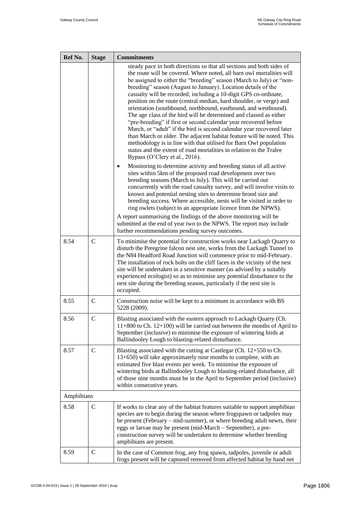| Ref No.    | <b>Stage</b>  | <b>Commitments</b>                                                                                                                                                                                                                                                                                                                                                                                                                                                                                                                                                                                                                                                                                                                                                                                                                                                                                                                                                                                                                                                                                                                                                                                                                                                                                                                                                                                                                                                                                                                                                                                                                                                       |
|------------|---------------|--------------------------------------------------------------------------------------------------------------------------------------------------------------------------------------------------------------------------------------------------------------------------------------------------------------------------------------------------------------------------------------------------------------------------------------------------------------------------------------------------------------------------------------------------------------------------------------------------------------------------------------------------------------------------------------------------------------------------------------------------------------------------------------------------------------------------------------------------------------------------------------------------------------------------------------------------------------------------------------------------------------------------------------------------------------------------------------------------------------------------------------------------------------------------------------------------------------------------------------------------------------------------------------------------------------------------------------------------------------------------------------------------------------------------------------------------------------------------------------------------------------------------------------------------------------------------------------------------------------------------------------------------------------------------|
|            |               | steady pace in both directions so that all sections and both sides of<br>the route will be covered. Where noted, all barn owl mortalities will<br>be assigned to either the "breeding" season (March to July) or "non-<br>breeding" season (August to January). Location details of the<br>casualty will be recorded, including a 10-digit GPS co-ordinate,<br>position on the route (central median, hard shoulder, or verge) and<br>orientation (southbound, northbound, eastbound, and westbound).<br>The age class of the bird will be determined and classed as either<br>"pre-breeding" if first or second calendar year recovered before<br>March, or "adult" if the bird is second calendar year recovered later<br>than March or older. The adjacent habitat feature will be noted. This<br>methodology is in line with that utilised for Barn Owl population<br>status and the extent of road mortalities in relation to the Tralee<br>Bypass (O'Clery et al., 2016).<br>Monitoring to determine activity and breeding status of all active<br>sites within 5km of the proposed road development over two<br>breeding seasons (March to July). This will be carried out<br>concurrently with the road casualty survey, and will involve visits to<br>known and potential nesting sites to determine brood size and<br>breeding success. Where accessible, nests will be visited in order to<br>ring owlets (subject to an appropriate licence from the NPWS).<br>A report summarising the findings of the above monitoring will be<br>submitted at the end of year two to the NPWS. The report may include<br>further recommendations pending survey outcomes. |
| 8.54       | $\mathbf C$   | To minimise the potential for construction works near Lackagh Quarry to<br>disturb the Peregrine falcon nest site, works from the Lackagh Tunnel to<br>the N84 Headford Road Junction will commence prior to mid-February.<br>The installation of rock bolts on the cliff faces in the vicinity of the nest<br>site will be undertaken in a sensitive manner (as advised by a suitably<br>experienced ecologist) so as to minimise any potential disturbance to the<br>nest site during the breeding season, particularly if the nest site is<br>occupied.                                                                                                                                                                                                                                                                                                                                                                                                                                                                                                                                                                                                                                                                                                                                                                                                                                                                                                                                                                                                                                                                                                               |
| 8.55       | $\mathsf{C}$  | Construction noise will be kept to a minimum in accordance with BS<br>5228 (2009).                                                                                                                                                                                                                                                                                                                                                                                                                                                                                                                                                                                                                                                                                                                                                                                                                                                                                                                                                                                                                                                                                                                                                                                                                                                                                                                                                                                                                                                                                                                                                                                       |
| 8.56       | $\mathcal{C}$ | Blasting associated with the eastern approach to Lackagh Quarry (Ch.<br>11+800 to Ch. 12+100) will be carried out between the months of April to<br>September (inclusive) to minimise the exposure of wintering birds at<br>Ballindooley Lough to blasting-related disturbance.                                                                                                                                                                                                                                                                                                                                                                                                                                                                                                                                                                                                                                                                                                                                                                                                                                                                                                                                                                                                                                                                                                                                                                                                                                                                                                                                                                                          |
| 8.57       | $\mathcal{C}$ | Blasting associated with the cutting at Castlegar (Ch. 12+550 to Ch.<br>13+650) will take approximately nine months to complete, with an<br>estimated five blast events per week. To minimise the exposure of<br>wintering birds at Ballindooley Lough to blasting-related disturbance, all<br>of those nine months must be in the April to September period (inclusive)<br>within consecutive years.                                                                                                                                                                                                                                                                                                                                                                                                                                                                                                                                                                                                                                                                                                                                                                                                                                                                                                                                                                                                                                                                                                                                                                                                                                                                    |
| Amphibians |               |                                                                                                                                                                                                                                                                                                                                                                                                                                                                                                                                                                                                                                                                                                                                                                                                                                                                                                                                                                                                                                                                                                                                                                                                                                                                                                                                                                                                                                                                                                                                                                                                                                                                          |
| 8.58       | $\mathsf{C}$  | If works to clear any of the habitat features suitable to support amphibian<br>species are to begin during the season where frogspawn or tadpoles may<br>be present (February – mid-summer), or where breeding adult newts, their<br>eggs or larvae may be present (mid-March - September), a pre-<br>construction survey will be undertaken to determine whether breeding<br>amphibians are present.                                                                                                                                                                                                                                                                                                                                                                                                                                                                                                                                                                                                                                                                                                                                                                                                                                                                                                                                                                                                                                                                                                                                                                                                                                                                    |
| 8.59       | $\mathcal{C}$ | In the case of Common frog, any frog spawn, tadpoles, juvenile or adult<br>frogs present will be captured removed from affected habitat by hand net                                                                                                                                                                                                                                                                                                                                                                                                                                                                                                                                                                                                                                                                                                                                                                                                                                                                                                                                                                                                                                                                                                                                                                                                                                                                                                                                                                                                                                                                                                                      |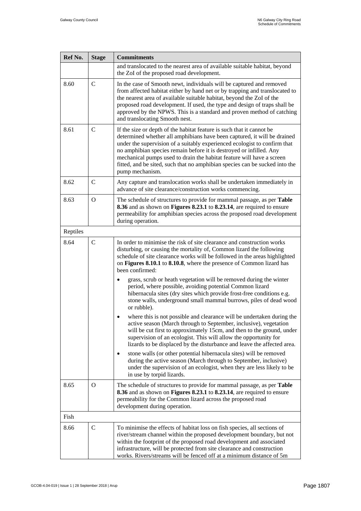| Ref No.  | <b>Stage</b>  | <b>Commitments</b>                                                                                                                                                                                                                                                                                                                                                                                                                                                               |
|----------|---------------|----------------------------------------------------------------------------------------------------------------------------------------------------------------------------------------------------------------------------------------------------------------------------------------------------------------------------------------------------------------------------------------------------------------------------------------------------------------------------------|
|          |               | and translocated to the nearest area of available suitable habitat, beyond<br>the ZoI of the proposed road development.                                                                                                                                                                                                                                                                                                                                                          |
| 8.60     | $\mathcal{C}$ | In the case of Smooth newt, individuals will be captured and removed<br>from affected habitat either by hand net or by trapping and translocated to<br>the nearest area of available suitable habitat, beyond the ZoI of the<br>proposed road development. If used, the type and design of traps shall be<br>approved by the NPWS. This is a standard and proven method of catching<br>and translocating Smooth nest.                                                            |
| 8.61     | $\mathcal{C}$ | If the size or depth of the habitat feature is such that it cannot be<br>determined whether all amphibians have been captured, it will be drained<br>under the supervision of a suitably experienced ecologist to confirm that<br>no amphibian species remain before it is destroyed or infilled. Any<br>mechanical pumps used to drain the habitat feature will have a screen<br>fitted, and be sited, such that no amphibian species can be sucked into the<br>pump mechanism. |
| 8.62     | $\mathcal{C}$ | Any capture and translocation works shall be undertaken immediately in<br>advance of site clearance/construction works commencing.                                                                                                                                                                                                                                                                                                                                               |
| 8.63     | $\Omega$      | The schedule of structures to provide for mammal passage, as per Table<br>8.36 and as shown on Figures 8.23.1 to 8.23.14, are required to ensure<br>permeability for amphibian species across the proposed road development<br>during operation.                                                                                                                                                                                                                                 |
| Reptiles |               |                                                                                                                                                                                                                                                                                                                                                                                                                                                                                  |
| 8.64     | $\mathsf{C}$  | In order to minimise the risk of site clearance and construction works<br>disturbing, or causing the mortality of, Common lizard the following<br>schedule of site clearance works will be followed in the areas highlighted<br>on Figures 8.10.1 to 8.10.8, where the presence of Common lizard has<br>been confirmed:                                                                                                                                                          |
|          |               | grass, scrub or heath vegetation will be removed during the winter<br>period, where possible, avoiding potential Common lizard<br>hibernacula sites (dry sites which provide frost-free conditions e.g.<br>stone walls, underground small mammal burrows, piles of dead wood<br>or rubble).                                                                                                                                                                                      |
|          |               | where this is not possible and clearance will be undertaken during the<br>$\bullet$<br>active season (March through to September, inclusive), vegetation<br>will be cut first to approximately 15cm, and then to the ground, under<br>supervision of an ecologist. This will allow the opportunity for<br>lizards to be displaced by the disturbance and leave the affected area.                                                                                                |
|          |               | stone walls (or other potential hibernacula sites) will be removed<br>during the active season (March through to September, inclusive)<br>under the supervision of an ecologist, when they are less likely to be<br>in use by torpid lizards.                                                                                                                                                                                                                                    |
| 8.65     | $\Omega$      | The schedule of structures to provide for mammal passage, as per Table<br>8.36 and as shown on Figures 8.23.1 to 8.23.14, are required to ensure<br>permeability for the Common lizard across the proposed road<br>development during operation.                                                                                                                                                                                                                                 |
| Fish     |               |                                                                                                                                                                                                                                                                                                                                                                                                                                                                                  |
| 8.66     | $\mathsf{C}$  | To minimise the effects of habitat loss on fish species, all sections of<br>river/stream channel within the proposed development boundary, but not<br>within the footprint of the proposed road development and associated<br>infrastructure, will be protected from site clearance and construction<br>works. Rivers/streams will be fenced off at a minimum distance of 5m                                                                                                     |